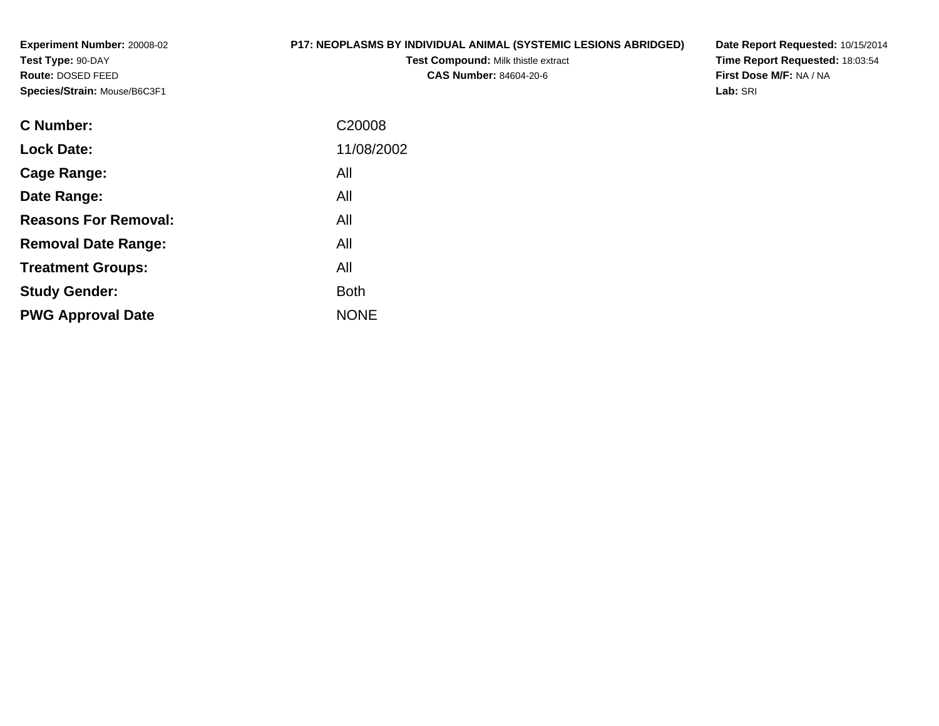**Experiment Number:** 20008-02**Test Type:** 90-DAY **Route:** DOSED FEED**Species/Strain:** Mouse/B6C3F1

#### **P17: NEOPLASMS BY INDIVIDUAL ANIMAL (SYSTEMIC LESIONS ABRIDGED)**

**Test Compound:** Milk thistle extract**CAS Number:** 84604-20-6

**Date Report Requested:** 10/15/2014**Time Report Requested:** 18:03:54**First Dose M/F:** NA / NA**Lab:** SRI

| C <sub>20008</sub> |
|--------------------|
| 11/08/2002         |
| All                |
| All                |
| All                |
| All                |
| All                |
| <b>Both</b>        |
| <b>NONE</b>        |
|                    |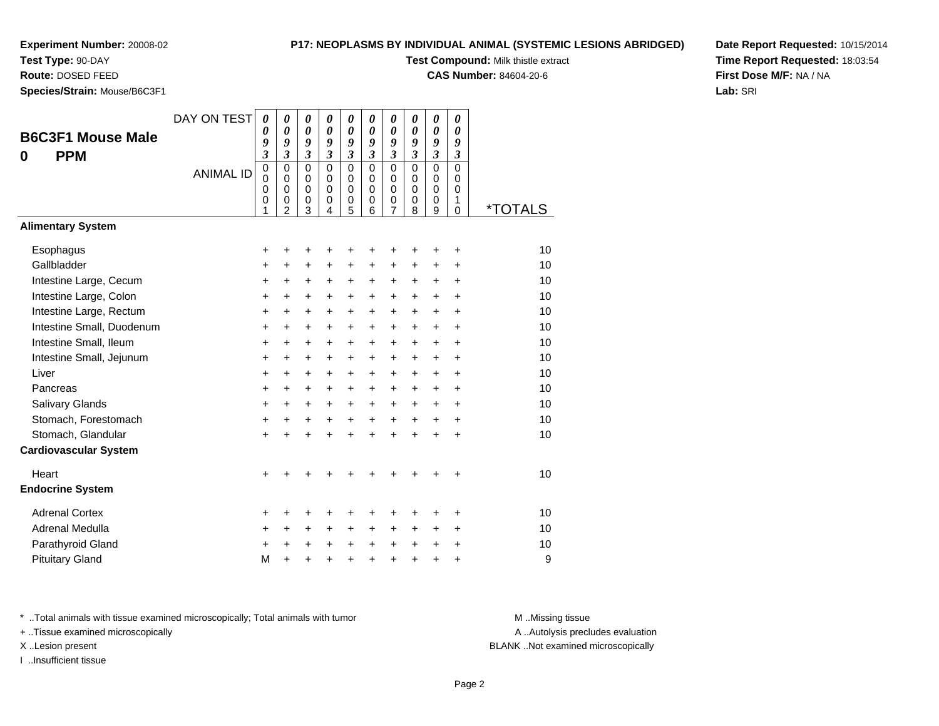# **Test Type:** 90-DAY

**Route:** DOSED FEED

**Species/Strain:** Mouse/B6C3F1

#### **P17: NEOPLASMS BY INDIVIDUAL ANIMAL (SYSTEMIC LESIONS ABRIDGED)**

**Test Compound:** Milk thistle extract

**CAS Number:** 84604-20-6

**Date Report Requested:** 10/15/2014**Time Report Requested:** 18:03:54**First Dose M/F:** NA / NA**Lab:** SRI

|                              | DAY ON TEST      | 0                       | 0                          | 0                          | 0                          | 0                          | 0                          | 0                          | 0                          | 0                          | 0                          |                       |
|------------------------------|------------------|-------------------------|----------------------------|----------------------------|----------------------------|----------------------------|----------------------------|----------------------------|----------------------------|----------------------------|----------------------------|-----------------------|
| <b>B6C3F1 Mouse Male</b>     |                  | 0<br>9                  | $\boldsymbol{\theta}$<br>9 | $\boldsymbol{\theta}$<br>9 | $\boldsymbol{\theta}$<br>9 | $\boldsymbol{\theta}$<br>9 | $\boldsymbol{\theta}$<br>9 | $\boldsymbol{\theta}$<br>9 | $\boldsymbol{\theta}$<br>9 | $\boldsymbol{\theta}$<br>9 | $\boldsymbol{\theta}$<br>9 |                       |
| <b>PPM</b><br>0              |                  | $\overline{\mathbf{3}}$ | $\overline{\mathbf{3}}$    | $\overline{\mathbf{3}}$    | $\mathfrak{z}$             | $\mathfrak{z}$             | $\mathfrak{z}$             | $\overline{\mathbf{3}}$    | $\mathfrak{z}$             | $\overline{\mathbf{3}}$    | $\overline{\mathbf{3}}$    |                       |
|                              | <b>ANIMAL ID</b> | $\pmb{0}$               | $\mathbf 0$                | $\mathbf 0$                | $\mathbf 0$                | $\mathbf 0$                | $\Omega$                   | $\mathbf 0$                | $\Omega$                   | $\mathbf 0$                | $\mathbf 0$                |                       |
|                              |                  | $\mathbf 0$<br>0        | 0<br>$\mathbf 0$           | 0<br>$\mathbf 0$           | 0<br>$\mathbf 0$           | 0<br>$\mathbf 0$           | $\Omega$<br>$\mathbf 0$    | $\mathbf 0$<br>0           | $\mathbf 0$<br>0           | 0<br>0                     | 0<br>$\mathbf 0$           |                       |
|                              |                  | $\mathbf 0$             | $\mathbf 0$                | $\mathbf 0$                | $\mathbf 0$                | $\mathbf 0$                | $\mathbf 0$                | $\pmb{0}$                  | $\mathbf 0$                | $\mathbf 0$                | $\mathbf{1}$               |                       |
|                              |                  | 1                       | 2                          | 3                          | 4                          | 5                          | 6                          | $\overline{7}$             | 8                          | 9                          | $\Omega$                   | <i><b>*TOTALS</b></i> |
| <b>Alimentary System</b>     |                  |                         |                            |                            |                            |                            |                            |                            |                            |                            |                            |                       |
| Esophagus                    |                  | +                       | $\ddot{}$                  | +                          | +                          | +                          | ٠                          | +                          |                            | +                          | +                          | 10                    |
| Gallbladder                  |                  | +                       | +                          | +                          | +                          | +                          | +                          | +                          | +                          | $\ddot{}$                  | +                          | 10                    |
| Intestine Large, Cecum       |                  | +                       | +                          | $\ddot{}$                  | $\ddot{}$                  | $\ddot{}$                  | $\ddot{}$                  | +                          | $\ddot{}$                  | $\ddot{}$                  | $\ddot{}$                  | 10                    |
| Intestine Large, Colon       |                  | +                       | $\ddot{}$                  | $\ddot{}$                  | $\ddot{}$                  | $\ddot{}$                  | $\ddot{}$                  | +                          | $\ddot{}$                  | $+$                        | $\ddot{}$                  | 10                    |
| Intestine Large, Rectum      |                  | +                       | $\ddot{}$                  | $\ddot{}$                  | $\ddot{}$                  | $\ddot{}$                  | $\ddot{}$                  | $\ddot{}$                  | $\ddot{}$                  | $\ddot{}$                  | $\ddot{}$                  | 10                    |
| Intestine Small, Duodenum    |                  | $\ddot{}$               | $\ddot{}$                  | $\ddot{}$                  | $\ddot{}$                  | $\ddot{}$                  | $\ddot{}$                  | $\ddot{}$                  | $\ddot{}$                  | $+$                        | $\ddot{}$                  | 10                    |
| Intestine Small, Ileum       |                  | $\ddot{}$               | $\ddot{}$                  | $\ddot{}$                  | $\ddot{}$                  | $\ddot{}$                  | $\ddot{}$                  | $\ddot{}$                  | $+$                        | $+$                        | $\ddot{}$                  | 10                    |
| Intestine Small, Jejunum     |                  | +                       | $\ddot{}$                  | $\ddot{}$                  | $\ddot{}$                  | $\ddot{}$                  | $\ddot{}$                  | $\ddot{}$                  | $\ddot{}$                  | $\ddot{}$                  | $\ddot{}$                  | 10                    |
| Liver                        |                  | +                       | +                          | +                          | +                          | +                          | $\ddot{}$                  | +                          | $\ddot{}$                  | $\pm$                      | $\ddot{}$                  | 10                    |
| Pancreas                     |                  | +                       | $\ddot{}$                  | $\ddot{}$                  | $\ddot{}$                  | $\ddot{}$                  | $\ddot{}$                  | $\ddot{}$                  | $+$                        | $+$                        | $\ddot{}$                  | 10                    |
| Salivary Glands              |                  | +                       | +                          | +                          | $\ddot{}$                  | $\ddot{}$                  | $\ddot{}$                  | +                          | $\ddot{}$                  | $\pm$                      | $\ddot{}$                  | 10                    |
| Stomach, Forestomach         |                  | +                       | $\ddot{}$                  | +                          | $\ddot{}$                  | $\ddot{}$                  | $\ddot{}$                  | $\ddot{}$                  | $\ddot{}$                  | $\ddot{}$                  | $\ddot{}$                  | 10                    |
| Stomach, Glandular           |                  | $\ddot{}$               | $\ddot{}$                  | $\ddot{}$                  | ÷                          | $\ddot{}$                  | $\ddot{}$                  | $\ddot{}$                  | $\ddot{}$                  | $+$                        | $\ddot{}$                  | 10                    |
| <b>Cardiovascular System</b> |                  |                         |                            |                            |                            |                            |                            |                            |                            |                            |                            |                       |
| Heart                        |                  | $\ddot{}$               |                            |                            |                            |                            |                            |                            |                            |                            | ÷                          | 10                    |
| <b>Endocrine System</b>      |                  |                         |                            |                            |                            |                            |                            |                            |                            |                            |                            |                       |
| <b>Adrenal Cortex</b>        |                  | +                       | +                          | +                          | +                          | +                          | +                          | +                          |                            | +                          | +                          | 10                    |
| Adrenal Medulla              |                  | +                       | +                          | +                          | +                          | +                          | +                          | +                          | +                          | $\ddot{}$                  | +                          | 10                    |
| Parathyroid Gland            |                  | +                       | $\ddot{}$                  | $\ddot{}$                  | $\ddot{}$                  | $\ddot{}$                  | $\ddot{}$                  | +                          | $\ddot{}$                  | $\ddot{}$                  | +                          | 10                    |
| <b>Pituitary Gland</b>       |                  | M                       | $\ddot{}$                  | +                          | +                          | $\ddot{}$                  | $\ddot{}$                  | $\ddot{}$                  | $\ddot{}$                  | +                          | +                          | 9                     |

\* ..Total animals with tissue examined microscopically; Total animals with tumor **M** . Missing tissue M ..Missing tissue

+ ..Tissue examined microscopically

I ..Insufficient tissue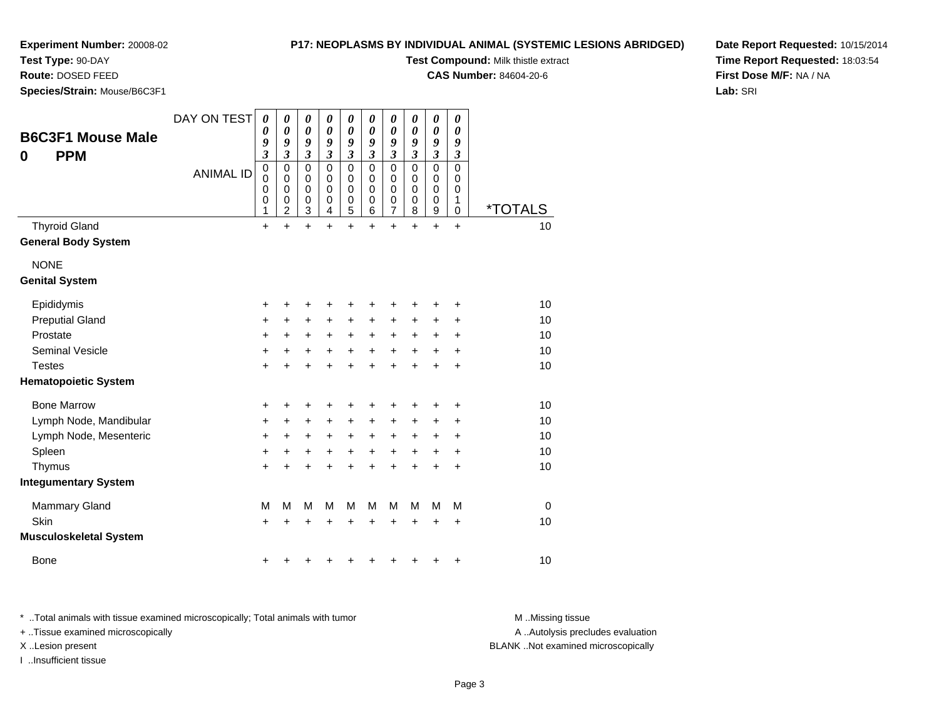## **Test Type:** 90-DAY

**Route:** DOSED FEED

**Species/Strain:** Mouse/B6C3F1

**P17: NEOPLASMS BY INDIVIDUAL ANIMAL (SYSTEMIC LESIONS ABRIDGED)**

**Test Compound:** Milk thistle extract

**CAS Number:** 84604-20-6

**Date Report Requested:** 10/15/2014**Time Report Requested:** 18:03:54**First Dose M/F:** NA / NA**Lab:** SRI

| <b>B6C3F1 Mouse Male</b><br><b>PPM</b><br>0 | DAY ON TEST<br><b>ANIMAL ID</b> | 0<br>0<br>9<br>$\overline{\mathbf{3}}$<br>0<br>0<br>0<br>0<br>1 | 0<br>0<br>9<br>$\overline{\mathbf{3}}$<br>$\mathbf 0$<br>0<br>$\pmb{0}$<br>0<br>$\overline{c}$ | 0<br>$\boldsymbol{\theta}$<br>9<br>$\overline{\mathbf{3}}$<br>$\mathbf 0$<br>$\mathbf 0$<br>$\mathbf 0$<br>$\mathbf 0$<br>$\mathbf{3}$ | $\boldsymbol{\theta}$<br>$\boldsymbol{\theta}$<br>9<br>$\mathfrak{z}$<br>$\Omega$<br>0<br>$\mathbf 0$<br>0<br>4 | 0<br>$\boldsymbol{\theta}$<br>9<br>$\mathfrak{z}$<br>$\mathbf 0$<br>0<br>$\mathbf 0$<br>$\pmb{0}$<br>5 | 0<br>$\boldsymbol{\theta}$<br>9<br>$\mathfrak{z}$<br>$\Omega$<br>0<br>$\pmb{0}$<br>$\mathbf 0$<br>6 | 0<br>0<br>9<br>$\mathfrak{z}$<br>$\mathbf 0$<br>$\mathbf 0$<br>0<br>0<br>$\overline{7}$ | 0<br>0<br>9<br>3<br>$\Omega$<br>0<br>$\mathbf 0$<br>0<br>8 | $\pmb{\theta}$<br>$\boldsymbol{\theta}$<br>9<br>$\boldsymbol{\mathfrak{z}}$<br>$\mathbf 0$<br>$\mathbf 0$<br>$\pmb{0}$<br>$\pmb{0}$<br>$\boldsymbol{9}$ | 0<br>0<br>9<br>$\boldsymbol{\beta}$<br>$\mathbf 0$<br>0<br>$\mathbf 0$<br>1<br>$\mathbf 0$ | <i><b>*TOTALS</b></i> |
|---------------------------------------------|---------------------------------|-----------------------------------------------------------------|------------------------------------------------------------------------------------------------|----------------------------------------------------------------------------------------------------------------------------------------|-----------------------------------------------------------------------------------------------------------------|--------------------------------------------------------------------------------------------------------|-----------------------------------------------------------------------------------------------------|-----------------------------------------------------------------------------------------|------------------------------------------------------------|---------------------------------------------------------------------------------------------------------------------------------------------------------|--------------------------------------------------------------------------------------------|-----------------------|
| <b>Thyroid Gland</b>                        |                                 | $\ddot{}$                                                       | $\ddot{}$                                                                                      | $\ddot{}$                                                                                                                              | $\ddot{}$                                                                                                       | $\ddot{}$                                                                                              | $\ddot{}$                                                                                           | $\ddot{}$                                                                               | $\ddot{}$                                                  | $\ddot{}$                                                                                                                                               | $\ddot{}$                                                                                  | 10                    |
| <b>General Body System</b>                  |                                 |                                                                 |                                                                                                |                                                                                                                                        |                                                                                                                 |                                                                                                        |                                                                                                     |                                                                                         |                                                            |                                                                                                                                                         |                                                                                            |                       |
| <b>NONE</b><br><b>Genital System</b>        |                                 |                                                                 |                                                                                                |                                                                                                                                        |                                                                                                                 |                                                                                                        |                                                                                                     |                                                                                         |                                                            |                                                                                                                                                         |                                                                                            |                       |
| Epididymis                                  |                                 | +                                                               | ٠                                                                                              | +                                                                                                                                      | +                                                                                                               | +                                                                                                      | +                                                                                                   | ٠                                                                                       | +                                                          | +                                                                                                                                                       | +                                                                                          | 10                    |
| <b>Preputial Gland</b>                      |                                 | +                                                               | +                                                                                              | +                                                                                                                                      | +                                                                                                               | +                                                                                                      | $\ddot{}$                                                                                           | +                                                                                       | +                                                          | +                                                                                                                                                       | +                                                                                          | 10                    |
| Prostate                                    |                                 | +                                                               | $\ddot{}$                                                                                      | $\ddot{}$                                                                                                                              | $\ddot{}$                                                                                                       | $\ddot{}$                                                                                              | $\ddot{}$                                                                                           | $\ddot{}$                                                                               | $\ddot{}$                                                  | +                                                                                                                                                       | $\ddot{}$                                                                                  | 10                    |
| <b>Seminal Vesicle</b>                      |                                 | +                                                               | +                                                                                              | +                                                                                                                                      | +                                                                                                               | $\ddot{}$                                                                                              | $\ddot{}$                                                                                           | $\ddot{}$                                                                               | +                                                          | +                                                                                                                                                       | $\ddot{}$                                                                                  | 10                    |
| <b>Testes</b>                               |                                 | +                                                               | +                                                                                              | +                                                                                                                                      | +                                                                                                               | +                                                                                                      | +                                                                                                   | $\ddot{}$                                                                               | $\ddot{}$                                                  | $\ddot{}$                                                                                                                                               | $\ddot{}$                                                                                  | 10                    |
| <b>Hematopoietic System</b>                 |                                 |                                                                 |                                                                                                |                                                                                                                                        |                                                                                                                 |                                                                                                        |                                                                                                     |                                                                                         |                                                            |                                                                                                                                                         |                                                                                            |                       |
| <b>Bone Marrow</b>                          |                                 | +                                                               | +                                                                                              | +                                                                                                                                      | +                                                                                                               | +                                                                                                      |                                                                                                     | +                                                                                       | +                                                          | +                                                                                                                                                       | +                                                                                          | 10                    |
| Lymph Node, Mandibular                      |                                 | +                                                               | +                                                                                              | +                                                                                                                                      | +                                                                                                               | $\ddot{}$                                                                                              | $\ddot{}$                                                                                           | $\ddot{}$                                                                               | +                                                          | +                                                                                                                                                       | $\ddot{}$                                                                                  | 10                    |
| Lymph Node, Mesenteric                      |                                 | +                                                               | $\ddot{}$                                                                                      | $\ddot{}$                                                                                                                              | $\ddot{}$                                                                                                       | $\ddot{}$                                                                                              | $\ddot{}$                                                                                           | $\ddot{}$                                                                               | +                                                          | +                                                                                                                                                       | $\ddot{}$                                                                                  | 10                    |
| Spleen                                      |                                 | +                                                               | +                                                                                              | +                                                                                                                                      | +                                                                                                               | +                                                                                                      | +                                                                                                   | +                                                                                       | +                                                          | +                                                                                                                                                       | +                                                                                          | 10                    |
| Thymus                                      |                                 | $\ddot{}$                                                       | +                                                                                              | +                                                                                                                                      |                                                                                                                 | +                                                                                                      | $\ddot{}$                                                                                           | $\ddot{}$                                                                               | $\ddot{}$                                                  | $\ddot{}$                                                                                                                                               | $\ddot{}$                                                                                  | 10                    |
| <b>Integumentary System</b>                 |                                 |                                                                 |                                                                                                |                                                                                                                                        |                                                                                                                 |                                                                                                        |                                                                                                     |                                                                                         |                                                            |                                                                                                                                                         |                                                                                            |                       |
| <b>Mammary Gland</b>                        |                                 | M                                                               | M                                                                                              | M                                                                                                                                      | M                                                                                                               | M                                                                                                      | M                                                                                                   | M                                                                                       | M                                                          | M                                                                                                                                                       | M                                                                                          | $\mathbf 0$           |
| Skin                                        |                                 | $\ddot{}$                                                       | +                                                                                              | +                                                                                                                                      |                                                                                                                 | +                                                                                                      |                                                                                                     | +                                                                                       | +                                                          | +                                                                                                                                                       | +                                                                                          | 10                    |
| <b>Musculoskeletal System</b>               |                                 |                                                                 |                                                                                                |                                                                                                                                        |                                                                                                                 |                                                                                                        |                                                                                                     |                                                                                         |                                                            |                                                                                                                                                         |                                                                                            |                       |
| <b>Bone</b>                                 |                                 | +                                                               |                                                                                                |                                                                                                                                        |                                                                                                                 |                                                                                                        |                                                                                                     | +                                                                                       | +                                                          | +                                                                                                                                                       | +                                                                                          | 10                    |

\* ..Total animals with tissue examined microscopically; Total animals with tumor **M** . Missing tissue M ..Missing tissue

+ ..Tissue examined microscopically

I ..Insufficient tissue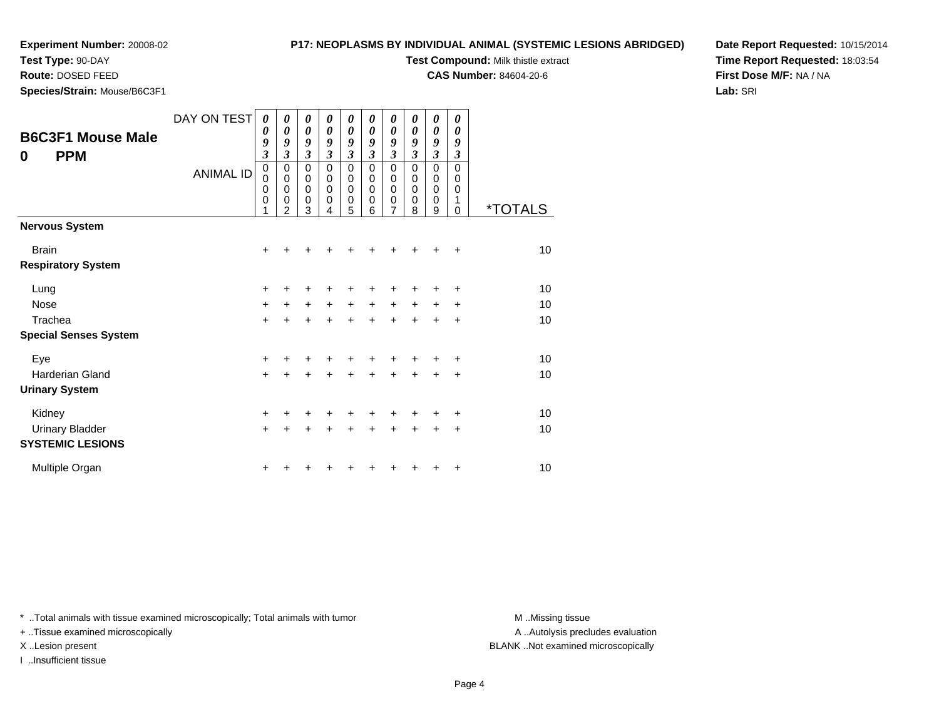**Test Type:** 90-DAY

**Route:** DOSED FEED

**Species/Strain:** Mouse/B6C3F1

#### **P17: NEOPLASMS BY INDIVIDUAL ANIMAL (SYSTEMIC LESIONS ABRIDGED)**

**Test Compound:** Milk thistle extract

**CAS Number:** 84604-20-6

**Date Report Requested:** 10/15/2014**Time Report Requested:** 18:03:54**First Dose M/F:** NA / NA**Lab:** SRI

| <b>B6C3F1 Mouse Male</b><br><b>PPM</b><br>$\bf{0}$ | DAY ON TEST<br><b>ANIMAL ID</b> | 0<br>0<br>9<br>$\mathfrak{z}$<br>$\pmb{0}$<br>$\mathbf 0$<br>0<br>$\mathbf 0$ | 0<br>0<br>9<br>$\mathfrak{z}$<br>0<br>0<br>$\mathbf 0$<br>0 | 0<br>0<br>9<br>$\mathfrak{z}$<br>$\mathbf 0$<br>0<br>0<br>0 | 0<br>0<br>9<br>$\mathfrak{z}$<br>$\Omega$<br>$\Omega$<br>$\Omega$<br>0 | 0<br>0<br>9<br>$\mathfrak{z}$<br>$\mathbf 0$<br>0<br>0<br>0 | 0<br>0<br>9<br>$\mathfrak{z}$<br>$\mathbf 0$<br>0<br>0<br>0 | 0<br>$\boldsymbol{\theta}$<br>9<br>$\overline{\mathbf{3}}$<br>0<br>0<br>$\boldsymbol{0}$<br>$\pmb{0}$ | 0<br>0<br>9<br>$\mathfrak{z}$<br>0<br>0<br>0<br>0 | 0<br>0<br>9<br>$\overline{\mathbf{3}}$<br>0<br>0<br>0<br>0 | 0<br>0<br>9<br>3<br>$\mathbf 0$<br>0<br>0<br>1 |                       |
|----------------------------------------------------|---------------------------------|-------------------------------------------------------------------------------|-------------------------------------------------------------|-------------------------------------------------------------|------------------------------------------------------------------------|-------------------------------------------------------------|-------------------------------------------------------------|-------------------------------------------------------------------------------------------------------|---------------------------------------------------|------------------------------------------------------------|------------------------------------------------|-----------------------|
|                                                    |                                 | 1                                                                             | 2                                                           | 3                                                           | 4                                                                      | 5                                                           | 6                                                           | $\overline{7}$                                                                                        | 8                                                 | 9                                                          | 0                                              | <i><b>*TOTALS</b></i> |
| <b>Nervous System</b>                              |                                 |                                                                               |                                                             |                                                             |                                                                        |                                                             |                                                             |                                                                                                       |                                                   |                                                            |                                                |                       |
| <b>Brain</b>                                       |                                 | $\ddot{}$                                                                     | +                                                           | ٠                                                           | ٠                                                                      | +                                                           | ┿                                                           | +                                                                                                     |                                                   | +                                                          | ÷                                              | 10                    |
| <b>Respiratory System</b>                          |                                 |                                                                               |                                                             |                                                             |                                                                        |                                                             |                                                             |                                                                                                       |                                                   |                                                            |                                                |                       |
| Lung                                               |                                 | $\ddot{}$                                                                     | +                                                           | +                                                           | +                                                                      | +                                                           | +                                                           | +                                                                                                     | +                                                 | ٠                                                          | +                                              | 10                    |
| <b>Nose</b>                                        |                                 | $+$                                                                           | +                                                           | $\ddot{}$                                                   | $\ddot{}$                                                              | $\ddot{}$                                                   | $\ddot{}$                                                   | $\ddot{}$                                                                                             | $\ddot{}$                                         | $\ddot{}$                                                  | +                                              | 10                    |
| Trachea                                            |                                 | $+$                                                                           | +                                                           | +                                                           | $\ddot{}$                                                              | $\ddot{}$                                                   | $\ddot{}$                                                   | $\ddot{}$                                                                                             | $\ddot{}$                                         | +                                                          | +                                              | 10                    |
| <b>Special Senses System</b>                       |                                 |                                                                               |                                                             |                                                             |                                                                        |                                                             |                                                             |                                                                                                       |                                                   |                                                            |                                                |                       |
| Eye                                                |                                 | +                                                                             |                                                             |                                                             |                                                                        |                                                             |                                                             |                                                                                                       |                                                   |                                                            | +                                              | 10                    |
| Harderian Gland                                    |                                 | $+$                                                                           | +                                                           | +                                                           | +                                                                      | +                                                           | ÷                                                           | +                                                                                                     | ÷                                                 | +                                                          | +                                              | 10                    |
| <b>Urinary System</b>                              |                                 |                                                                               |                                                             |                                                             |                                                                        |                                                             |                                                             |                                                                                                       |                                                   |                                                            |                                                |                       |
| Kidney                                             |                                 | $\ddot{}$                                                                     |                                                             | +                                                           |                                                                        | +                                                           |                                                             |                                                                                                       |                                                   |                                                            | ٠                                              | 10                    |
| <b>Urinary Bladder</b>                             |                                 | $\ddot{}$                                                                     | +                                                           | $\ddot{}$                                                   | ÷                                                                      | $\ddot{}$                                                   | ÷                                                           | $\ddot{}$                                                                                             | $\ddot{}$                                         | $\ddot{}$                                                  | $\ddot{}$                                      | 10                    |
| <b>SYSTEMIC LESIONS</b>                            |                                 |                                                                               |                                                             |                                                             |                                                                        |                                                             |                                                             |                                                                                                       |                                                   |                                                            |                                                |                       |
| Multiple Organ                                     |                                 | +                                                                             |                                                             |                                                             |                                                                        |                                                             |                                                             |                                                                                                       |                                                   | +                                                          | +                                              | 10                    |

\* ..Total animals with tissue examined microscopically; Total animals with tumor **M** . Missing tissue M ..Missing tissue

+ ..Tissue examined microscopically

I ..Insufficient tissue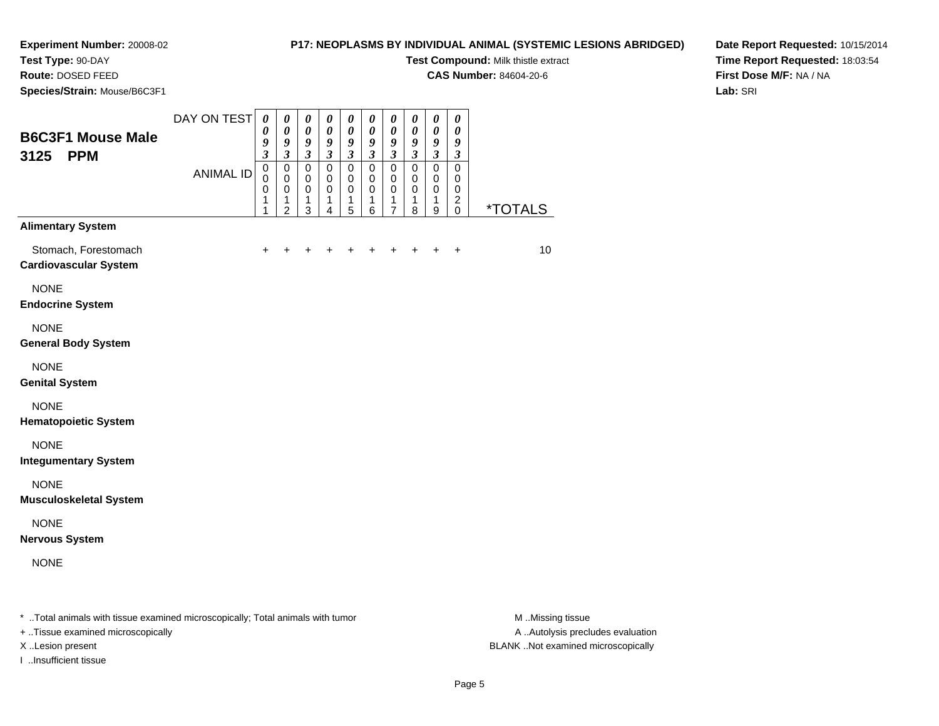# **Test Type:** 90-DAY

**Route:** DOSED FEED

**Species/Strain:** Mouse/B6C3F1

+ ..Tissue examined microscopically

I ..Insufficient tissue

#### **P17: NEOPLASMS BY INDIVIDUAL ANIMAL (SYSTEMIC LESIONS ABRIDGED)**

**Test Compound:** Milk thistle extract

**CAS Number:** 84604-20-6

**Date Report Requested:** 10/15/2014**Time Report Requested:** 18:03:54**First Dose M/F:** NA / NA**Lab:** SRI

| <b>B6C3F1 Mouse Male</b><br><b>PPM</b><br>3125                                 | DAY ON TEST      | $\boldsymbol{\theta}$<br>0<br>9<br>$\boldsymbol{\beta}$ | $\boldsymbol{\theta}$<br>$\boldsymbol{\theta}$<br>9<br>$\mathfrak{z}$ | 0<br>$\pmb{\theta}$<br>9<br>$\boldsymbol{\beta}$ | 0<br>$\pmb{\theta}$<br>9<br>$\mathfrak{z}$ | 0<br>$\boldsymbol{\theta}$<br>9<br>$\boldsymbol{\beta}$ | $\boldsymbol{\theta}$<br>$\pmb{\theta}$<br>$\boldsymbol{9}$<br>$\mathfrak{z}$ | 0<br>$\pmb{\theta}$<br>9<br>$\mathfrak{z}$ | 0<br>$\pmb{\theta}$<br>9<br>$\boldsymbol{\beta}$ | $\pmb{\theta}$<br>$\pmb{\theta}$<br>9<br>$\mathfrak{z}$ | $\boldsymbol{\theta}$<br>$\boldsymbol{\theta}$<br>9<br>$\boldsymbol{\beta}$ |                       |
|--------------------------------------------------------------------------------|------------------|---------------------------------------------------------|-----------------------------------------------------------------------|--------------------------------------------------|--------------------------------------------|---------------------------------------------------------|-------------------------------------------------------------------------------|--------------------------------------------|--------------------------------------------------|---------------------------------------------------------|-----------------------------------------------------------------------------|-----------------------|
|                                                                                | <b>ANIMAL ID</b> | $\pmb{0}$<br>0<br>0<br>1<br>1                           | $\mathbf 0$<br>$\mathbf 0$<br>0<br>1<br>2                             | $\pmb{0}$<br>0<br>0<br>1<br>3                    | $\pmb{0}$<br>0<br>0<br>1<br>4              | $\pmb{0}$<br>0<br>0<br>1<br>5                           | $\pmb{0}$<br>$\mathbf 0$<br>0<br>1<br>6                                       | $\pmb{0}$<br>0<br>0<br>1<br>7              | 0<br>0<br>0<br>1<br>8                            | $\pmb{0}$<br>0<br>0<br>1<br>$\boldsymbol{9}$            | $\pmb{0}$<br>0<br>0<br>$\overline{c}$<br>0                                  | <i><b>*TOTALS</b></i> |
| <b>Alimentary System</b>                                                       |                  |                                                         |                                                                       |                                                  |                                            |                                                         |                                                                               |                                            |                                                  |                                                         |                                                                             |                       |
| Stomach, Forestomach<br><b>Cardiovascular System</b>                           |                  | $\ddot{}$                                               | $\ddot{}$                                                             | +                                                | +                                          | +                                                       | +                                                                             | +                                          | $\ddot{}$                                        | $\ddot{}$                                               | $\ddot{}$                                                                   | 10                    |
| <b>NONE</b><br><b>Endocrine System</b>                                         |                  |                                                         |                                                                       |                                                  |                                            |                                                         |                                                                               |                                            |                                                  |                                                         |                                                                             |                       |
| <b>NONE</b><br><b>General Body System</b>                                      |                  |                                                         |                                                                       |                                                  |                                            |                                                         |                                                                               |                                            |                                                  |                                                         |                                                                             |                       |
| <b>NONE</b><br><b>Genital System</b>                                           |                  |                                                         |                                                                       |                                                  |                                            |                                                         |                                                                               |                                            |                                                  |                                                         |                                                                             |                       |
| <b>NONE</b><br><b>Hematopoietic System</b>                                     |                  |                                                         |                                                                       |                                                  |                                            |                                                         |                                                                               |                                            |                                                  |                                                         |                                                                             |                       |
| <b>NONE</b><br><b>Integumentary System</b>                                     |                  |                                                         |                                                                       |                                                  |                                            |                                                         |                                                                               |                                            |                                                  |                                                         |                                                                             |                       |
| <b>NONE</b><br><b>Musculoskeletal System</b>                                   |                  |                                                         |                                                                       |                                                  |                                            |                                                         |                                                                               |                                            |                                                  |                                                         |                                                                             |                       |
| <b>NONE</b><br><b>Nervous System</b>                                           |                  |                                                         |                                                                       |                                                  |                                            |                                                         |                                                                               |                                            |                                                  |                                                         |                                                                             |                       |
| <b>NONE</b>                                                                    |                  |                                                         |                                                                       |                                                  |                                            |                                                         |                                                                               |                                            |                                                  |                                                         |                                                                             |                       |
| * Total animals with tissue examined microscopically; Total animals with tumor |                  |                                                         |                                                                       |                                                  |                                            |                                                         |                                                                               |                                            |                                                  |                                                         |                                                                             | M Missing tissue      |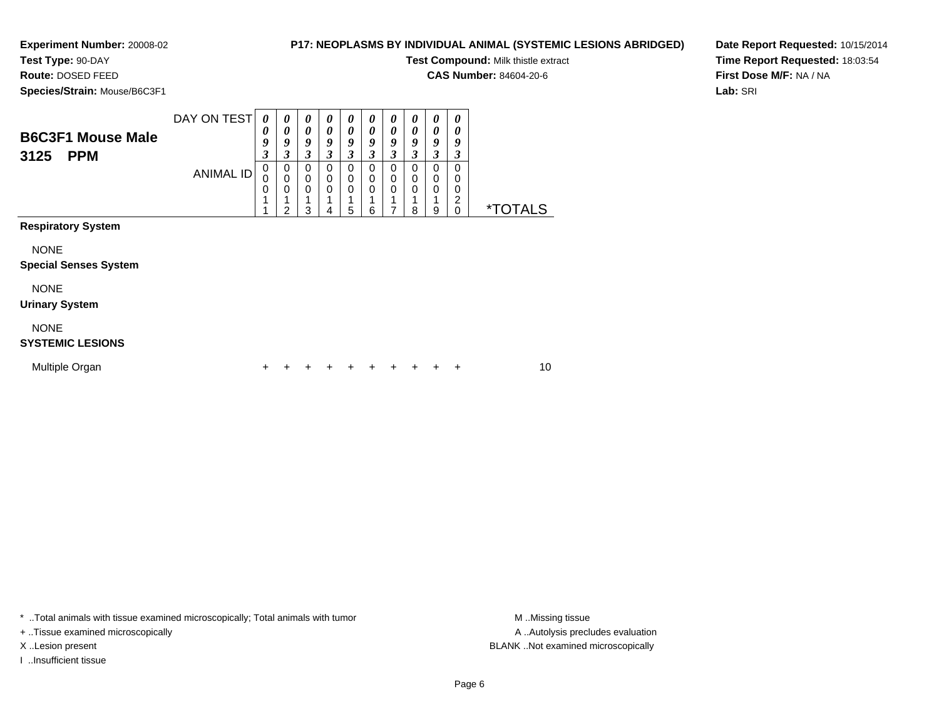# **Test Type:** 90-DAY

**Route:** DOSED FEED

**Species/Strain:** Mouse/B6C3F1

**Test Compound:** Milk thistle extract

**CAS Number:** 84604-20-6

**Date Report Requested:** 10/15/2014**Time Report Requested:** 18:03:54**First Dose M/F:** NA / NA**Lab:** SRI

| <b>B6C3F1 Mouse Male</b><br>3125<br><b>PPM</b> | DAY ON TEST<br><b>ANIMAL ID</b> | 0<br>$\boldsymbol{\theta}$<br>9<br>3<br>$\mathbf 0$<br>0<br>$\mathbf 0$ | 0<br>$\boldsymbol{\theta}$<br>9<br>3<br>$\pmb{0}$<br>$\mathbf 0$<br>0<br>$\mathcal{P}$ | 0<br>$\boldsymbol{\theta}$<br>9<br>3<br>$\mathbf 0$<br>$\mathbf 0$<br>$\mathbf 0$<br>3 | 0<br>0<br>9<br>3<br>$\mathbf 0$<br>$\mathbf 0$<br>$\mathbf 0$<br>4 | $\boldsymbol{\theta}$<br>0<br>9<br>3<br>$\mathbf 0$<br>$\mathbf 0$<br>$\mathbf 0$<br>5 | $\boldsymbol{\theta}$<br>$\boldsymbol{\theta}$<br>9<br>3<br>$\mathbf 0$<br>0<br>0<br>1<br>6 | 0<br>0<br>9<br>3<br>$\Omega$<br>$\Omega$<br>$\Omega$ | 0<br>0<br>9<br>3<br>0<br>0<br>$\mathbf 0$<br>1<br>8 | 0<br>$\boldsymbol{\theta}$<br>9<br>3<br>$\Omega$<br>0<br>0<br>9 | $\boldsymbol{\theta}$<br>0<br>9<br>3<br>$\Omega$<br>0<br>0<br>$\overline{c}$<br>$\mathbf 0$ | <i><b>*TOTALS</b></i> |    |
|------------------------------------------------|---------------------------------|-------------------------------------------------------------------------|----------------------------------------------------------------------------------------|----------------------------------------------------------------------------------------|--------------------------------------------------------------------|----------------------------------------------------------------------------------------|---------------------------------------------------------------------------------------------|------------------------------------------------------|-----------------------------------------------------|-----------------------------------------------------------------|---------------------------------------------------------------------------------------------|-----------------------|----|
| <b>Respiratory System</b>                      |                                 |                                                                         |                                                                                        |                                                                                        |                                                                    |                                                                                        |                                                                                             |                                                      |                                                     |                                                                 |                                                                                             |                       |    |
| <b>NONE</b><br><b>Special Senses System</b>    |                                 |                                                                         |                                                                                        |                                                                                        |                                                                    |                                                                                        |                                                                                             |                                                      |                                                     |                                                                 |                                                                                             |                       |    |
| <b>NONE</b><br><b>Urinary System</b>           |                                 |                                                                         |                                                                                        |                                                                                        |                                                                    |                                                                                        |                                                                                             |                                                      |                                                     |                                                                 |                                                                                             |                       |    |
| <b>NONE</b><br><b>SYSTEMIC LESIONS</b>         |                                 |                                                                         |                                                                                        |                                                                                        |                                                                    |                                                                                        |                                                                                             |                                                      |                                                     |                                                                 |                                                                                             |                       |    |
| Multiple Organ                                 |                                 |                                                                         |                                                                                        |                                                                                        |                                                                    |                                                                                        |                                                                                             |                                                      |                                                     |                                                                 | ÷                                                                                           |                       | 10 |

\* ..Total animals with tissue examined microscopically; Total animals with tumor **M** . Missing tissue M ..Missing tissue

+ ..Tissue examined microscopically

I ..Insufficient tissue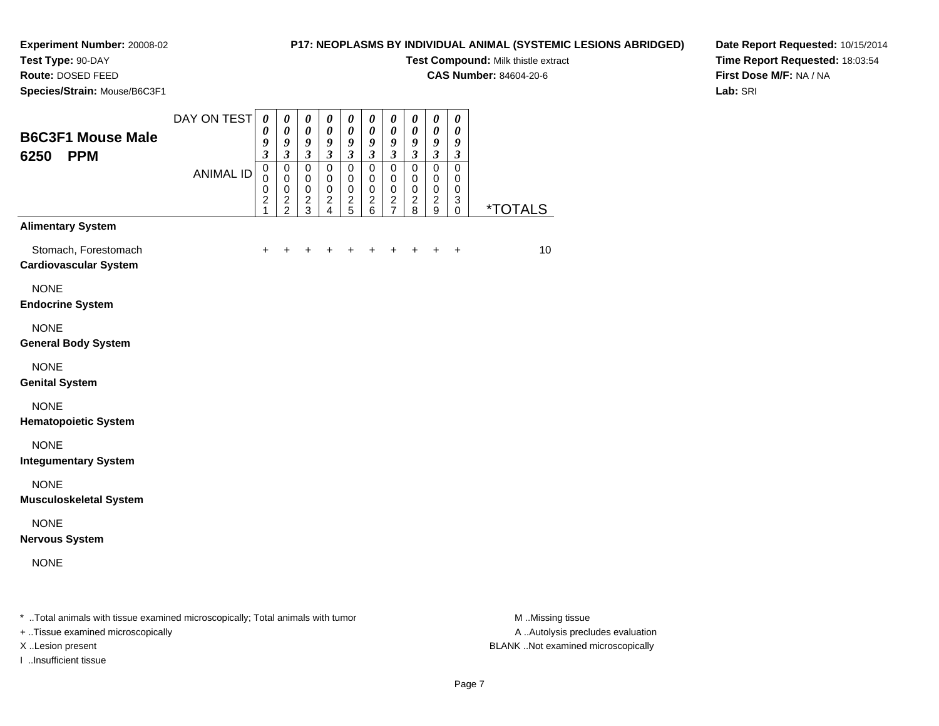# **Test Type:** 90-DAY

**Route:** DOSED FEED

**Species/Strain:** Mouse/B6C3F1

#### **P17: NEOPLASMS BY INDIVIDUAL ANIMAL (SYSTEMIC LESIONS ABRIDGED)**

**Test Compound:** Milk thistle extract

**CAS Number:** 84604-20-6

**Date Report Requested:** 10/15/2014**Time Report Requested:** 18:03:54**First Dose M/F:** NA / NA**Lab:** SRI

| <b>B6C3F1 Mouse Male</b><br>6250<br><b>PPM</b>       | DAY ON TEST      | $\pmb{\theta}$<br>0<br>9<br>$\overline{\mathbf{3}}$             | $\pmb{\theta}$<br>$\boldsymbol{\theta}$<br>9<br>$\mathfrak{z}$ | $\boldsymbol{\theta}$<br>$\boldsymbol{\theta}$<br>9<br>$\boldsymbol{\beta}$ | 0<br>$\boldsymbol{\theta}$<br>9<br>$\mathfrak{z}$          | $\boldsymbol{\theta}$<br>$\boldsymbol{\theta}$<br>9<br>$\mathfrak{z}$ | 0<br>$\boldsymbol{\theta}$<br>9<br>$\boldsymbol{\beta}$              | $\boldsymbol{\theta}$<br>$\boldsymbol{\theta}$<br>9<br>$\boldsymbol{\beta}$ | 0<br>$\pmb{\theta}$<br>9<br>$\boldsymbol{\beta}$                 | $\pmb{\theta}$<br>$\pmb{\theta}$<br>9<br>$\boldsymbol{\beta}$ | 0<br>$\boldsymbol{\theta}$<br>9<br>$\boldsymbol{\beta}$ |                       |
|------------------------------------------------------|------------------|-----------------------------------------------------------------|----------------------------------------------------------------|-----------------------------------------------------------------------------|------------------------------------------------------------|-----------------------------------------------------------------------|----------------------------------------------------------------------|-----------------------------------------------------------------------------|------------------------------------------------------------------|---------------------------------------------------------------|---------------------------------------------------------|-----------------------|
|                                                      | <b>ANIMAL ID</b> | $\mathsf 0$<br>$\mathbf 0$<br>0<br>$\overline{\mathbf{c}}$<br>1 | $\mathbf 0$<br>$\mathbf 0$<br>$\pmb{0}$<br>$\frac{2}{2}$       | $\mathbf 0$<br>$\mathbf 0$<br>$\pmb{0}$<br>$\frac{2}{3}$                    | $\mathbf 0$<br>$\mathbf 0$<br>$\mathbf 0$<br>$\frac{2}{4}$ | $\pmb{0}$<br>$\mathbf 0$<br>$\pmb{0}$<br>$\frac{2}{5}$                | $\mathsf 0$<br>$\mathbf 0$<br>$\pmb{0}$<br>$\boldsymbol{2}$<br>$\,6$ | $\pmb{0}$<br>$\pmb{0}$<br>$\pmb{0}$<br>$\frac{2}{7}$                        | $\mathbf 0$<br>$\pmb{0}$<br>$\mathbf 0$<br>$\boldsymbol{2}$<br>8 | $\mathsf 0$<br>$\mathbf 0$<br>$\pmb{0}$<br>$\frac{2}{9}$      | $\mathbf 0$<br>0<br>$\mathbf 0$<br>3<br>$\mathbf 0$     | <i><b>*TOTALS</b></i> |
| <b>Alimentary System</b>                             |                  |                                                                 |                                                                |                                                                             |                                                            |                                                                       |                                                                      |                                                                             |                                                                  |                                                               |                                                         |                       |
| Stomach, Forestomach<br><b>Cardiovascular System</b> |                  | +                                                               | ٠                                                              |                                                                             |                                                            | ÷                                                                     | +                                                                    | $\ddot{}$                                                                   | +                                                                | $\ddot{}$                                                     | $\ddot{}$                                               | 10                    |
| <b>NONE</b><br><b>Endocrine System</b>               |                  |                                                                 |                                                                |                                                                             |                                                            |                                                                       |                                                                      |                                                                             |                                                                  |                                                               |                                                         |                       |
| <b>NONE</b><br><b>General Body System</b>            |                  |                                                                 |                                                                |                                                                             |                                                            |                                                                       |                                                                      |                                                                             |                                                                  |                                                               |                                                         |                       |
| <b>NONE</b><br><b>Genital System</b>                 |                  |                                                                 |                                                                |                                                                             |                                                            |                                                                       |                                                                      |                                                                             |                                                                  |                                                               |                                                         |                       |
| <b>NONE</b><br><b>Hematopoietic System</b>           |                  |                                                                 |                                                                |                                                                             |                                                            |                                                                       |                                                                      |                                                                             |                                                                  |                                                               |                                                         |                       |
| <b>NONE</b><br><b>Integumentary System</b>           |                  |                                                                 |                                                                |                                                                             |                                                            |                                                                       |                                                                      |                                                                             |                                                                  |                                                               |                                                         |                       |
| <b>NONE</b><br><b>Musculoskeletal System</b>         |                  |                                                                 |                                                                |                                                                             |                                                            |                                                                       |                                                                      |                                                                             |                                                                  |                                                               |                                                         |                       |
| <b>NONE</b><br><b>Nervous System</b>                 |                  |                                                                 |                                                                |                                                                             |                                                            |                                                                       |                                                                      |                                                                             |                                                                  |                                                               |                                                         |                       |
| <b>NONE</b>                                          |                  |                                                                 |                                                                |                                                                             |                                                            |                                                                       |                                                                      |                                                                             |                                                                  |                                                               |                                                         |                       |
|                                                      |                  |                                                                 |                                                                |                                                                             |                                                            |                                                                       |                                                                      |                                                                             |                                                                  |                                                               |                                                         |                       |

\* ..Total animals with tissue examined microscopically; Total animals with tumor **M** ...Missing tissue M ...Missing tissue

+ ..Tissue examined microscopically

I ..Insufficient tissue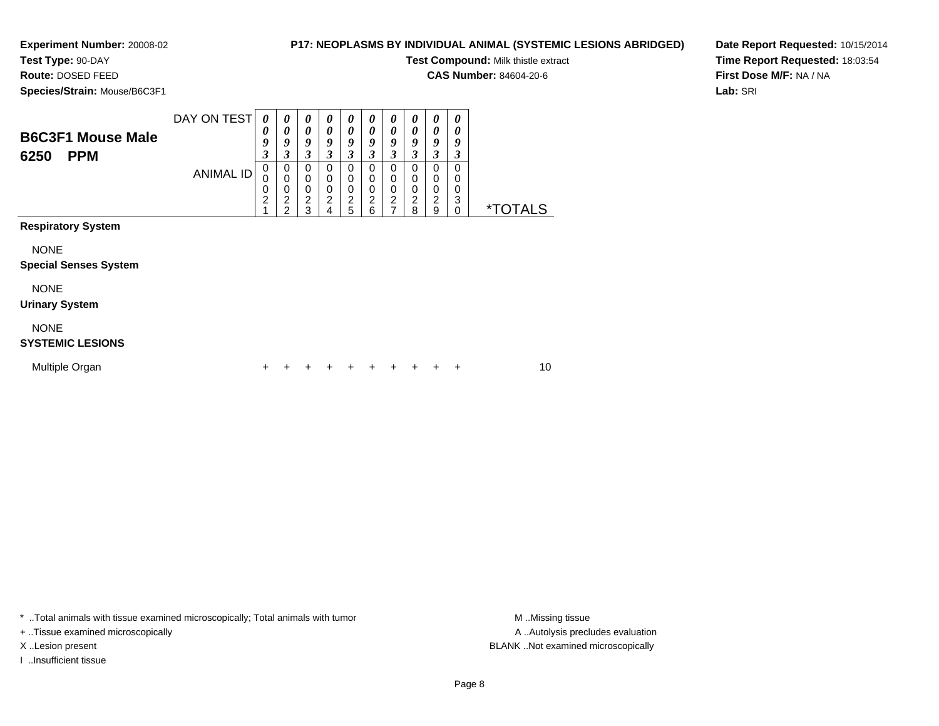#### **P17: NEOPLASMS BY INDIVIDUAL ANIMAL (SYSTEMIC LESIONS ABRIDGED)**

**Test Compound:** Milk thistle extract

**CAS Number:** 84604-20-6

**Date Report Requested:** 10/15/2014**Time Report Requested:** 18:03:54**First Dose M/F:** NA / NA**Lab:** SRI

**Species/Strain:** Mouse/B6C3F1

**Route:** DOSED FEED

| <b>B6C3F1 Mouse Male</b>  | DAY ON TEST | 0<br>0<br>9           | $\theta$<br>0<br>Q    | 0<br>0<br>9                                     | 0<br>0<br>Q           | 0<br>0<br>9                | 0<br>0<br>Q                 | $\boldsymbol{\theta}$<br>0<br>9 | 0<br>0<br>Y      | $\boldsymbol{\theta}$<br>0<br>9 | $\boldsymbol{\theta}$<br>u |                       |
|---------------------------|-------------|-----------------------|-----------------------|-------------------------------------------------|-----------------------|----------------------------|-----------------------------|---------------------------------|------------------|---------------------------------|----------------------------|-----------------------|
| <b>PPM</b><br>6250        | ANIMAL ID   | 3<br>0<br>0<br>0<br>2 | 0<br>0<br>0<br>ົ<br>ີ | 3<br>$\Omega$<br>$\Omega$<br>$\Omega$<br>2<br>3 | 0<br>0<br>0<br>2<br>Δ | 3<br>0<br>0<br>0<br>2<br>5 | J.<br>0<br>0<br>0<br>ົ<br>6 | 3<br>0<br>$\Omega$<br>0<br>2    | 0<br>0<br>⌒<br>8 | 3<br>0<br>0<br>0<br>2<br>9      | 0<br>0<br>3                | <i><b>*TOTALS</b></i> |
| <b>Respiratory System</b> |             |                       |                       |                                                 |                       |                            |                             |                                 |                  |                                 |                            |                       |

NONE

#### **Special Senses System**

NONE

#### **Urinary System**

NONE

#### **SYSTEMIC LESIONS**

| Multiple Organ |  | + + + + + + + + + + |  |  |  | 10 |
|----------------|--|---------------------|--|--|--|----|
|                |  |                     |  |  |  |    |

\* ..Total animals with tissue examined microscopically; Total animals with tumor **M** . Missing tissue M ..Missing tissue

+ ..Tissue examined microscopically

I ..Insufficient tissue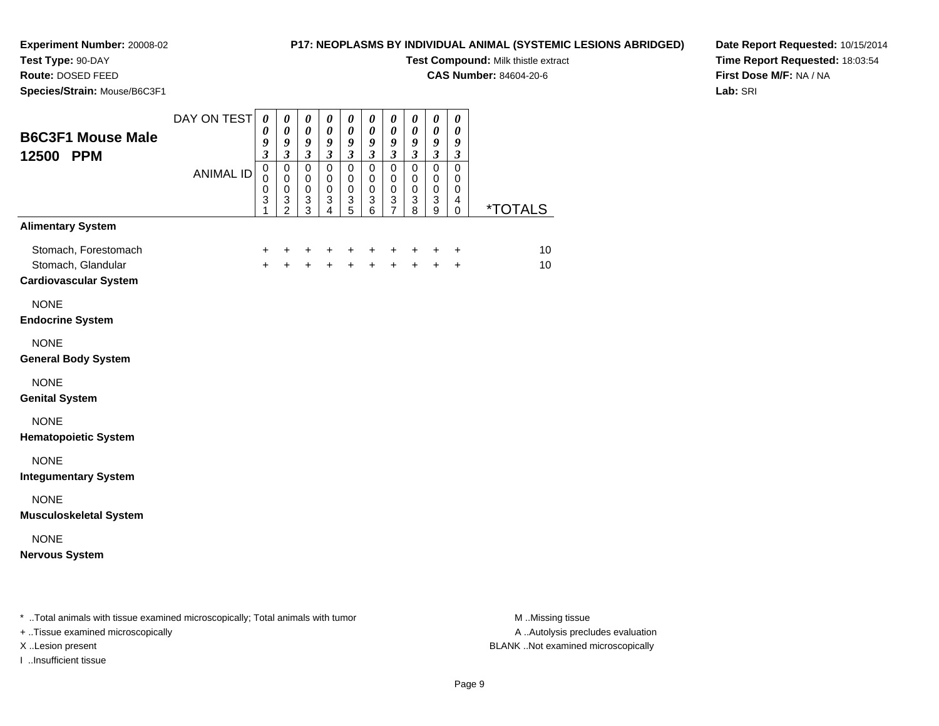#### **Test Type:** 90-DAY

**Route:** DOSED FEED

**Species/Strain:** Mouse/B6C3F1

#### **P17: NEOPLASMS BY INDIVIDUAL ANIMAL (SYSTEMIC LESIONS ABRIDGED)**

**Test Compound:** Milk thistle extract

**CAS Number:** 84604-20-6

**Date Report Requested:** 10/15/2014**Time Report Requested:** 18:03:54**First Dose M/F:** NA / NA**Lab:** SRI

| <b>B6C3F1 Mouse Male</b><br>12500 PPM                                      | DAY ON TEST<br><b>ANIMAL ID</b> | $\boldsymbol{\theta}$<br>0<br>9<br>$\mathfrak{z}$<br>$\mbox{O}$<br>$\mathbf 0$<br>$\pmb{0}$ | $\boldsymbol{\theta}$<br>$\pmb{\theta}$<br>$\boldsymbol{g}$<br>$\mathfrak{z}$<br>$\pmb{0}$<br>$\mathbf 0$<br>$\mathsf 0$ | $\boldsymbol{\theta}$<br>$\pmb{\theta}$<br>$\boldsymbol{g}$<br>$\mathfrak{z}$<br>$\pmb{0}$<br>$\pmb{0}$<br>$\pmb{0}$ | 0<br>$\boldsymbol{\theta}$<br>$\boldsymbol{g}$<br>$\mathfrak{z}$<br>$\mathbf 0$<br>$\mathbf 0$<br>$\mathsf{O}\xspace$ | $\pmb{\theta}$<br>$\boldsymbol{\theta}$<br>$\boldsymbol{g}$<br>$\mathfrak{z}$<br>$\pmb{0}$<br>$\pmb{0}$<br>$\mathbf 0$ | 0<br>$\boldsymbol{\theta}$<br>9<br>$\overline{\mathbf{3}}$<br>$\mathbf 0$<br>$\Omega$<br>$\mathbf 0$ | $\pmb{\theta}$<br>$\pmb{\theta}$<br>9<br>$\mathfrak{z}$<br>$\pmb{0}$<br>$\mathbf 0$<br>$\mathsf 0$ | 0<br>$\boldsymbol{\theta}$<br>$\boldsymbol{g}$<br>$\mathfrak{z}$<br>$\pmb{0}$<br>$\mathbf 0$<br>$\mathbf 0$ | 0<br>$\boldsymbol{\theta}$<br>$\boldsymbol{g}$<br>$\boldsymbol{\beta}$<br>$\mathbf 0$<br>$\pmb{0}$<br>$\pmb{0}$ | 0<br>$\pmb{\theta}$<br>9<br>$\mathfrak{z}$<br>$\pmb{0}$<br>$\mathbf 0$<br>0 |          |
|----------------------------------------------------------------------------|---------------------------------|---------------------------------------------------------------------------------------------|--------------------------------------------------------------------------------------------------------------------------|----------------------------------------------------------------------------------------------------------------------|-----------------------------------------------------------------------------------------------------------------------|------------------------------------------------------------------------------------------------------------------------|------------------------------------------------------------------------------------------------------|----------------------------------------------------------------------------------------------------|-------------------------------------------------------------------------------------------------------------|-----------------------------------------------------------------------------------------------------------------|-----------------------------------------------------------------------------|----------|
| <b>Alimentary System</b>                                                   |                                 | $\ensuremath{\mathsf{3}}$<br>1                                                              | $\frac{3}{2}$                                                                                                            | $\frac{3}{3}$                                                                                                        | $\frac{3}{4}$                                                                                                         | $\frac{3}{5}$                                                                                                          | 3<br>6                                                                                               | $\frac{3}{7}$                                                                                      | $\sqrt{3}$<br>$\overline{8}$                                                                                | $_9^3$                                                                                                          | 4<br>0                                                                      | *TOTALS  |
| Stomach, Forestomach<br>Stomach, Glandular<br><b>Cardiovascular System</b> |                                 | $\ddot{}$<br>$+$                                                                            | $\ddot{}$<br>$+$                                                                                                         | +<br>$+$                                                                                                             | +<br>$\ddot{+}$                                                                                                       | +<br>$\ddot{+}$                                                                                                        | +<br>$\ddot{+}$                                                                                      | +<br>$\ddot{+}$                                                                                    | +<br>$\ddot{+}$                                                                                             | +<br>$\ddot{+}$                                                                                                 | +<br>$\ddot{}$                                                              | 10<br>10 |
| <b>NONE</b><br><b>Endocrine System</b>                                     |                                 |                                                                                             |                                                                                                                          |                                                                                                                      |                                                                                                                       |                                                                                                                        |                                                                                                      |                                                                                                    |                                                                                                             |                                                                                                                 |                                                                             |          |
| <b>NONE</b><br><b>General Body System</b>                                  |                                 |                                                                                             |                                                                                                                          |                                                                                                                      |                                                                                                                       |                                                                                                                        |                                                                                                      |                                                                                                    |                                                                                                             |                                                                                                                 |                                                                             |          |
| <b>NONE</b><br><b>Genital System</b>                                       |                                 |                                                                                             |                                                                                                                          |                                                                                                                      |                                                                                                                       |                                                                                                                        |                                                                                                      |                                                                                                    |                                                                                                             |                                                                                                                 |                                                                             |          |
| <b>NONE</b><br><b>Hematopoietic System</b>                                 |                                 |                                                                                             |                                                                                                                          |                                                                                                                      |                                                                                                                       |                                                                                                                        |                                                                                                      |                                                                                                    |                                                                                                             |                                                                                                                 |                                                                             |          |
| <b>NONE</b><br><b>Integumentary System</b>                                 |                                 |                                                                                             |                                                                                                                          |                                                                                                                      |                                                                                                                       |                                                                                                                        |                                                                                                      |                                                                                                    |                                                                                                             |                                                                                                                 |                                                                             |          |
| <b>NONE</b><br><b>Musculoskeletal System</b>                               |                                 |                                                                                             |                                                                                                                          |                                                                                                                      |                                                                                                                       |                                                                                                                        |                                                                                                      |                                                                                                    |                                                                                                             |                                                                                                                 |                                                                             |          |
| <b>NONE</b><br><b>Nervous System</b>                                       |                                 |                                                                                             |                                                                                                                          |                                                                                                                      |                                                                                                                       |                                                                                                                        |                                                                                                      |                                                                                                    |                                                                                                             |                                                                                                                 |                                                                             |          |

\* ..Total animals with tissue examined microscopically; Total animals with tumor **M** . Missing tissue M ..Missing tissue

+ ..Tissue examined microscopically

I ..Insufficient tissue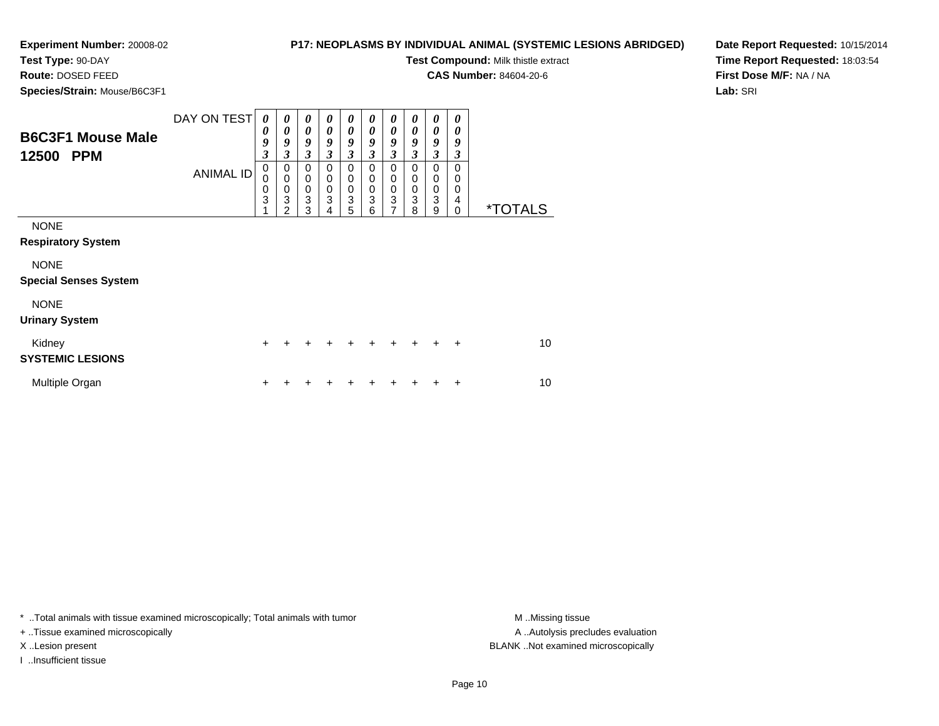**Test Type:** 90-DAY**Route:** DOSED FEED

### **P17: NEOPLASMS BY INDIVIDUAL ANIMAL (SYSTEMIC LESIONS ABRIDGED)**

0<br>0<br>0<br>3<br>9

0<br>0<br>0<br>3<br>8

**Test Compound:** Milk thistle extract

0 \*TOTALS

**CAS Number:** 84604-20-6

**Date Report Requested:** 10/15/2014**Time Report Requested:** 18:03:54**First Dose M/F:** NA / NA**Lab:** SRI

 **Species/Strain:** Mouse/B6C3F1DAY ON TEST**B6C3F1 Mouse Male12500 PPM**ANIMAL ID*0 0 9 3* 0 0 0 3 1*0 0 9 3*0<br>0<br>0<br>3<br>2 *0 0 9 3* 0 0 0 3 3*0 0 9 3* 0 0 0 3 4*0 0 9 3* 0 0 0 3 5*0 0 9 3* 0 0 0 3 6*0 0 9 3* 00 0 3 7

NONE

**Respiratory System**

NONE

**Special Senses System**

#### NONE

**Urinary System**

| Kidney<br><b>SYSTEMIC LESIONS</b> |  |  | + + + + + + + + + + |  |  | 10 |
|-----------------------------------|--|--|---------------------|--|--|----|
| Multiple Organ                    |  |  | + + + + + + + + + + |  |  | 10 |

\* ..Total animals with tissue examined microscopically; Total animals with tumor **M** ..Missing tissue M ..Missing tissue

+ ..Tissue examined microscopically

I ..Insufficient tissue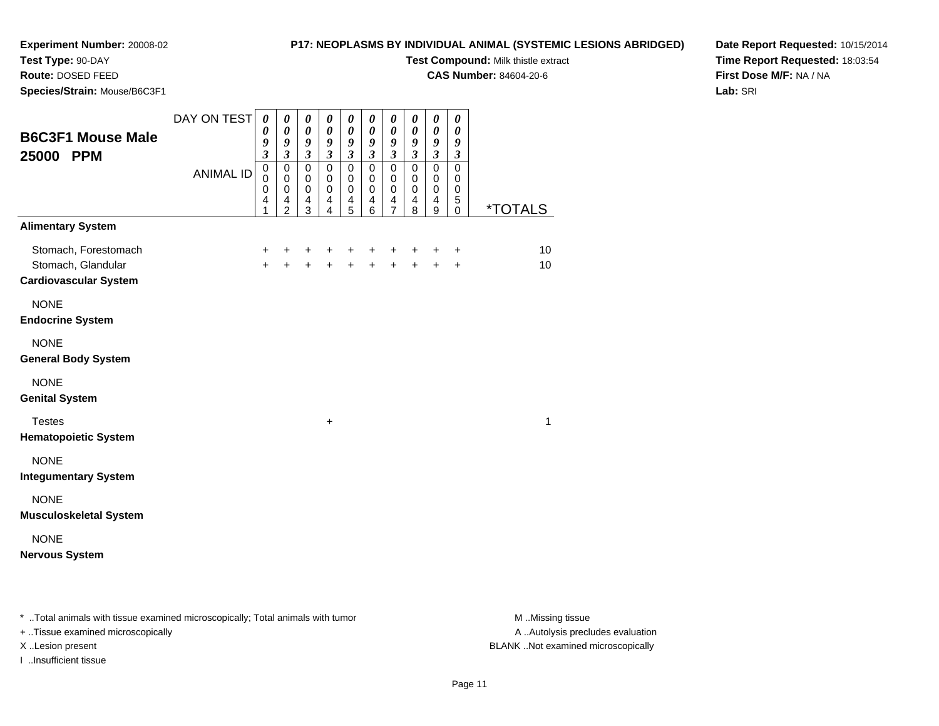## **Test Type:** 90-DAY

**Route:** DOSED FEED

**Species/Strain:** Mouse/B6C3F1

#### **P17: NEOPLASMS BY INDIVIDUAL ANIMAL (SYSTEMIC LESIONS ABRIDGED)**

**Test Compound:** Milk thistle extract

**CAS Number:** 84604-20-6

**Date Report Requested:** 10/15/2014**Time Report Requested:** 18:03:54**First Dose M/F:** NA / NA**Lab:** SRI

| <b>B6C3F1 Mouse Male</b><br>25000 PPM                                      | DAY ON TEST<br><b>ANIMAL ID</b> | $\boldsymbol{\theta}$<br>$\boldsymbol{\theta}$<br>9<br>$\mathfrak{z}$<br>$\pmb{0}$<br>$\mathbf 0$<br>$\mathbf 0$<br>$\overline{4}$<br>1 | $\pmb{\theta}$<br>$\pmb{\theta}$<br>9<br>$\mathfrak{z}$<br>$\mathsf 0$<br>$\mathbf 0$<br>$\mathbf 0$<br>4<br>2 | 0<br>$\boldsymbol{\theta}$<br>9<br>$\boldsymbol{\beta}$<br>$\mathsf 0$<br>$\mathbf 0$<br>$\mathbf 0$<br>$\overline{4}$<br>3 | $\boldsymbol{\theta}$<br>$\boldsymbol{\theta}$<br>$\boldsymbol{g}$<br>$\mathfrak{z}$<br>$\mathsf{O}\xspace$<br>0<br>$\mathbf 0$<br>4<br>$\overline{4}$ | 0<br>$\pmb{\theta}$<br>9<br>$\mathfrak{z}$<br>$\pmb{0}$<br>$\mathbf 0$<br>$\mathbf 0$<br>4<br>5 | 0<br>$\boldsymbol{\theta}$<br>$\boldsymbol{g}$<br>$\mathfrak{z}$<br>$\pmb{0}$<br>$\mathbf 0$<br>$\pmb{0}$<br>$\overline{\mathbf{4}}$<br>6 | 0<br>$\boldsymbol{\theta}$<br>9<br>$\mathfrak{z}$<br>$\mathbf 0$<br>$\Omega$<br>$\mathbf 0$<br>4<br>$\overline{7}$ | 0<br>$\boldsymbol{\theta}$<br>9<br>$\mathfrak{z}$<br>$\pmb{0}$<br>$\mathbf 0$<br>$\mathbf 0$<br>4<br>8 | $\pmb{\theta}$<br>$\pmb{\theta}$<br>$\boldsymbol{g}$<br>$\mathfrak{z}$<br>$\mathbf 0$<br>$\mathbf 0$<br>$\mathbf 0$<br>$\overline{\mathbf{4}}$<br>9 | 0<br>$\boldsymbol{\theta}$<br>9<br>$\mathfrak{z}$<br>0<br>$\mathbf 0$<br>$\mathbf 0$<br>5<br>$\mathbf 0$ | <i><b>*TOTALS</b></i> |
|----------------------------------------------------------------------------|---------------------------------|-----------------------------------------------------------------------------------------------------------------------------------------|----------------------------------------------------------------------------------------------------------------|-----------------------------------------------------------------------------------------------------------------------------|--------------------------------------------------------------------------------------------------------------------------------------------------------|-------------------------------------------------------------------------------------------------|-------------------------------------------------------------------------------------------------------------------------------------------|--------------------------------------------------------------------------------------------------------------------|--------------------------------------------------------------------------------------------------------|-----------------------------------------------------------------------------------------------------------------------------------------------------|----------------------------------------------------------------------------------------------------------|-----------------------|
| <b>Alimentary System</b>                                                   |                                 |                                                                                                                                         |                                                                                                                |                                                                                                                             |                                                                                                                                                        |                                                                                                 |                                                                                                                                           |                                                                                                                    |                                                                                                        |                                                                                                                                                     |                                                                                                          |                       |
| Stomach, Forestomach<br>Stomach, Glandular<br><b>Cardiovascular System</b> |                                 | $\ddot{}$<br>$+$                                                                                                                        | +<br>$\ddot{}$                                                                                                 | +<br>$+$                                                                                                                    | $\ddot{}$                                                                                                                                              | $\pm$                                                                                           | $\ddot{}$<br>$+ + +$                                                                                                                      | +<br>$\ddot{+}$                                                                                                    | +<br>$+$                                                                                               | $\ddot{}$<br>$\ddot{+}$                                                                                                                             | +<br>$+$                                                                                                 | 10<br>10              |
| <b>NONE</b><br><b>Endocrine System</b>                                     |                                 |                                                                                                                                         |                                                                                                                |                                                                                                                             |                                                                                                                                                        |                                                                                                 |                                                                                                                                           |                                                                                                                    |                                                                                                        |                                                                                                                                                     |                                                                                                          |                       |
| <b>NONE</b><br><b>General Body System</b>                                  |                                 |                                                                                                                                         |                                                                                                                |                                                                                                                             |                                                                                                                                                        |                                                                                                 |                                                                                                                                           |                                                                                                                    |                                                                                                        |                                                                                                                                                     |                                                                                                          |                       |
| <b>NONE</b><br><b>Genital System</b>                                       |                                 |                                                                                                                                         |                                                                                                                |                                                                                                                             |                                                                                                                                                        |                                                                                                 |                                                                                                                                           |                                                                                                                    |                                                                                                        |                                                                                                                                                     |                                                                                                          |                       |
| <b>Testes</b><br><b>Hematopoietic System</b>                               |                                 |                                                                                                                                         |                                                                                                                |                                                                                                                             | $\ddot{}$                                                                                                                                              |                                                                                                 |                                                                                                                                           |                                                                                                                    |                                                                                                        |                                                                                                                                                     |                                                                                                          | 1                     |
| <b>NONE</b><br><b>Integumentary System</b>                                 |                                 |                                                                                                                                         |                                                                                                                |                                                                                                                             |                                                                                                                                                        |                                                                                                 |                                                                                                                                           |                                                                                                                    |                                                                                                        |                                                                                                                                                     |                                                                                                          |                       |
| <b>NONE</b><br><b>Musculoskeletal System</b>                               |                                 |                                                                                                                                         |                                                                                                                |                                                                                                                             |                                                                                                                                                        |                                                                                                 |                                                                                                                                           |                                                                                                                    |                                                                                                        |                                                                                                                                                     |                                                                                                          |                       |
| <b>NONE</b><br><b>Nervous System</b>                                       |                                 |                                                                                                                                         |                                                                                                                |                                                                                                                             |                                                                                                                                                        |                                                                                                 |                                                                                                                                           |                                                                                                                    |                                                                                                        |                                                                                                                                                     |                                                                                                          |                       |

\* ..Total animals with tissue examined microscopically; Total animals with tumor **M** . Missing tissue M ..Missing tissue

+ ..Tissue examined microscopically

I ..Insufficient tissue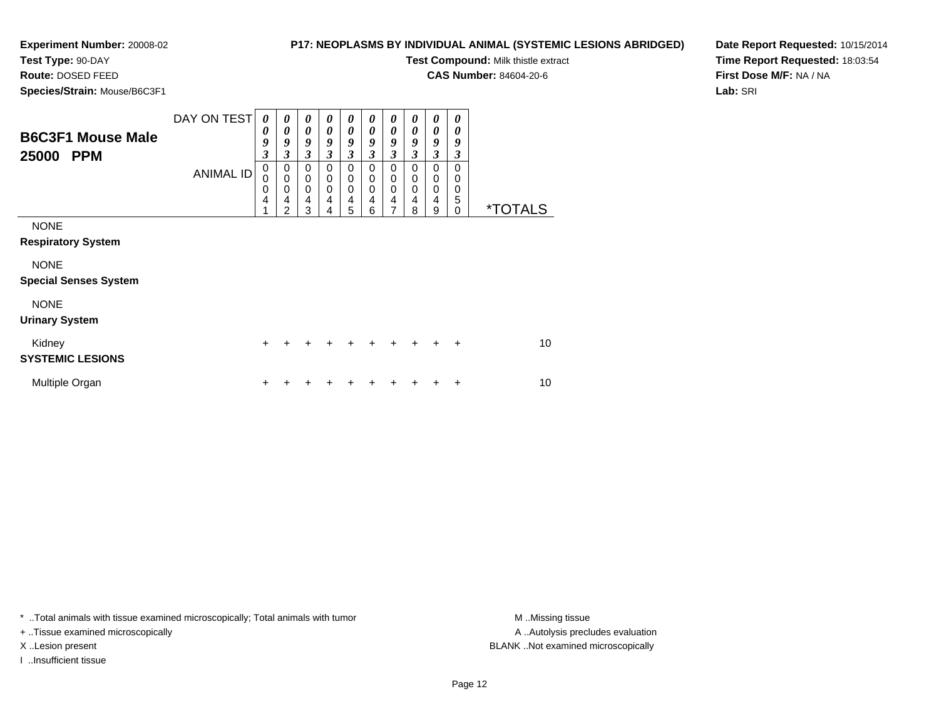## **P17: NEOPLASMS BY INDIVIDUAL ANIMAL (SYSTEMIC LESIONS ABRIDGED)**

**Test Compound:** Milk thistle extract

**CAS Number:** 84604-20-6

**Date Report Requested:** 10/15/2014**Time Report Requested:** 18:03:54**First Dose M/F:** NA / NA**Lab:** SRI

 **Route:** DOSED FEED**Species/Strain:** Mouse/B6C3F1

|                              | DAY ON TEST      | 0                | 0                        | 0                          | $\boldsymbol{\theta}$      | 0                            | 0                          | 0                          | 0              | 0                          | 0             |                       |
|------------------------------|------------------|------------------|--------------------------|----------------------------|----------------------------|------------------------------|----------------------------|----------------------------|----------------|----------------------------|---------------|-----------------------|
| <b>B6C3F1 Mouse Male</b>     |                  | 0<br>9           | 0<br>9                   | $\boldsymbol{\theta}$<br>9 | 0<br>9                     | $\boldsymbol{\theta}$<br>9   | 0<br>9                     | 0<br>9                     | 0<br>9         | $\boldsymbol{\theta}$<br>9 | 0<br>9        |                       |
| 25000<br><b>PPM</b>          |                  | 3                | 3                        | $\mathfrak{z}$             | $\mathfrak{z}$             | $\mathfrak{z}$               | $\mathfrak{z}$             | $\mathfrak{z}$             | $\mathfrak{z}$ | $\mathfrak{z}$             | 3             |                       |
|                              | <b>ANIMAL ID</b> | 0<br>$\mathbf 0$ | $\pmb{0}$<br>$\mathbf 0$ | $\mathbf 0$<br>$\mathbf 0$ | $\mathbf 0$<br>$\mathbf 0$ | 0<br>$\mathbf 0$             | $\mathbf 0$<br>$\mathbf 0$ | $\mathbf 0$<br>$\mathbf 0$ | $\Omega$<br>0  | $\mathbf 0$<br>0           | $\Omega$<br>0 |                       |
|                              |                  | 0                | $\mathbf 0$              | $\mathbf 0$                | $\mathbf 0$                | $\pmb{0}$                    | $\mathbf 0$                | 0                          | 0              | $\pmb{0}$                  | 0             |                       |
|                              |                  | 4<br>4           | 4<br>$\overline{2}$      | 4<br>3                     | 4<br>4                     | $\overline{\mathbf{4}}$<br>5 | 4<br>6                     | 4<br>7                     | 4<br>8         | $\overline{4}$<br>9        | 5<br>0        | <i><b>*TOTALS</b></i> |
| <b>NONE</b>                  |                  |                  |                          |                            |                            |                              |                            |                            |                |                            |               |                       |
| <b>Respiratory System</b>    |                  |                  |                          |                            |                            |                              |                            |                            |                |                            |               |                       |
| <b>NONE</b>                  |                  |                  |                          |                            |                            |                              |                            |                            |                |                            |               |                       |
| <b>Special Senses System</b> |                  |                  |                          |                            |                            |                              |                            |                            |                |                            |               |                       |
| <b>NONE</b>                  |                  |                  |                          |                            |                            |                              |                            |                            |                |                            |               |                       |
| <b>Urinary System</b>        |                  |                  |                          |                            |                            |                              |                            |                            |                |                            |               |                       |
| Kidney                       |                  | $\ddot{}$        |                          |                            |                            |                              |                            | +                          | $\div$         | ÷                          | $\ddot{}$     | 10                    |
| <b>SYSTEMIC LESIONS</b>      |                  |                  |                          |                            |                            |                              |                            |                            |                |                            |               |                       |
| Multiple Organ               |                  | +                |                          |                            |                            |                              |                            |                            |                |                            | ٠             | 10                    |

\* ..Total animals with tissue examined microscopically; Total animals with tumor **M** . Missing tissue M ..Missing tissue

+ ..Tissue examined microscopically

I ..Insufficient tissue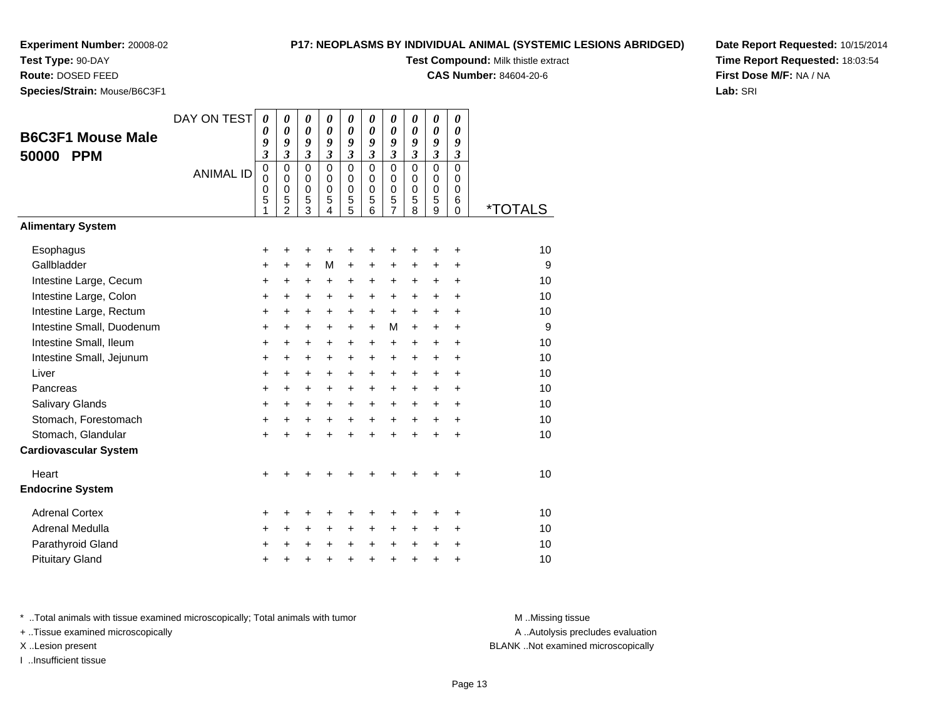## **Test Type:** 90-DAY

**Route:** DOSED FEED

**Species/Strain:** Mouse/B6C3F1

#### **P17: NEOPLASMS BY INDIVIDUAL ANIMAL (SYSTEMIC LESIONS ABRIDGED)**

**Test Compound:** Milk thistle extract

**CAS Number:** 84604-20-6

**Date Report Requested:** 10/15/2014**Time Report Requested:** 18:03:54**First Dose M/F:** NA / NA**Lab:** SRI

|                              | DAY ON TEST      | $\boldsymbol{\theta}$ | 0                          | 0                          | 0                          | 0                          | 0                          | 0                          | 0                          | 0                          | 0                   |                       |
|------------------------------|------------------|-----------------------|----------------------------|----------------------------|----------------------------|----------------------------|----------------------------|----------------------------|----------------------------|----------------------------|---------------------|-----------------------|
| <b>B6C3F1 Mouse Male</b>     |                  | 0<br>9                | $\boldsymbol{\theta}$<br>9 | $\boldsymbol{\theta}$<br>9 | $\boldsymbol{\theta}$<br>9 | $\boldsymbol{\theta}$<br>9 | $\boldsymbol{\theta}$<br>9 | $\boldsymbol{\theta}$<br>9 | $\boldsymbol{\theta}$<br>9 | $\boldsymbol{\theta}$<br>9 | 0                   |                       |
| <b>PPM</b><br>50000          |                  | 3                     | $\mathfrak{z}$             | $\mathfrak{z}$             | $\overline{\mathbf{3}}$    | $\overline{\mathbf{3}}$    | $\mathfrak{z}$             | $\mathfrak{z}$             | $\overline{\mathbf{3}}$    | $\overline{\mathbf{3}}$    | 9<br>$\mathfrak{z}$ |                       |
|                              | <b>ANIMAL ID</b> | $\pmb{0}$             | $\mathbf 0$                | $\mathbf 0$                | $\mathbf 0$                | $\mathbf 0$                | $\mathbf 0$                | $\mathbf 0$                | $\mathbf 0$                | $\mathbf 0$                | 0                   |                       |
|                              |                  | $\mathbf 0$           | $\mathbf 0$                | 0<br>$\mathbf 0$           | $\Omega$<br>$\mathbf 0$    | $\mathbf 0$                | $\Omega$<br>0              | $\mathbf 0$                | $\Omega$                   | $\mathbf 0$                | $\Omega$<br>0       |                       |
|                              |                  | 0<br>5                | 0<br>5                     | 5                          | 5                          | $\mathbf 0$<br>5           | 5                          | $\mathbf 0$<br>5           | 0<br>5                     | $\mathbf 0$<br>5           | 6                   |                       |
|                              |                  | 1                     | $\overline{2}$             | 3                          | 4                          | 5                          | 6                          | $\overline{7}$             | 8                          | 9                          | 0                   | <i><b>*TOTALS</b></i> |
| <b>Alimentary System</b>     |                  |                       |                            |                            |                            |                            |                            |                            |                            |                            |                     |                       |
| Esophagus                    |                  | +                     | +                          | +                          |                            | +                          | +                          | ٠                          |                            | +                          | +                   | 10                    |
| Gallbladder                  |                  | +                     | $\ddot{}$                  | $\ddot{}$                  | м                          | $\ddot{}$                  | $\ddot{}$                  | $\ddot{}$                  | $\ddot{}$                  | +                          | $\ddot{}$           | 9                     |
| Intestine Large, Cecum       |                  | +                     | +                          | +                          | +                          | +                          | +                          | +                          | $\ddot{}$                  | $\ddot{}$                  | $\ddot{}$           | 10                    |
| Intestine Large, Colon       |                  | +                     | +                          | $\ddot{}$                  | +                          | +                          | +                          | +                          | $\ddot{}$                  | $\ddot{}$                  | +                   | 10                    |
| Intestine Large, Rectum      |                  | +                     | $\ddot{}$                  | $\ddot{}$                  | $\ddot{}$                  | $\ddot{}$                  | $\ddot{}$                  | $\ddot{}$                  | $\ddot{}$                  | $\ddot{}$                  | $\ddot{}$           | 10                    |
| Intestine Small, Duodenum    |                  | $\ddot{}$             | $\ddot{}$                  | $\ddot{}$                  | $\ddot{}$                  | $\ddot{}$                  | $+$                        | M                          | $+$                        | $\ddot{}$                  | $\ddot{}$           | 9                     |
| Intestine Small, Ileum       |                  | $\ddot{}$             | $\ddot{}$                  | $\ddot{}$                  | $\ddot{}$                  | $\ddot{}$                  | $\ddot{}$                  | $\ddot{}$                  | $+$                        | $+$                        | $\ddot{}$           | 10                    |
| Intestine Small, Jejunum     |                  | +                     | +                          | $\ddot{}$                  | +                          | +                          | +                          | +                          | $\ddot{}$                  | +                          | +                   | 10                    |
| Liver                        |                  | +                     | +                          | +                          | +                          | +                          | $\ddot{}$                  | $\ddot{}$                  | $\ddot{}$                  | $+$                        | $\ddot{}$           | 10                    |
| Pancreas                     |                  | $\ddot{}$             | $\ddot{}$                  | $\ddot{}$                  | $+$                        | $+$                        | $\ddot{}$                  | $\ddot{}$                  | $\ddot{}$                  | $+$                        | $\ddot{}$           | 10                    |
| Salivary Glands              |                  | +                     | +                          | $\ddot{}$                  | $\ddot{}$                  | $\ddot{}$                  | $\ddot{}$                  | $\ddot{}$                  | $+$                        | $+$                        | $\ddot{}$           | 10                    |
| Stomach, Forestomach         |                  | $\ddot{}$             | $\ddot{}$                  | $\ddot{}$                  | $\ddot{}$                  | $\ddot{}$                  | $\ddot{}$                  | $\ddot{}$                  | $+$                        | $+$                        | $\ddot{}$           | 10                    |
| Stomach, Glandular           |                  | $\ddot{}$             | +                          | $\ddot{}$                  | $\ddot{}$                  | $\ddot{}$                  | $\ddot{}$                  | $\ddot{}$                  | $\ddot{}$                  | $\ddot{}$                  | $\ddot{}$           | 10                    |
| <b>Cardiovascular System</b> |                  |                       |                            |                            |                            |                            |                            |                            |                            |                            |                     |                       |
| Heart                        |                  | +                     |                            |                            |                            |                            |                            |                            |                            |                            | +                   | 10                    |
| <b>Endocrine System</b>      |                  |                       |                            |                            |                            |                            |                            |                            |                            |                            |                     |                       |
| <b>Adrenal Cortex</b>        |                  | +                     | +                          | +                          |                            | +                          | +                          | ٠                          |                            | +                          | +                   | 10                    |
| Adrenal Medulla              |                  | +                     | +                          | +                          | +                          | $\ddot{}$                  | +                          | +                          | +                          | +                          | +                   | 10                    |
| Parathyroid Gland            |                  | +                     | +                          | +                          | $\ddot{}$                  | $\ddot{}$                  | $\ddot{}$                  | +                          | $\ddot{}$                  | +                          | +                   | 10                    |
| <b>Pituitary Gland</b>       |                  | +                     | +                          | +                          | $\ddot{}$                  | +                          | $\ddot{}$                  | +                          | $\ddot{}$                  | +                          | +                   | 10                    |

\* ..Total animals with tissue examined microscopically; Total animals with tumor **M** . Missing tissue M ..Missing tissue

+ ..Tissue examined microscopically

I ..Insufficient tissue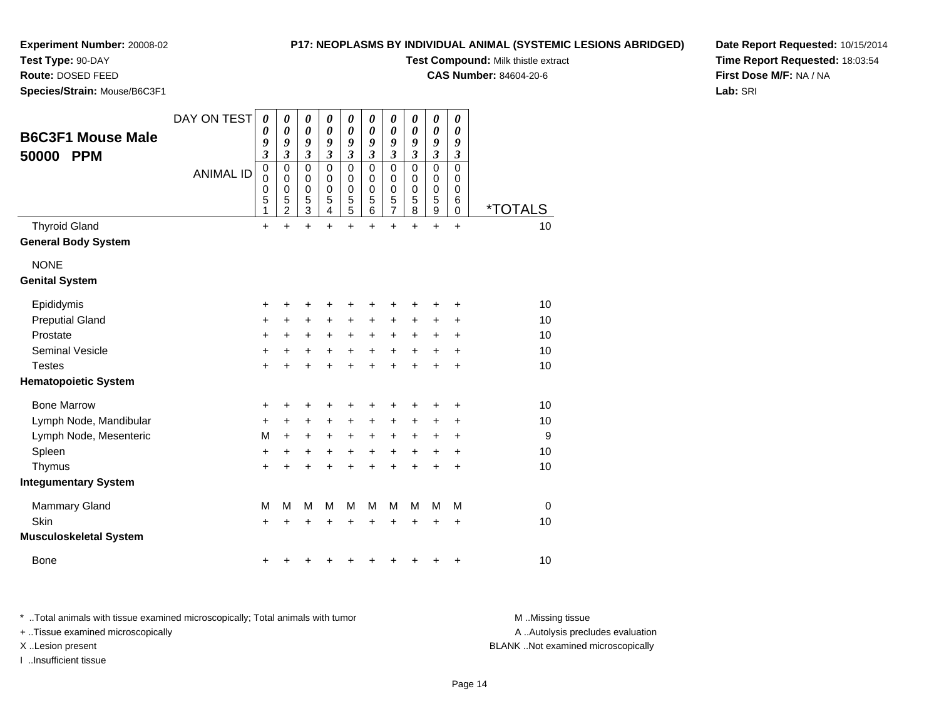**Species/Strain:** Mouse/B6C3F1

**Test Type:** 90-DAY**Route:** DOSED FEED

### **P17: NEOPLASMS BY INDIVIDUAL ANIMAL (SYSTEMIC LESIONS ABRIDGED)**

**Test Compound:** Milk thistle extract

**CAS Number:** 84604-20-6

**Date Report Requested:** 10/15/2014**Time Report Requested:** 18:03:54**First Dose M/F:** NA / NA**Lab:** SRI

| <b>B6C3F1 Mouse Male</b><br>50000<br><b>PPM</b>    | DAY ON TEST<br><b>ANIMAL ID</b> | 0<br>0<br>9<br>$\overline{\mathbf{3}}$<br>0<br>$\mathbf 0$<br>0<br>5 | 0<br>0<br>9<br>$\mathfrak{z}$<br>0<br>$\mathbf 0$<br>0 | 0<br>$\boldsymbol{\theta}$<br>9<br>$\mathfrak{z}$<br>$\mathbf 0$<br>0<br>$\boldsymbol{0}$ | 0<br>0<br>9<br>$\mathfrak{z}$<br>$\mathbf 0$<br>$\mathbf 0$<br>0 | 0<br>$\boldsymbol{\theta}$<br>9<br>$\mathfrak{z}$<br>$\mathbf 0$<br>0<br>$\boldsymbol{0}$ | 0<br>0<br>9<br>$\mathfrak{z}$<br>$\mathbf 0$<br>$\mathbf 0$<br>0 | 0<br>$\boldsymbol{\theta}$<br>9<br>$\mathfrak{z}$<br>$\mathbf 0$<br>0<br>$\boldsymbol{0}$ | 0<br>0<br>9<br>$\mathfrak{z}$<br>$\mathbf 0$<br>0<br>0 | $\boldsymbol{\theta}$<br>$\boldsymbol{\theta}$<br>9<br>$\overline{\mathbf{3}}$<br>$\mathbf 0$<br>0<br>0 | 0<br>0<br>9<br>$\mathfrak{z}$<br>$\mathbf 0$<br>0<br>0<br>6 |                       |
|----------------------------------------------------|---------------------------------|----------------------------------------------------------------------|--------------------------------------------------------|-------------------------------------------------------------------------------------------|------------------------------------------------------------------|-------------------------------------------------------------------------------------------|------------------------------------------------------------------|-------------------------------------------------------------------------------------------|--------------------------------------------------------|---------------------------------------------------------------------------------------------------------|-------------------------------------------------------------|-----------------------|
|                                                    |                                 | 1                                                                    | $\frac{5}{2}$                                          | $\frac{5}{3}$                                                                             | $\frac{5}{4}$                                                    | $\frac{5}{5}$                                                                             | $\frac{5}{6}$                                                    | $\frac{5}{7}$                                                                             | $\frac{5}{8}$                                          | $\frac{5}{9}$                                                                                           | 0                                                           | <i><b>*TOTALS</b></i> |
| <b>Thyroid Gland</b><br><b>General Body System</b> |                                 | $\ddot{}$                                                            | $\ddot{}$                                              | $\ddot{}$                                                                                 | $\ddot{}$                                                        | $\ddot{}$                                                                                 | $\ddot{}$                                                        | $\ddot{}$                                                                                 | $\ddot{}$                                              | $\ddot{}$                                                                                               | $\ddot{}$                                                   | 10                    |
| <b>NONE</b>                                        |                                 |                                                                      |                                                        |                                                                                           |                                                                  |                                                                                           |                                                                  |                                                                                           |                                                        |                                                                                                         |                                                             |                       |
| <b>Genital System</b>                              |                                 |                                                                      |                                                        |                                                                                           |                                                                  |                                                                                           |                                                                  |                                                                                           |                                                        |                                                                                                         |                                                             |                       |
| Epididymis                                         |                                 | +                                                                    | +                                                      | +                                                                                         | +                                                                | +                                                                                         | +                                                                | +                                                                                         | +                                                      | +                                                                                                       | +                                                           | 10                    |
| <b>Preputial Gland</b>                             |                                 | +                                                                    | +                                                      | +                                                                                         | +                                                                | +                                                                                         | +                                                                | +                                                                                         | +                                                      | +                                                                                                       | +                                                           | 10                    |
| Prostate                                           |                                 | +                                                                    | $\ddot{}$                                              | +                                                                                         | $\ddot{}$                                                        | $\ddot{}$                                                                                 | $\ddot{}$                                                        | $\ddot{}$                                                                                 | $\ddot{}$                                              | +                                                                                                       | +                                                           | 10                    |
| <b>Seminal Vesicle</b>                             |                                 | +                                                                    | +                                                      | +                                                                                         | +                                                                | +                                                                                         | +                                                                | +                                                                                         | +                                                      | +                                                                                                       | +                                                           | 10                    |
| <b>Testes</b>                                      |                                 | $\ddot{}$                                                            |                                                        | +                                                                                         |                                                                  | +                                                                                         | +                                                                | +                                                                                         |                                                        | $\ddot{}$                                                                                               | +                                                           | 10                    |
| <b>Hematopoietic System</b>                        |                                 |                                                                      |                                                        |                                                                                           |                                                                  |                                                                                           |                                                                  |                                                                                           |                                                        |                                                                                                         |                                                             |                       |
| <b>Bone Marrow</b>                                 |                                 | +                                                                    | +                                                      | +                                                                                         | +                                                                | +                                                                                         |                                                                  | +                                                                                         |                                                        | +                                                                                                       | +                                                           | 10                    |
| Lymph Node, Mandibular                             |                                 | $\ddot{}$                                                            | $\ddot{}$                                              | +                                                                                         | $\ddot{}$                                                        | $\ddot{}$                                                                                 | +                                                                | +                                                                                         | $\ddot{}$                                              | +                                                                                                       | +                                                           | 10                    |
| Lymph Node, Mesenteric                             |                                 | M                                                                    | +                                                      | +                                                                                         | +                                                                | $\ddot{}$                                                                                 | +                                                                | +                                                                                         | +                                                      | +                                                                                                       | +                                                           | 9                     |
| Spleen                                             |                                 | +                                                                    | +                                                      | +                                                                                         | +                                                                | +                                                                                         | +                                                                | +                                                                                         | +                                                      | +                                                                                                       | +                                                           | 10                    |
| Thymus                                             |                                 | +                                                                    |                                                        |                                                                                           |                                                                  |                                                                                           |                                                                  | +                                                                                         |                                                        | $\ddot{}$                                                                                               | +                                                           | 10                    |
| <b>Integumentary System</b>                        |                                 |                                                                      |                                                        |                                                                                           |                                                                  |                                                                                           |                                                                  |                                                                                           |                                                        |                                                                                                         |                                                             |                       |
| <b>Mammary Gland</b>                               |                                 | M                                                                    | М                                                      | M                                                                                         | М                                                                | M                                                                                         | М                                                                | M                                                                                         | М                                                      | M                                                                                                       | M                                                           | $\mathbf 0$           |
| <b>Skin</b>                                        |                                 | +                                                                    |                                                        | +                                                                                         |                                                                  | +                                                                                         |                                                                  | +                                                                                         |                                                        | +                                                                                                       | +                                                           | 10                    |
| Musculoskeletal System                             |                                 |                                                                      |                                                        |                                                                                           |                                                                  |                                                                                           |                                                                  |                                                                                           |                                                        |                                                                                                         |                                                             |                       |
| Bone                                               |                                 | +                                                                    |                                                        |                                                                                           |                                                                  |                                                                                           |                                                                  |                                                                                           |                                                        |                                                                                                         | +                                                           | 10                    |

\* ..Total animals with tissue examined microscopically; Total animals with tumor **M** . Missing tissue M ..Missing tissue

+ ..Tissue examined microscopically

I ..Insufficient tissue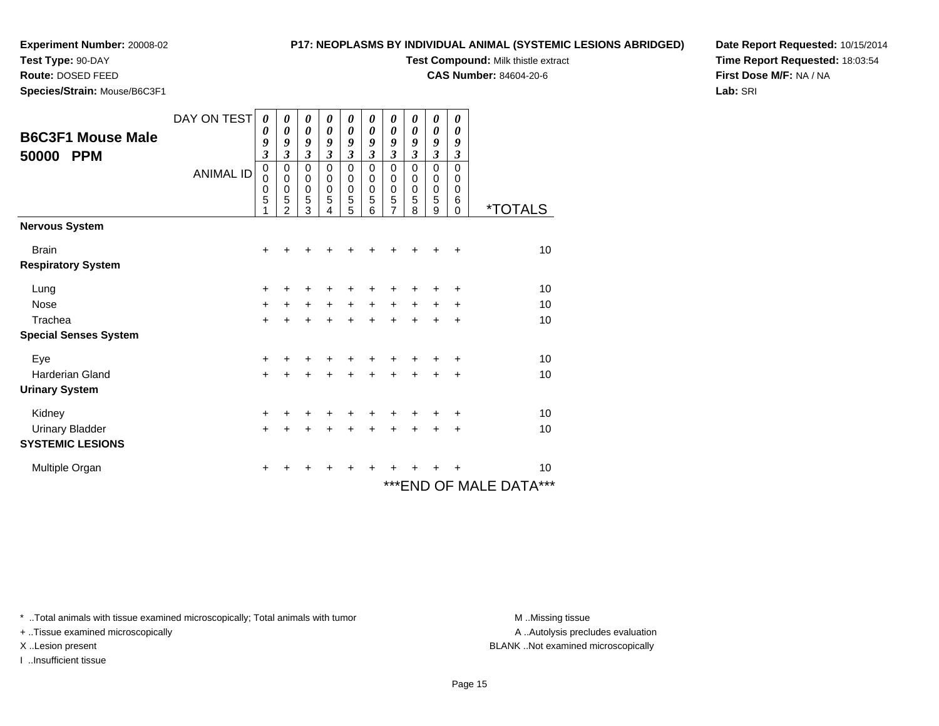**Test Type:** 90-DAY

**Route:** DOSED FEED

**Species/Strain:** Mouse/B6C3F1

#### **P17: NEOPLASMS BY INDIVIDUAL ANIMAL (SYSTEMIC LESIONS ABRIDGED)**

**Test Compound:** Milk thistle extract

**CAS Number:** 84604-20-6

**Date Report Requested:** 10/15/2014**Time Report Requested:** 18:03:54**First Dose M/F:** NA / NA**Lab:** SRI

| <b>B6C3F1 Mouse Male</b><br>50000<br><b>PPM</b> | DAY ON TEST      | 0<br>0<br>9<br>$\mathfrak{z}$ | 0<br>0<br>9<br>$\mathfrak{z}$             | 0<br>$\boldsymbol{\theta}$<br>9<br>$\mathfrak{z}$ | 0<br>0<br>9<br>$\mathfrak{z}$   | 0<br>$\boldsymbol{\theta}$<br>9<br>$\mathfrak{z}$                              | 0<br>0<br>9<br>$\mathfrak{z}$ | 0<br>0<br>9<br>$\overline{\mathbf{3}}$ | 0<br>0<br>9<br>3      | 0<br>$\boldsymbol{\theta}$<br>9<br>$\mathfrak{z}$   | 0<br>0<br>9<br>3<br>$\Omega$ |                            |
|-------------------------------------------------|------------------|-------------------------------|-------------------------------------------|---------------------------------------------------|---------------------------------|--------------------------------------------------------------------------------|-------------------------------|----------------------------------------|-----------------------|-----------------------------------------------------|------------------------------|----------------------------|
|                                                 | <b>ANIMAL ID</b> | 0<br>0<br>0<br>5<br>1         | 0<br>$\Omega$<br>0<br>5<br>$\mathfrak{p}$ | $\mathbf 0$<br>0<br>0<br>5<br>3                   | $\mathbf 0$<br>0<br>0<br>5<br>4 | $\mathbf 0$<br>$\mathbf 0$<br>$\begin{smallmatrix}0\0\0\end{smallmatrix}$<br>5 | 0<br>0<br>0<br>5<br>6         | 0<br>0<br>$\boldsymbol{0}$<br>5<br>7   | 0<br>0<br>0<br>5<br>8 | $\mathbf 0$<br>$\mathbf 0$<br>$\mathbf 0$<br>5<br>9 | 0<br>0<br>6<br>0             | <i><b>*TOTALS</b></i>      |
| <b>Nervous System</b>                           |                  |                               |                                           |                                                   |                                 |                                                                                |                               |                                        |                       |                                                     |                              |                            |
| <b>Brain</b>                                    |                  | $\ddot{}$                     |                                           |                                                   |                                 |                                                                                |                               |                                        |                       |                                                     | +                            | 10                         |
| <b>Respiratory System</b>                       |                  |                               |                                           |                                                   |                                 |                                                                                |                               |                                        |                       |                                                     |                              |                            |
| Lung                                            |                  | +                             | ٠                                         | +                                                 | ٠                               | +                                                                              | ٠                             | ٠                                      | ٠                     | ٠                                                   | ÷                            | 10                         |
| <b>Nose</b>                                     |                  | $\ddot{}$                     | $\ddot{}$                                 | $\ddot{}$                                         | $\ddot{}$                       | $+$                                                                            | $\ddot{}$                     | $\ddot{}$                              | $\ddot{}$             | $\ddot{}$                                           | $\ddot{}$                    | 10                         |
| Trachea                                         |                  | $\ddot{}$                     | $\div$                                    | $\ddot{}$                                         | $\ddot{}$                       | $\ddot{}$                                                                      | $\ddot{}$                     | $\ddot{}$                              | $\div$                | $\div$                                              | $\ddot{}$                    | 10                         |
| <b>Special Senses System</b>                    |                  |                               |                                           |                                                   |                                 |                                                                                |                               |                                        |                       |                                                     |                              |                            |
| Eye                                             |                  | +                             |                                           |                                                   |                                 |                                                                                |                               |                                        |                       |                                                     | $\ddot{}$                    | 10                         |
| Harderian Gland                                 |                  | $\ddot{}$                     |                                           | $\ddot{}$                                         | $\ddot{}$                       | $\ddot{}$                                                                      | $\ddot{}$                     | $\ddot{}$                              | $\ddot{}$             | $\ddot{}$                                           | $\ddot{}$                    | 10                         |
| <b>Urinary System</b>                           |                  |                               |                                           |                                                   |                                 |                                                                                |                               |                                        |                       |                                                     |                              |                            |
| Kidney                                          |                  | +                             |                                           | +                                                 |                                 | ٠                                                                              |                               |                                        |                       |                                                     | ÷                            | 10                         |
| <b>Urinary Bladder</b>                          |                  | $+$                           | ÷                                         | $\ddot{}$                                         | $\ddot{}$                       | $\ddot{}$                                                                      | ÷                             | +                                      | +                     | $\div$                                              | $\ddot{}$                    | 10                         |
| <b>SYSTEMIC LESIONS</b>                         |                  |                               |                                           |                                                   |                                 |                                                                                |                               |                                        |                       |                                                     |                              |                            |
| Multiple Organ                                  |                  | $\ddot{}$                     | ٠                                         | ٠                                                 | +                               | ٠                                                                              | ÷                             | ٠                                      |                       | ٠                                                   | ÷                            | 10                         |
|                                                 |                  |                               |                                           |                                                   |                                 |                                                                                |                               |                                        |                       |                                                     |                              | ***<br>***END OF MALE DATA |

\* ..Total animals with tissue examined microscopically; Total animals with tumor **M** . Missing tissue M ..Missing tissue

+ ..Tissue examined microscopically

I ..Insufficient tissue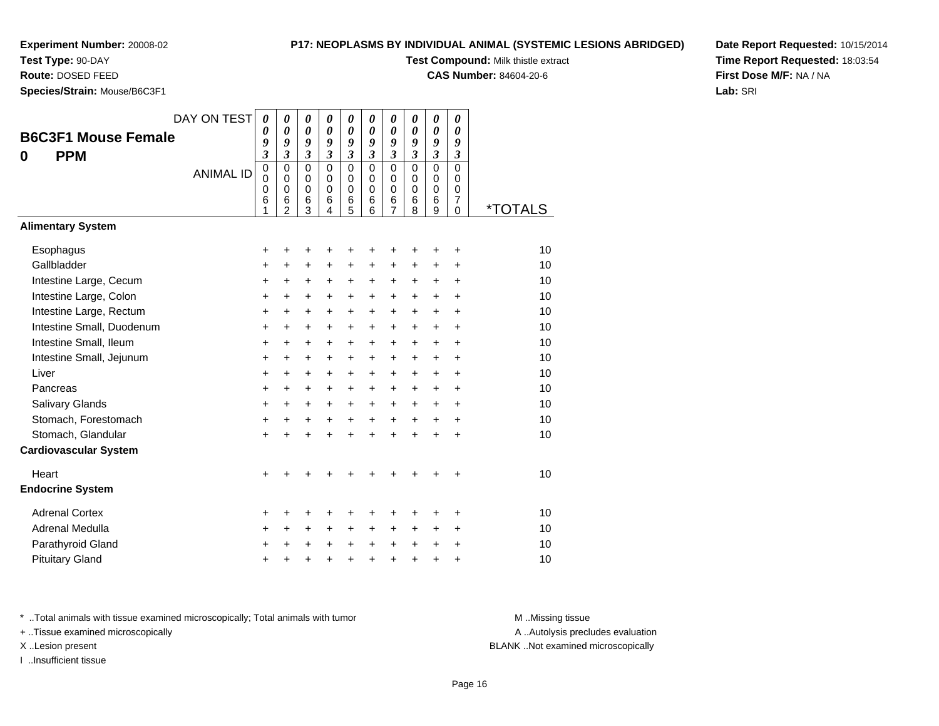# **Test Type:** 90-DAY

**Route:** DOSED FEED

**Species/Strain:** Mouse/B6C3F1

#### **P17: NEOPLASMS BY INDIVIDUAL ANIMAL (SYSTEMIC LESIONS ABRIDGED)**

**Test Compound:** Milk thistle extract

**CAS Number:** 84604-20-6

**Date Report Requested:** 10/15/2014**Time Report Requested:** 18:03:54**First Dose M/F:** NA / NA**Lab:** SRI

| <b>B6C3F1 Mouse Female</b><br><b>PPM</b><br>0 | DAY ON TEST<br><b>ANIMAL ID</b> | 0<br>0<br>9<br>$\overline{\mathbf{3}}$<br>$\mathbf 0$<br>$\mathbf 0$<br>0<br>6<br>1 | $\boldsymbol{\theta}$<br>$\boldsymbol{\theta}$<br>9<br>$\mathfrak{z}$<br>$\mathbf 0$<br>$\Omega$<br>$\Omega$<br>6<br>$\overline{2}$ | $\boldsymbol{\theta}$<br>$\boldsymbol{\theta}$<br>9<br>$\mathfrak{z}$<br>$\mathbf 0$<br>0<br>$\mathbf 0$<br>6<br>3 | 0<br>$\boldsymbol{\theta}$<br>9<br>$\overline{\mathbf{3}}$<br>$\Omega$<br>$\Omega$<br>$\Omega$<br>6<br>4 | $\boldsymbol{\theta}$<br>$\boldsymbol{\theta}$<br>9<br>$\mathfrak{z}$<br>$\mathbf 0$<br>$\mathbf 0$<br>$\mathbf 0$<br>$6\phantom{1}6$<br>5 | 0<br>0<br>9<br>$\mathfrak{z}$<br>$\Omega$<br>$\Omega$<br>$\Omega$<br>6<br>6 | 0<br>0<br>9<br>$\mathfrak{z}$<br>$\mathbf 0$<br>0<br>$\mathbf 0$<br>6<br>$\overline{7}$ | $\boldsymbol{\theta}$<br>0<br>9<br>$\mathfrak{z}$<br>$\Omega$<br>$\Omega$<br>$\Omega$<br>6<br>8 | $\boldsymbol{\theta}$<br>$\boldsymbol{\theta}$<br>9<br>$\mathfrak{z}$<br>$\mathbf 0$<br>0<br>$\mathbf 0$<br>6<br>9 | 0<br>0<br>9<br>3<br>$\mathbf 0$<br>0<br>$\mathbf 0$<br>$\overline{7}$<br>$\Omega$ | *TOTALS  |
|-----------------------------------------------|---------------------------------|-------------------------------------------------------------------------------------|-------------------------------------------------------------------------------------------------------------------------------------|--------------------------------------------------------------------------------------------------------------------|----------------------------------------------------------------------------------------------------------|--------------------------------------------------------------------------------------------------------------------------------------------|-----------------------------------------------------------------------------|-----------------------------------------------------------------------------------------|-------------------------------------------------------------------------------------------------|--------------------------------------------------------------------------------------------------------------------|-----------------------------------------------------------------------------------|----------|
| <b>Alimentary System</b>                      |                                 |                                                                                     |                                                                                                                                     |                                                                                                                    |                                                                                                          |                                                                                                                                            |                                                                             |                                                                                         |                                                                                                 |                                                                                                                    |                                                                                   |          |
| Esophagus<br>Gallbladder                      |                                 | +<br>+                                                                              | +<br>+                                                                                                                              | +<br>+                                                                                                             | $\ddot{}$                                                                                                | +<br>$\ddot{}$                                                                                                                             | +<br>$\ddot{}$                                                              | +<br>$\ddot{}$                                                                          | +<br>$\pm$                                                                                      | +<br>$\ddot{}$                                                                                                     | +<br>$\ddot{}$                                                                    | 10<br>10 |
| Intestine Large, Cecum                        |                                 | +                                                                                   | $\ddot{}$                                                                                                                           | +                                                                                                                  | +                                                                                                        | +                                                                                                                                          | $\pm$                                                                       | $\pm$                                                                                   | $\ddot{}$                                                                                       | $\ddot{}$                                                                                                          | $\ddot{}$                                                                         | 10       |
| Intestine Large, Colon                        |                                 | +                                                                                   | $\ddot{}$                                                                                                                           | $\ddot{}$                                                                                                          | $\ddot{}$                                                                                                | $\ddot{}$                                                                                                                                  | +                                                                           | +                                                                                       | $\ddot{}$                                                                                       | $\ddot{}$                                                                                                          | $\ddot{}$                                                                         | 10       |
| Intestine Large, Rectum                       |                                 | +                                                                                   | $\ddot{}$                                                                                                                           | +                                                                                                                  | $\ddot{}$                                                                                                | $\ddot{}$                                                                                                                                  | +                                                                           | +                                                                                       | $\ddot{}$                                                                                       | $\ddot{}$                                                                                                          | $\ddot{}$                                                                         | 10       |
| Intestine Small, Duodenum                     |                                 | $\ddot{}$                                                                           | $\ddot{}$                                                                                                                           | $\ddot{}$                                                                                                          | $\ddot{}$                                                                                                | $\ddot{}$                                                                                                                                  | $\ddot{}$                                                                   | $\ddot{}$                                                                               | $\ddot{}$                                                                                       | $\ddot{}$                                                                                                          | $\ddot{}$                                                                         | 10       |
| Intestine Small, Ileum                        |                                 | +                                                                                   | $\ddot{}$                                                                                                                           | $\ddot{}$                                                                                                          | $\ddot{}$                                                                                                | $\ddot{}$                                                                                                                                  | +                                                                           | +                                                                                       | +                                                                                               | $\ddot{}$                                                                                                          | +                                                                                 | 10       |
| Intestine Small, Jejunum                      |                                 | +                                                                                   | +                                                                                                                                   | +                                                                                                                  | $\ddot{}$                                                                                                | $\ddot{}$                                                                                                                                  | $\ddot{}$                                                                   | $\ddot{}$                                                                               | $\ddot{}$                                                                                       | $\ddot{}$                                                                                                          | $\ddot{}$                                                                         | 10       |
| Liver                                         |                                 | +                                                                                   | $\ddot{}$                                                                                                                           | +                                                                                                                  | $\ddot{}$                                                                                                | $\ddot{}$                                                                                                                                  | +                                                                           | +                                                                                       | $\ddot{}$                                                                                       | $\ddot{}$                                                                                                          | $\ddot{}$                                                                         | 10       |
| Pancreas                                      |                                 | +                                                                                   | +                                                                                                                                   | +                                                                                                                  | $\ddot{}$                                                                                                | $\ddot{}$                                                                                                                                  | $\pm$                                                                       | $\pm$                                                                                   | $\ddot{}$                                                                                       | $\ddot{}$                                                                                                          | +                                                                                 | 10       |
| Salivary Glands                               |                                 | $\ddot{}$                                                                           | $\ddot{}$                                                                                                                           | $\ddot{}$                                                                                                          | $\ddot{}$                                                                                                | $\ddot{}$                                                                                                                                  | $\ddot{}$                                                                   | $\ddot{}$                                                                               | $\ddot{}$                                                                                       | $\ddot{}$                                                                                                          | $\ddot{}$                                                                         | 10       |
| Stomach, Forestomach                          |                                 | +                                                                                   | +                                                                                                                                   | +                                                                                                                  | $\ddot{}$                                                                                                | $\ddot{}$                                                                                                                                  | $\ddot{}$                                                                   | $\ddot{}$                                                                               | $\ddot{}$                                                                                       | $\ddot{}$                                                                                                          | $\ddot{}$                                                                         | 10       |
| Stomach, Glandular                            |                                 | $\ddot{}$                                                                           |                                                                                                                                     | $\ddot{}$                                                                                                          |                                                                                                          | ÷                                                                                                                                          | $\ddot{}$                                                                   | $\ddot{}$                                                                               | $\ddot{}$                                                                                       | $\ddot{}$                                                                                                          | $\ddot{}$                                                                         | 10       |
| <b>Cardiovascular System</b>                  |                                 |                                                                                     |                                                                                                                                     |                                                                                                                    |                                                                                                          |                                                                                                                                            |                                                                             |                                                                                         |                                                                                                 |                                                                                                                    |                                                                                   |          |
| Heart                                         |                                 | $\ddot{}$                                                                           |                                                                                                                                     |                                                                                                                    |                                                                                                          |                                                                                                                                            |                                                                             | +                                                                                       | +                                                                                               |                                                                                                                    | +                                                                                 | 10       |
| <b>Endocrine System</b>                       |                                 |                                                                                     |                                                                                                                                     |                                                                                                                    |                                                                                                          |                                                                                                                                            |                                                                             |                                                                                         |                                                                                                 |                                                                                                                    |                                                                                   |          |
| <b>Adrenal Cortex</b>                         |                                 | +                                                                                   | +                                                                                                                                   | +                                                                                                                  |                                                                                                          |                                                                                                                                            | +                                                                           | +                                                                                       | +                                                                                               | +                                                                                                                  | +                                                                                 | 10       |
| Adrenal Medulla                               |                                 | +                                                                                   | +                                                                                                                                   | +                                                                                                                  | $\ddot{}$                                                                                                | $\ddot{}$                                                                                                                                  | $\ddot{}$                                                                   | +                                                                                       | $\ddot{}$                                                                                       | $\ddot{}$                                                                                                          | +                                                                                 | 10       |
| Parathyroid Gland                             |                                 | +                                                                                   | +                                                                                                                                   | $\ddot{}$                                                                                                          | $\ddot{}$                                                                                                | $\ddot{}$                                                                                                                                  | +                                                                           | +                                                                                       | $\ddot{}$                                                                                       | $\ddot{}$                                                                                                          | $\ddot{}$                                                                         | 10       |
| <b>Pituitary Gland</b>                        |                                 | +                                                                                   | +                                                                                                                                   | +                                                                                                                  | +                                                                                                        | +                                                                                                                                          | +                                                                           | +                                                                                       | +                                                                                               | +                                                                                                                  | +                                                                                 | 10       |

\* ..Total animals with tissue examined microscopically; Total animals with tumor **M** . Missing tissue M ..Missing tissue

+ ..Tissue examined microscopically

I ..Insufficient tissue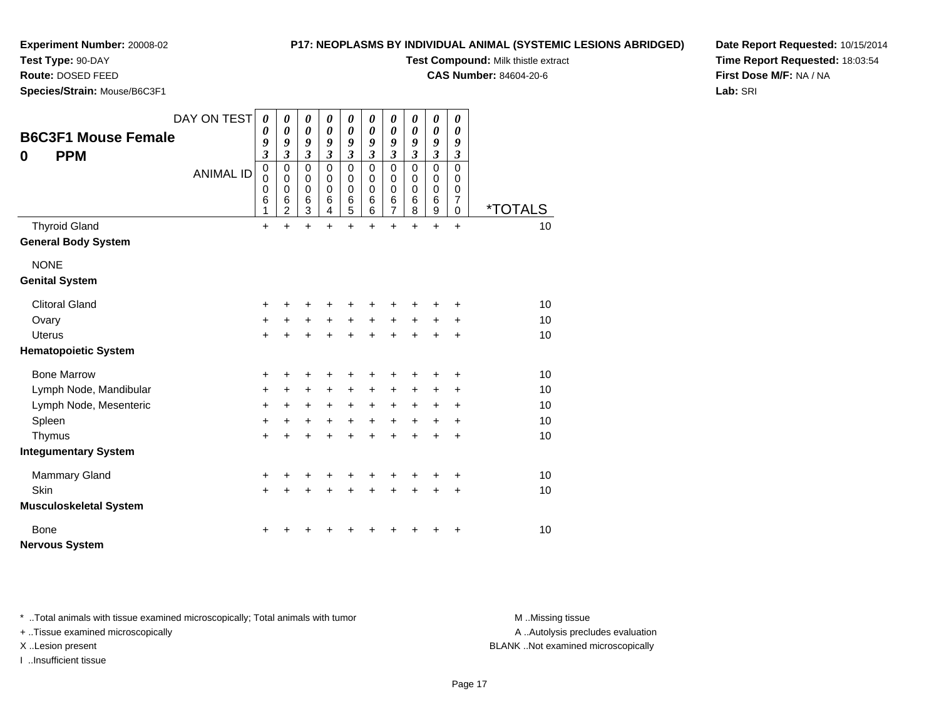# **Test Type:** 90-DAY

**Route:** DOSED FEED

**Species/Strain:** Mouse/B6C3F1

#### **P17: NEOPLASMS BY INDIVIDUAL ANIMAL (SYSTEMIC LESIONS ABRIDGED)**

**Test Compound:** Milk thistle extract

**CAS Number:** 84604-20-6

**Date Report Requested:** 10/15/2014**Time Report Requested:** 18:03:54**First Dose M/F:** NA / NA**Lab:** SRI

|               |                               | DAY ON TEST      | 0<br>0                                    | 0<br>0                                                 | 0<br>$\boldsymbol{\theta}$                          | 0<br>0                                           | 0<br>0                                                     | 0<br>0                                    | 0<br>0                                       | 0<br>$\boldsymbol{\theta}$                       | 0<br>0                                                          | 0<br>0                          |                       |
|---------------|-------------------------------|------------------|-------------------------------------------|--------------------------------------------------------|-----------------------------------------------------|--------------------------------------------------|------------------------------------------------------------|-------------------------------------------|----------------------------------------------|--------------------------------------------------|-----------------------------------------------------------------|---------------------------------|-----------------------|
|               | <b>B6C3F1 Mouse Female</b>    |                  | 9<br>$\boldsymbol{\mathfrak{z}}$          | 9<br>$\overline{\mathbf{3}}$                           | 9<br>$\mathfrak{z}$                                 | 9<br>$\overline{\mathbf{3}}$                     | 9<br>$\overline{\mathbf{3}}$                               | 9<br>3                                    | 9<br>$\overline{\mathbf{3}}$                 | 9<br>$\mathfrak{z}$                              | 9<br>$\mathfrak{z}$                                             | 9<br>$\mathfrak{z}$             |                       |
| 0             | <b>PPM</b>                    | <b>ANIMAL ID</b> | $\mathbf 0$<br>$\mathbf 0$<br>0<br>6<br>1 | $\mathbf 0$<br>0<br>$\mathbf 0$<br>6<br>$\overline{2}$ | $\mathbf 0$<br>$\mathbf 0$<br>$\mathbf 0$<br>6<br>3 | $\mathbf 0$<br>$\mathbf 0$<br>$\Omega$<br>6<br>4 | $\mathbf 0$<br>$\mathbf 0$<br>0<br>$\,6$<br>$\overline{5}$ | 0<br>$\mathbf 0$<br>$\mathbf 0$<br>6<br>6 | 0<br>0<br>$\mathbf 0$<br>6<br>$\overline{7}$ | $\Omega$<br>$\mathbf 0$<br>$\mathbf 0$<br>6<br>8 | $\mathbf 0$<br>$\pmb{0}$<br>$\mathbf 0$<br>$6\phantom{1}6$<br>9 | $\mathbf 0$<br>0<br>0<br>7<br>0 | <i><b>*TOTALS</b></i> |
|               | <b>Thyroid Gland</b>          |                  | $\ddot{}$                                 | $\ddot{}$                                              | $\ddot{}$                                           | $\ddot{}$                                        | $\ddot{}$                                                  | $\ddot{}$                                 | $\ddot{}$                                    | $\ddot{}$                                        | $+$                                                             | $\ddot{}$                       | 10                    |
|               | <b>General Body System</b>    |                  |                                           |                                                        |                                                     |                                                  |                                                            |                                           |                                              |                                                  |                                                                 |                                 |                       |
| <b>NONE</b>   |                               |                  |                                           |                                                        |                                                     |                                                  |                                                            |                                           |                                              |                                                  |                                                                 |                                 |                       |
|               | <b>Genital System</b>         |                  |                                           |                                                        |                                                     |                                                  |                                                            |                                           |                                              |                                                  |                                                                 |                                 |                       |
|               | <b>Clitoral Gland</b>         |                  | +                                         |                                                        | +                                                   | +                                                | +                                                          | +                                         |                                              |                                                  |                                                                 | +                               | 10                    |
| Ovary         |                               |                  | $\ddot{}$                                 | $\ddot{}$                                              | $\ddot{}$                                           | $\ddot{}$                                        | $+$                                                        | $+$                                       | $\ddot{}$                                    | $\ddot{}$                                        | $\ddot{}$                                                       | +                               | 10                    |
| <b>Uterus</b> |                               |                  | $+$                                       | $\ddot{}$                                              | $\ddot{}$                                           | $\ddot{}$                                        | $+$                                                        | $\ddot{}$                                 | $\ddot{}$                                    | $\ddot{}$                                        | $\ddot{}$                                                       | $\ddot{}$                       | 10                    |
|               | <b>Hematopoietic System</b>   |                  |                                           |                                                        |                                                     |                                                  |                                                            |                                           |                                              |                                                  |                                                                 |                                 |                       |
|               | <b>Bone Marrow</b>            |                  | +                                         | ٠                                                      | +                                                   | ٠                                                | +                                                          | +                                         | +                                            |                                                  |                                                                 | +                               | 10                    |
|               | Lymph Node, Mandibular        |                  | $\ddot{}$                                 | +                                                      | $\ddot{}$                                           | $\ddot{}$                                        | $\ddot{}$                                                  | +                                         | +                                            | +                                                | $\ddot{}$                                                       | $\ddot{}$                       | 10                    |
|               | Lymph Node, Mesenteric        |                  | $\ddot{}$                                 | $\ddot{}$                                              | $\ddot{}$                                           | $\ddot{}$                                        | $\ddot{}$                                                  | $\ddot{}$                                 | +                                            | $\ddot{}$                                        | +                                                               | $\ddot{}$                       | 10                    |
| Spleen        |                               |                  | $\ddot{}$                                 | $\ddot{}$                                              | $\ddot{}$                                           | $\ddot{}$                                        | $\ddot{}$                                                  | $\ddot{}$                                 | $+$                                          | $\ddot{}$                                        | $\ddot{}$                                                       | +                               | 10                    |
| Thymus        |                               |                  | $+$                                       | $\ddot{}$                                              | $\ddot{}$                                           | $\ddot{}$                                        | $\ddot{}$                                                  | $\ddot{}$                                 | $\ddot{}$                                    | $\ddot{}$                                        | $\ddot{}$                                                       | $\ddot{}$                       | 10                    |
|               | <b>Integumentary System</b>   |                  |                                           |                                                        |                                                     |                                                  |                                                            |                                           |                                              |                                                  |                                                                 |                                 |                       |
|               | <b>Mammary Gland</b>          |                  | +                                         | +                                                      | +                                                   | +                                                | +                                                          | +                                         | +                                            |                                                  |                                                                 | +                               | 10                    |
| Skin          |                               |                  | $+$                                       | $\ddot{}$                                              | $\ddot{}$                                           | $\ddot{}$                                        | $\ddot{}$                                                  | $\ddot{}$                                 | $\ddot{}$                                    | $\ddot{}$                                        | $\ddot{}$                                                       | +                               | 10                    |
|               | <b>Musculoskeletal System</b> |                  |                                           |                                                        |                                                     |                                                  |                                                            |                                           |                                              |                                                  |                                                                 |                                 |                       |
| <b>Bone</b>   |                               |                  | ٠                                         |                                                        | ٠                                                   |                                                  |                                                            |                                           |                                              |                                                  |                                                                 | +                               | 10                    |
|               | <b>Nervous System</b>         |                  |                                           |                                                        |                                                     |                                                  |                                                            |                                           |                                              |                                                  |                                                                 |                                 |                       |

\* ..Total animals with tissue examined microscopically; Total animals with tumor **M** . Missing tissue M ..Missing tissue

+ ..Tissue examined microscopically

I ..Insufficient tissue

A ..Autolysis precludes evaluation

X ..Lesion present BLANK ..Not examined microscopically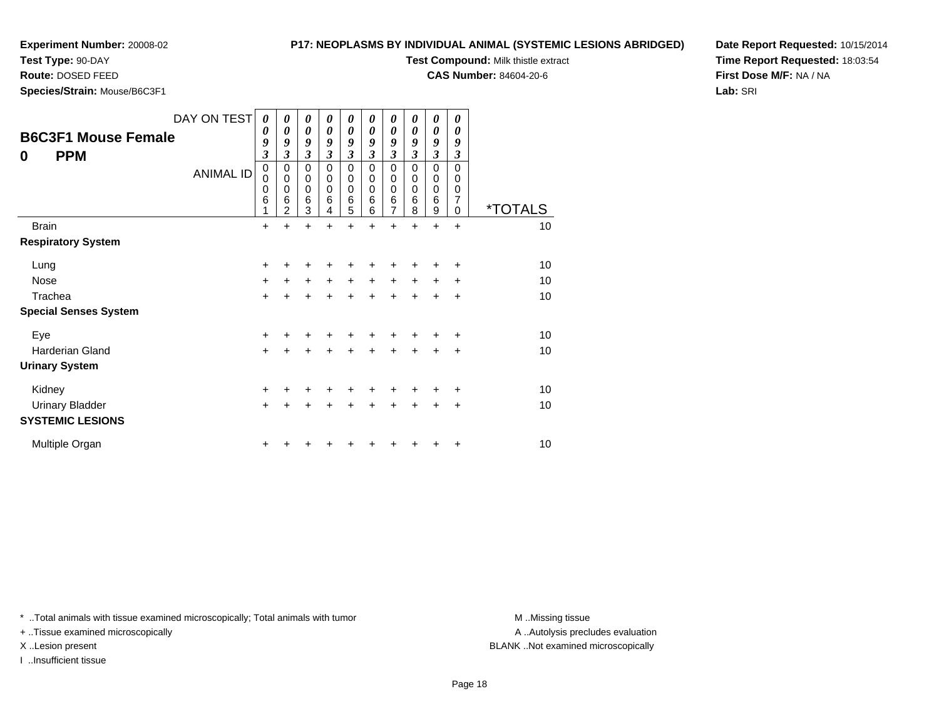**Test Type:** 90-DAY

**Route:** DOSED FEED

**Species/Strain:** Mouse/B6C3F1

#### **P17: NEOPLASMS BY INDIVIDUAL ANIMAL (SYSTEMIC LESIONS ABRIDGED)**

**Test Compound:** Milk thistle extract

**CAS Number:** 84604-20-6

**Date Report Requested:** 10/15/2014**Time Report Requested:** 18:03:54**First Dose M/F:** NA / NA**Lab:** SRI

| <b>B6C3F1 Mouse Female</b><br><b>PPM</b><br>$\bf{0}$ | DAY ON TEST<br><b>ANIMAL ID</b> | 0<br>0<br>9<br>$\overline{\mathbf{3}}$<br>0<br>0<br>0<br>6 | 0<br>$\boldsymbol{\theta}$<br>9<br>3<br>0<br>$\mathbf 0$<br>$\mathbf 0$<br>6<br>$\overline{2}$ | 0<br>$\boldsymbol{\theta}$<br>9<br>$\overline{\mathbf{3}}$<br>$\mathbf 0$<br>$\mathbf 0$<br>0<br>6<br>3 | 0<br>$\boldsymbol{\theta}$<br>9<br>3<br>$\mathbf 0$<br>$\mathbf 0$<br>$\mathbf 0$<br>6<br>4 | $\boldsymbol{\theta}$<br>$\boldsymbol{\theta}$<br>9<br>$\overline{\mathbf{3}}$<br>$\pmb{0}$<br>$\mathbf 0$<br>$\pmb{0}$<br>6<br>5 | 0<br>$\boldsymbol{\theta}$<br>9<br>3<br>$\mathbf 0$<br>0<br>$\mathbf 0$<br>6<br>6 | 0<br>$\boldsymbol{\theta}$<br>9<br>$\mathfrak{z}$<br>$\mathbf 0$<br>$\mathbf 0$<br>$\mathbf 0$<br>$\,6$<br>7 | 0<br>0<br>9<br>3<br>$\Omega$<br>0<br>0<br>6<br>8 | 0<br>0<br>9<br>$\mathfrak{z}$<br>0<br>0<br>0<br>6<br>9 | 0<br>0<br>9<br>$\mathfrak{z}$<br>$\Omega$<br>0<br>$\mathbf 0$<br>7<br>$\Omega$ | <i><b>*TOTALS</b></i> |
|------------------------------------------------------|---------------------------------|------------------------------------------------------------|------------------------------------------------------------------------------------------------|---------------------------------------------------------------------------------------------------------|---------------------------------------------------------------------------------------------|-----------------------------------------------------------------------------------------------------------------------------------|-----------------------------------------------------------------------------------|--------------------------------------------------------------------------------------------------------------|--------------------------------------------------|--------------------------------------------------------|--------------------------------------------------------------------------------|-----------------------|
| <b>Brain</b>                                         |                                 | $\ddot{}$                                                  |                                                                                                | $\ddot{}$                                                                                               | Ŧ.                                                                                          | $\ddot{}$                                                                                                                         |                                                                                   | $\ddot{}$                                                                                                    |                                                  | $\ddot{}$                                              | $\ddot{}$                                                                      | 10                    |
| <b>Respiratory System</b>                            |                                 |                                                            |                                                                                                |                                                                                                         |                                                                                             |                                                                                                                                   |                                                                                   |                                                                                                              |                                                  |                                                        |                                                                                |                       |
| Lung                                                 |                                 | $\ddot{}$                                                  | +                                                                                              | +                                                                                                       | +                                                                                           | ٠                                                                                                                                 | +                                                                                 | ٠                                                                                                            |                                                  | +                                                      | ٠                                                                              | 10                    |
| <b>Nose</b>                                          |                                 | $\ddot{}$                                                  | $\ddot{}$                                                                                      | $\ddot{}$                                                                                               | $\ddot{}$                                                                                   | $\ddot{}$                                                                                                                         | $\ddot{}$                                                                         | $\ddot{}$                                                                                                    | $\ddot{}$                                        | $\ddot{}$                                              | $\ddot{}$                                                                      | 10                    |
| Trachea                                              |                                 | $\ddot{}$                                                  | $\pm$                                                                                          | +                                                                                                       | +                                                                                           | $\ddot{}$                                                                                                                         | $\ddot{}$                                                                         | $\ddot{}$                                                                                                    | $\ddot{}$                                        | $\ddot{}$                                              | $\ddot{}$                                                                      | 10                    |
| <b>Special Senses System</b>                         |                                 |                                                            |                                                                                                |                                                                                                         |                                                                                             |                                                                                                                                   |                                                                                   |                                                                                                              |                                                  |                                                        |                                                                                |                       |
| Eye                                                  |                                 | +                                                          | +                                                                                              | +                                                                                                       | +                                                                                           | +                                                                                                                                 | +                                                                                 | +                                                                                                            | +                                                | +                                                      | $\ddot{}$                                                                      | 10                    |
| Harderian Gland                                      |                                 | $\ddot{}$                                                  | +                                                                                              | +                                                                                                       | +                                                                                           | $\ddot{}$                                                                                                                         | +                                                                                 | $\ddot{}$                                                                                                    | $\ddot{}$                                        | $\ddot{}$                                              | $\ddot{}$                                                                      | 10                    |
| <b>Urinary System</b>                                |                                 |                                                            |                                                                                                |                                                                                                         |                                                                                             |                                                                                                                                   |                                                                                   |                                                                                                              |                                                  |                                                        |                                                                                |                       |
| Kidney                                               |                                 | +                                                          | +                                                                                              | +                                                                                                       | +                                                                                           | +                                                                                                                                 |                                                                                   | +                                                                                                            |                                                  | ٠                                                      | $\ddot{}$                                                                      | 10 <sup>1</sup>       |
| <b>Urinary Bladder</b><br><b>SYSTEMIC LESIONS</b>    |                                 | $\ddot{}$                                                  | +                                                                                              | +                                                                                                       | +                                                                                           | $\ddot{}$                                                                                                                         | +                                                                                 | $\ddot{}$                                                                                                    | $\ddot{}$                                        | $\ddot{}$                                              | $\ddot{}$                                                                      | 10                    |
| Multiple Organ                                       |                                 | ٠                                                          |                                                                                                |                                                                                                         |                                                                                             |                                                                                                                                   |                                                                                   |                                                                                                              |                                                  |                                                        | ٠                                                                              | 10                    |

\* ..Total animals with tissue examined microscopically; Total animals with tumor **M** . Missing tissue M ..Missing tissue

+ ..Tissue examined microscopically

I ..Insufficient tissue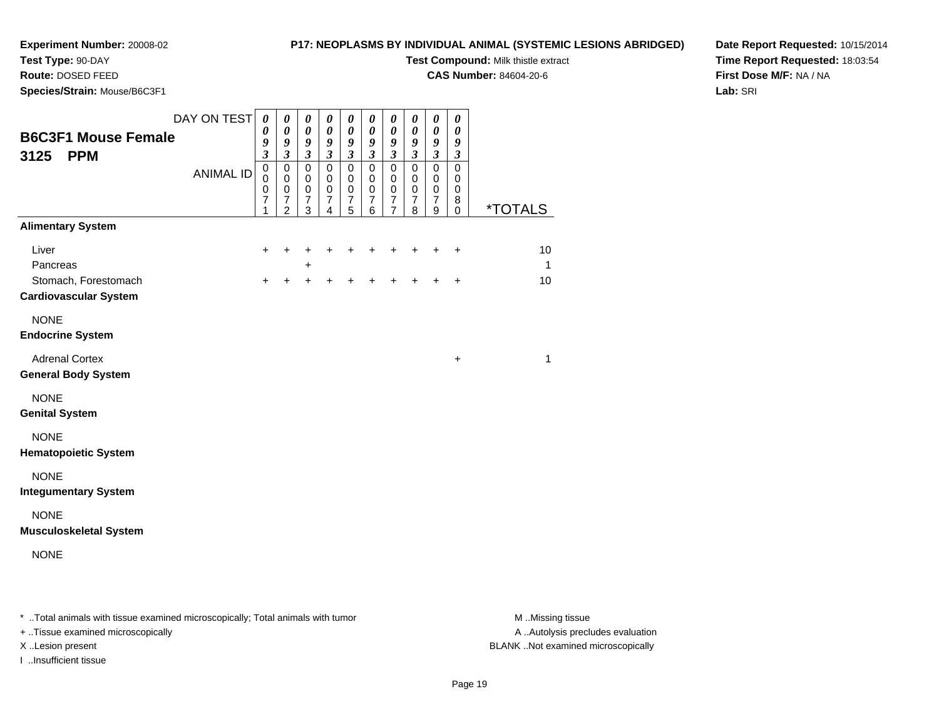**Test Type:** 90-DAY

#### **P17: NEOPLASMS BY INDIVIDUAL ANIMAL (SYSTEMIC LESIONS ABRIDGED)**

**Test Compound:** Milk thistle extract

**CAS Number:** 84604-20-6

**Date Report Requested:** 10/15/2014**Time Report Requested:** 18:03:54**First Dose M/F:** NA / NA**Lab:** SRI

 **Route:** DOSED FEED**Species/Strain:** Mouse/B6C3F1

| <b>B6C3F1 Mouse Female</b><br><b>PPM</b><br>3125                          | DAY ON TEST<br><b>ANIMAL ID</b> | $\boldsymbol{\theta}$<br>$\boldsymbol{\theta}$<br>9<br>$\mathfrak{z}$<br>$\pmb{0}$<br>$\mathbf 0$<br>$\pmb{0}$<br>$\overline{7}$<br>1 | $\boldsymbol{\theta}$<br>$\pmb{\theta}$<br>9<br>$\mathfrak{z}$<br>$\pmb{0}$<br>$\mathbf 0$<br>$\,0\,$<br>$\overline{7}$<br>$\overline{2}$ | 0<br>$\pmb{\theta}$<br>9<br>$\boldsymbol{\mathfrak{z}}$<br>$\pmb{0}$<br>$\,0\,$<br>$\mathbf 0$<br>$\overline{7}$<br>3 | 0<br>$\pmb{\theta}$<br>9<br>$\boldsymbol{\beta}$<br>$\mathbf 0$<br>$\mathbf 0$<br>$\mathbf 0$<br>7<br>4 | $\pmb{\theta}$<br>$\boldsymbol{\theta}$<br>9<br>$\mathfrak{z}$<br>$\pmb{0}$<br>$\pmb{0}$<br>$\pmb{0}$<br>7<br>5 | 0<br>$\boldsymbol{\theta}$<br>9<br>$\mathfrak{z}$<br>$\pmb{0}$<br>$\pmb{0}$<br>$\mathbf 0$<br>$\overline{7}$<br>6 | 0<br>$\boldsymbol{\theta}$<br>9<br>$\mathfrak{z}$<br>$\pmb{0}$<br>$\pmb{0}$<br>$\pmb{0}$<br>$\overline{7}$<br>$\overline{7}$ | $\boldsymbol{\theta}$<br>$\boldsymbol{\theta}$<br>9<br>$\mathfrak{z}$<br>$\pmb{0}$<br>0<br>$\pmb{0}$<br>$\overline{7}$<br>8 | $\boldsymbol{\theta}$<br>$\pmb{\theta}$<br>9<br>$\boldsymbol{\beta}$<br>$\pmb{0}$<br>$\pmb{0}$<br>$\mbox{O}$<br>$\overline{7}$<br>9 | $\pmb{\theta}$<br>$\pmb{\theta}$<br>9<br>3<br>$\mathbf 0$<br>0<br>0<br>8<br>$\mathbf 0$ | <i><b>*TOTALS</b></i> |
|---------------------------------------------------------------------------|---------------------------------|---------------------------------------------------------------------------------------------------------------------------------------|-------------------------------------------------------------------------------------------------------------------------------------------|-----------------------------------------------------------------------------------------------------------------------|---------------------------------------------------------------------------------------------------------|-----------------------------------------------------------------------------------------------------------------|-------------------------------------------------------------------------------------------------------------------|------------------------------------------------------------------------------------------------------------------------------|-----------------------------------------------------------------------------------------------------------------------------|-------------------------------------------------------------------------------------------------------------------------------------|-----------------------------------------------------------------------------------------|-----------------------|
| <b>Alimentary System</b>                                                  |                                 |                                                                                                                                       |                                                                                                                                           |                                                                                                                       |                                                                                                         |                                                                                                                 |                                                                                                                   |                                                                                                                              |                                                                                                                             |                                                                                                                                     |                                                                                         |                       |
| Liver<br>Pancreas<br>Stomach, Forestomach<br><b>Cardiovascular System</b> |                                 | +<br>$\ddot{}$                                                                                                                        | ٠<br>+                                                                                                                                    | +<br>+<br>+                                                                                                           | +<br>+                                                                                                  |                                                                                                                 |                                                                                                                   | ٠                                                                                                                            | ٠                                                                                                                           | ٠<br>+                                                                                                                              | ÷<br>+                                                                                  | 10<br>1<br>10         |
| <b>NONE</b><br><b>Endocrine System</b>                                    |                                 |                                                                                                                                       |                                                                                                                                           |                                                                                                                       |                                                                                                         |                                                                                                                 |                                                                                                                   |                                                                                                                              |                                                                                                                             |                                                                                                                                     |                                                                                         |                       |
| <b>Adrenal Cortex</b><br><b>General Body System</b>                       |                                 |                                                                                                                                       |                                                                                                                                           |                                                                                                                       |                                                                                                         |                                                                                                                 |                                                                                                                   |                                                                                                                              |                                                                                                                             |                                                                                                                                     | $\ddot{}$                                                                               | 1                     |
| <b>NONE</b><br><b>Genital System</b>                                      |                                 |                                                                                                                                       |                                                                                                                                           |                                                                                                                       |                                                                                                         |                                                                                                                 |                                                                                                                   |                                                                                                                              |                                                                                                                             |                                                                                                                                     |                                                                                         |                       |
| <b>NONE</b><br><b>Hematopoietic System</b>                                |                                 |                                                                                                                                       |                                                                                                                                           |                                                                                                                       |                                                                                                         |                                                                                                                 |                                                                                                                   |                                                                                                                              |                                                                                                                             |                                                                                                                                     |                                                                                         |                       |
| <b>NONE</b><br><b>Integumentary System</b>                                |                                 |                                                                                                                                       |                                                                                                                                           |                                                                                                                       |                                                                                                         |                                                                                                                 |                                                                                                                   |                                                                                                                              |                                                                                                                             |                                                                                                                                     |                                                                                         |                       |
| <b>NONE</b><br><b>Musculoskeletal System</b>                              |                                 |                                                                                                                                       |                                                                                                                                           |                                                                                                                       |                                                                                                         |                                                                                                                 |                                                                                                                   |                                                                                                                              |                                                                                                                             |                                                                                                                                     |                                                                                         |                       |
| <b>NONE</b>                                                               |                                 |                                                                                                                                       |                                                                                                                                           |                                                                                                                       |                                                                                                         |                                                                                                                 |                                                                                                                   |                                                                                                                              |                                                                                                                             |                                                                                                                                     |                                                                                         |                       |

\* ..Total animals with tissue examined microscopically; Total animals with tumor **M** . Missing tissue M ..Missing tissue A ..Autolysis precludes evaluation + ..Tissue examined microscopically X ..Lesion present BLANK ..Not examined microscopicallyI ..Insufficient tissue

Page 19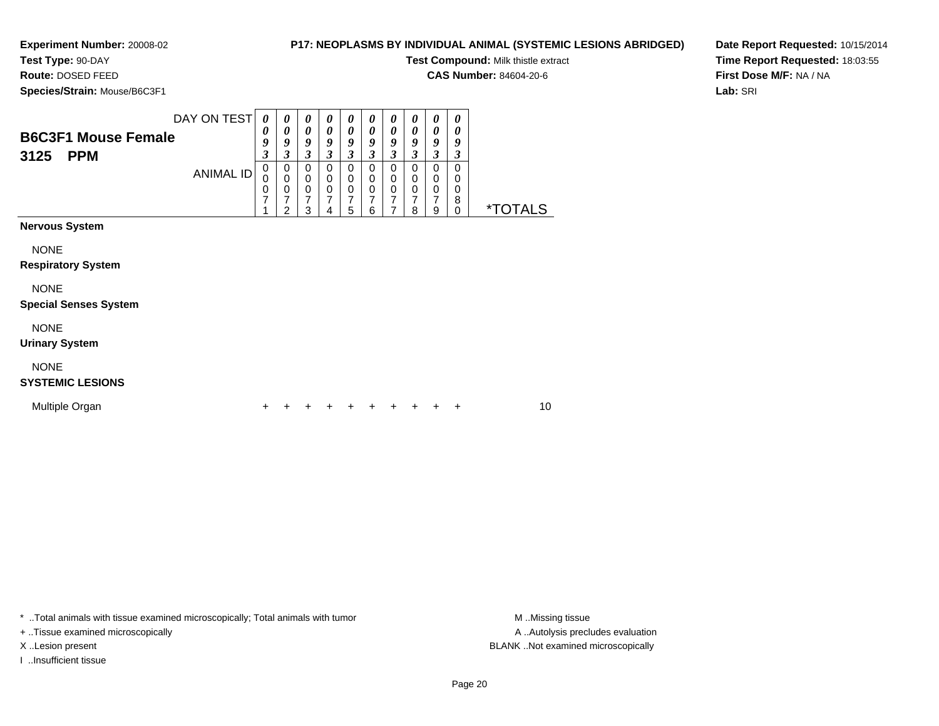#### **P17: NEOPLASMS BY INDIVIDUAL ANIMAL (SYSTEMIC LESIONS ABRIDGED)**

**Test Compound:** Milk thistle extract

**CAS Number:** 84604-20-6

**Species/Strain:** Mouse/B6C3F1

**Route:** DOSED FEED

**Date Report Requested:** 10/15/2014**Time Report Requested:** 18:03:55**First Dose M/F:** NA / NA**Lab:** SRI

| <b>B6C3F1 Mouse Female</b><br><b>PPM</b><br>3125 | DAY ON TEST<br><b>ANIMAL ID</b> | 0<br>0<br>9<br>3<br>$\pmb{0}$<br>0<br>0<br>7 | 0<br>$\boldsymbol{\theta}$<br>9<br>3<br>$\mathbf 0$<br>$\pmb{0}$<br>0<br>7<br>$\mathfrak{p}$ | 0<br>0<br>9<br>3<br>$\mathbf 0$<br>$\,0\,$<br>$\mathbf 0$<br>7<br>3 | 0<br>$\boldsymbol{\theta}$<br>9<br>3<br>$\Omega$<br>$\mathbf 0$<br>$\pmb{0}$<br>7<br>4 | 0<br>0<br>9<br>3<br>$\mathbf 0$<br>$\mathbf 0$<br>$\pmb{0}$<br>$\overline{7}$<br>5 | 0<br>0<br>9<br>$\boldsymbol{\beta}$<br>$\mathbf 0$<br>$\mathbf 0$<br>0<br>$\overline{7}$<br>6 | 0<br>0<br>9<br>3<br>$\mathbf 0$<br>$\pmb{0}$<br>$\pmb{0}$<br>$\overline{7}$<br>$\overline{7}$ | 0<br>$\boldsymbol{\theta}$<br>9<br>$\mathfrak{z}$<br>$\mathbf 0$<br>$\,0\,$<br>$\,0\,$<br>$\overline{7}$<br>8 | 0<br>0<br>9<br>3<br>$\mathbf 0$<br>$\mathbf 0$<br>$\pmb{0}$<br>7<br>9 | 0<br>$\boldsymbol{\theta}$<br>9<br>3<br>$\mathbf 0$<br>0<br>$\pmb{0}$<br>8<br>$\mathbf 0$ | <i><b>*TOTALS</b></i> |  |
|--------------------------------------------------|---------------------------------|----------------------------------------------|----------------------------------------------------------------------------------------------|---------------------------------------------------------------------|----------------------------------------------------------------------------------------|------------------------------------------------------------------------------------|-----------------------------------------------------------------------------------------------|-----------------------------------------------------------------------------------------------|---------------------------------------------------------------------------------------------------------------|-----------------------------------------------------------------------|-------------------------------------------------------------------------------------------|-----------------------|--|
| <b>Nervous System</b>                            |                                 |                                              |                                                                                              |                                                                     |                                                                                        |                                                                                    |                                                                                               |                                                                                               |                                                                                                               |                                                                       |                                                                                           |                       |  |
| <b>NONE</b><br><b>Respiratory System</b>         |                                 |                                              |                                                                                              |                                                                     |                                                                                        |                                                                                    |                                                                                               |                                                                                               |                                                                                                               |                                                                       |                                                                                           |                       |  |
| <b>NONE</b><br><b>Special Senses System</b>      |                                 |                                              |                                                                                              |                                                                     |                                                                                        |                                                                                    |                                                                                               |                                                                                               |                                                                                                               |                                                                       |                                                                                           |                       |  |
| <b>NONE</b><br><b>Urinary System</b>             |                                 |                                              |                                                                                              |                                                                     |                                                                                        |                                                                                    |                                                                                               |                                                                                               |                                                                                                               |                                                                       |                                                                                           |                       |  |
| <b>NONE</b><br><b>SYSTEMIC LESIONS</b>           |                                 |                                              |                                                                                              |                                                                     |                                                                                        |                                                                                    |                                                                                               |                                                                                               |                                                                                                               |                                                                       |                                                                                           |                       |  |
| Multiple Organ                                   |                                 |                                              |                                                                                              |                                                                     |                                                                                        |                                                                                    |                                                                                               |                                                                                               |                                                                                                               |                                                                       | ٠                                                                                         | 10                    |  |

\* ..Total animals with tissue examined microscopically; Total animals with tumor **M** . Missing tissue M ..Missing tissue

+ ..Tissue examined microscopically

I ..Insufficient tissue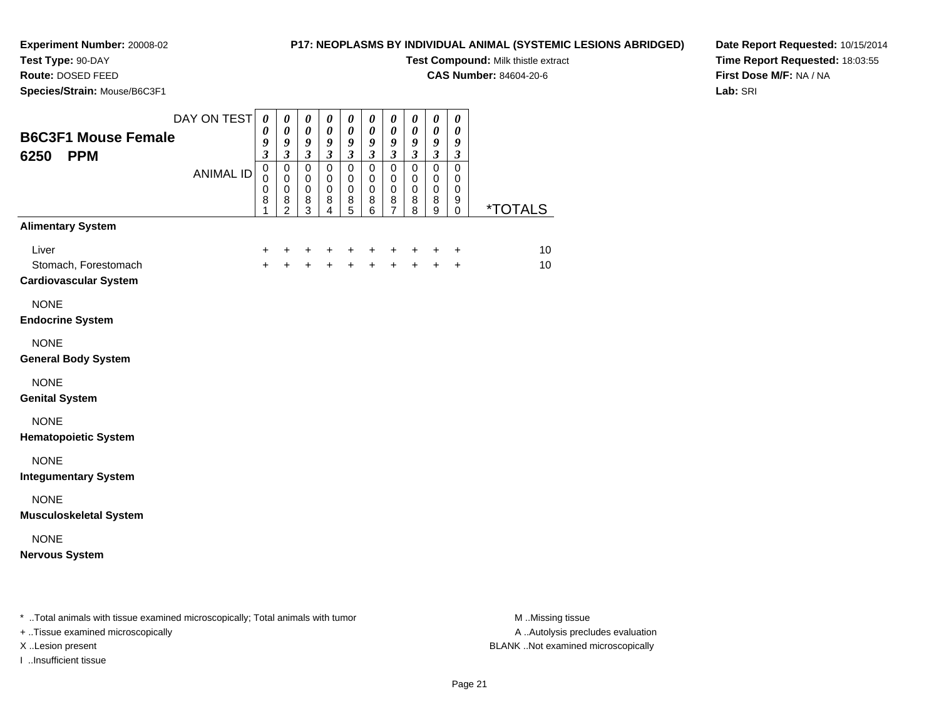## **Test Type:** 90-DAY

**Route:** DOSED FEED

**Species/Strain:** Mouse/B6C3F1

#### **P17: NEOPLASMS BY INDIVIDUAL ANIMAL (SYSTEMIC LESIONS ABRIDGED)**

**Test Compound:** Milk thistle extract

**CAS Number:** 84604-20-6

**Date Report Requested:** 10/15/2014**Time Report Requested:** 18:03:55**First Dose M/F:** NA / NA**Lab:** SRI

| <b>B6C3F1 Mouse Female</b><br>6250<br><b>PPM</b>              | DAY ON TEST<br><b>ANIMAL ID</b>                              | $\boldsymbol{\theta}$<br>$\boldsymbol{\theta}$<br>9<br>$\boldsymbol{\beta}$<br>$\mathbf 0$<br>$\mathbf 0$<br>$\pmb{0}$<br>8<br>1 | 0<br>$\boldsymbol{\theta}$<br>9<br>$\mathfrak{z}$<br>$\mathbf 0$<br>$\mathbf 0$<br>$\mathbf 0$<br>$\bf 8$<br>$\overline{2}$ | $\boldsymbol{\theta}$<br>$\boldsymbol{\theta}$<br>$\boldsymbol{g}$<br>$\mathfrak{z}$<br>$\mathbf 0$<br>$\pmb{0}$<br>$\pmb{0}$<br>$\bf8$<br>$\overline{3}$ | 0<br>0<br>9<br>$\mathfrak{z}$<br>$\mathbf 0$<br>$\mathbf 0$<br>$\mathbf 0$<br>8<br>$\overline{4}$ | $\boldsymbol{\theta}$<br>$\boldsymbol{\theta}$<br>9<br>$\mathfrak{z}$<br>$\mathbf 0$<br>$\mathbf 0$<br>$\mathbf 0$<br>$\bf8$<br>5 | 0<br>$\boldsymbol{\theta}$<br>$\boldsymbol{g}$<br>$\mathfrak{z}$<br>$\mathbf 0$<br>0<br>$\pmb{0}$<br>8<br>6 | $\boldsymbol{\theta}$<br>0<br>$\boldsymbol{g}$<br>$\mathfrak{z}$<br>$\mathbf 0$<br>0<br>$\mathbf 0$<br>$\bf 8$<br>$\overline{7}$ | $\boldsymbol{\theta}$<br>$\boldsymbol{\theta}$<br>$\boldsymbol{g}$<br>$\mathfrak{z}$<br>$\mathbf 0$<br>0<br>$\pmb{0}$<br>8<br>8 | $\boldsymbol{\theta}$<br>$\boldsymbol{\theta}$<br>$\boldsymbol{g}$<br>$\mathfrak{z}$<br>$\mathbf 0$<br>$\mathbf 0$<br>$\pmb{0}$<br>$\bf8$<br>$\overline{9}$ | 0<br>$\boldsymbol{\theta}$<br>$\boldsymbol{g}$<br>$\boldsymbol{\beta}$<br>$\mathbf 0$<br>0<br>$\pmb{0}$<br>9<br>$\Omega$ | <i><b>*TOTALS</b></i> |
|---------------------------------------------------------------|--------------------------------------------------------------|----------------------------------------------------------------------------------------------------------------------------------|-----------------------------------------------------------------------------------------------------------------------------|-----------------------------------------------------------------------------------------------------------------------------------------------------------|---------------------------------------------------------------------------------------------------|-----------------------------------------------------------------------------------------------------------------------------------|-------------------------------------------------------------------------------------------------------------|----------------------------------------------------------------------------------------------------------------------------------|---------------------------------------------------------------------------------------------------------------------------------|-------------------------------------------------------------------------------------------------------------------------------------------------------------|--------------------------------------------------------------------------------------------------------------------------|-----------------------|
| <b>Alimentary System</b>                                      |                                                              |                                                                                                                                  |                                                                                                                             |                                                                                                                                                           |                                                                                                   |                                                                                                                                   |                                                                                                             |                                                                                                                                  |                                                                                                                                 |                                                                                                                                                             |                                                                                                                          |                       |
| Liver<br>Stomach, Forestomach<br><b>Cardiovascular System</b> |                                                              | +<br>$\ddot{+}$                                                                                                                  | +<br>$\ddot{+}$                                                                                                             | +<br>$\ddot{+}$                                                                                                                                           | +<br>$\ddot{+}$                                                                                   | +<br>$+$                                                                                                                          | $\ddot{}$<br>$\ddot{+}$                                                                                     | +<br>$+$                                                                                                                         | +<br>$+$                                                                                                                        | +<br>$+$                                                                                                                                                    | $\ddot{}$<br>$\ddot{}$                                                                                                   | 10<br>10              |
| <b>NONE</b><br><b>Endocrine System</b>                        |                                                              |                                                                                                                                  |                                                                                                                             |                                                                                                                                                           |                                                                                                   |                                                                                                                                   |                                                                                                             |                                                                                                                                  |                                                                                                                                 |                                                                                                                                                             |                                                                                                                          |                       |
| <b>NONE</b><br><b>General Body System</b>                     |                                                              |                                                                                                                                  |                                                                                                                             |                                                                                                                                                           |                                                                                                   |                                                                                                                                   |                                                                                                             |                                                                                                                                  |                                                                                                                                 |                                                                                                                                                             |                                                                                                                          |                       |
| <b>NONE</b><br><b>Genital System</b>                          |                                                              |                                                                                                                                  |                                                                                                                             |                                                                                                                                                           |                                                                                                   |                                                                                                                                   |                                                                                                             |                                                                                                                                  |                                                                                                                                 |                                                                                                                                                             |                                                                                                                          |                       |
| <b>NONE</b><br><b>Hematopoietic System</b>                    |                                                              |                                                                                                                                  |                                                                                                                             |                                                                                                                                                           |                                                                                                   |                                                                                                                                   |                                                                                                             |                                                                                                                                  |                                                                                                                                 |                                                                                                                                                             |                                                                                                                          |                       |
| <b>NONE</b><br><b>Integumentary System</b>                    |                                                              |                                                                                                                                  |                                                                                                                             |                                                                                                                                                           |                                                                                                   |                                                                                                                                   |                                                                                                             |                                                                                                                                  |                                                                                                                                 |                                                                                                                                                             |                                                                                                                          |                       |
| <b>NONE</b><br><b>Musculoskeletal System</b>                  |                                                              |                                                                                                                                  |                                                                                                                             |                                                                                                                                                           |                                                                                                   |                                                                                                                                   |                                                                                                             |                                                                                                                                  |                                                                                                                                 |                                                                                                                                                             |                                                                                                                          |                       |
| <b>NONE</b><br><b>Nervous System</b>                          |                                                              |                                                                                                                                  |                                                                                                                             |                                                                                                                                                           |                                                                                                   |                                                                                                                                   |                                                                                                             |                                                                                                                                  |                                                                                                                                 |                                                                                                                                                             |                                                                                                                          |                       |
| $\sim$<br>$\cdots$                                            | $\sim$ $\sim$ $\sim$ $\sim$ $\sim$ $\sim$ $\sim$ $\sim$<br>. |                                                                                                                                  |                                                                                                                             |                                                                                                                                                           |                                                                                                   |                                                                                                                                   |                                                                                                             |                                                                                                                                  |                                                                                                                                 |                                                                                                                                                             |                                                                                                                          | .                     |

\* ..Total animals with tissue examined microscopically; Total animals with tumor **M** ...Missing tissue M ...Missing tissue

+ ..Tissue examined microscopically

I ..Insufficient tissue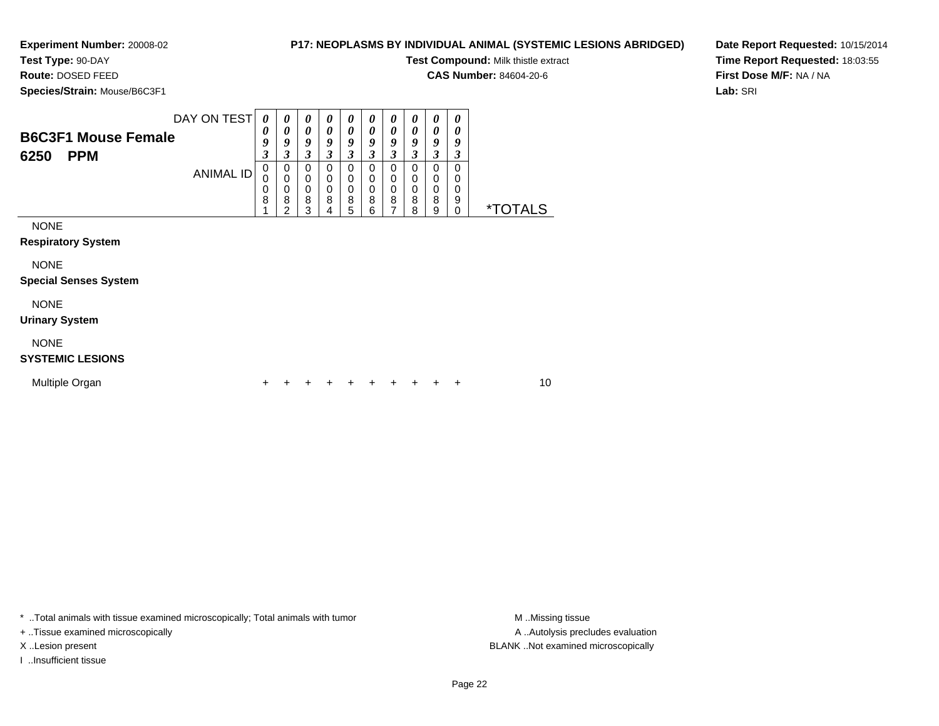#### **P17: NEOPLASMS BY INDIVIDUAL ANIMAL (SYSTEMIC LESIONS ABRIDGED)**

**Test Compound:** Milk thistle extract

**CAS Number:** 84604-20-6

**Species/Strain:** Mouse/B6C3F1

**Route:** DOSED FEED

**Date Report Requested:** 10/15/2014**Time Report Requested:** 18:03:55**First Dose M/F:** NA / NA**Lab:** SRI

| <b>B6C3F1 Mouse Female</b><br>6250<br><b>PPM</b> | DAY ON TEST<br>ANIMAL ID | 0<br>$\boldsymbol{\theta}$<br>9<br>$\mathfrak{z}$<br>$\mathbf 0$<br>0<br>0<br>8 | 0<br>0<br>9<br>3<br>0<br>$\mathbf 0$<br>0<br>8<br>2 | 0<br>$\boldsymbol{\theta}$<br>9<br>3<br>0<br>0<br>$\,0\,$<br>8<br>3 | 0<br>$\boldsymbol{\theta}$<br>9<br>3<br>0<br>0<br>$\mathbf 0$<br>8<br>4 | 0<br>0<br>9<br>3<br>0<br>0<br>$\mathbf 0$<br>8<br>5 | 0<br>$\boldsymbol{\theta}$<br>9<br>3<br>$\mathbf 0$<br>0<br>$\mathbf 0$<br>8<br>6 | 0<br>0<br>9<br>3<br>0<br>0<br>$\mathbf 0$<br>8<br>7 | $\boldsymbol{\theta}$<br>0<br>9<br>3<br>0<br>$\mathbf 0$<br>$\mathbf 0$<br>8<br>8 | 0<br>0<br>9<br>3<br>0<br>$\mathbf 0$<br>$\mathbf 0$<br>8<br>9 | $\boldsymbol{\theta}$<br>$\boldsymbol{\theta}$<br>9<br>$\boldsymbol{\beta}$<br>0<br>0<br>$\mathbf 0$<br>9<br>$\mathbf 0$ | <i><b>*TOTALS</b></i> |  |
|--------------------------------------------------|--------------------------|---------------------------------------------------------------------------------|-----------------------------------------------------|---------------------------------------------------------------------|-------------------------------------------------------------------------|-----------------------------------------------------|-----------------------------------------------------------------------------------|-----------------------------------------------------|-----------------------------------------------------------------------------------|---------------------------------------------------------------|--------------------------------------------------------------------------------------------------------------------------|-----------------------|--|
| <b>NONE</b><br><b>Respiratory System</b>         |                          |                                                                                 |                                                     |                                                                     |                                                                         |                                                     |                                                                                   |                                                     |                                                                                   |                                                               |                                                                                                                          |                       |  |
| <b>NONE</b><br><b>Special Senses System</b>      |                          |                                                                                 |                                                     |                                                                     |                                                                         |                                                     |                                                                                   |                                                     |                                                                                   |                                                               |                                                                                                                          |                       |  |
| <b>NONE</b><br><b>Urinary System</b>             |                          |                                                                                 |                                                     |                                                                     |                                                                         |                                                     |                                                                                   |                                                     |                                                                                   |                                                               |                                                                                                                          |                       |  |
| <b>NONE</b><br><b>SYSTEMIC LESIONS</b>           |                          |                                                                                 |                                                     |                                                                     |                                                                         |                                                     |                                                                                   |                                                     |                                                                                   |                                                               |                                                                                                                          |                       |  |
| Multiple Organ                                   |                          | ٠                                                                               |                                                     |                                                                     |                                                                         |                                                     | ÷                                                                                 | +                                                   | ÷                                                                                 |                                                               | +                                                                                                                        | 10                    |  |

\* ..Total animals with tissue examined microscopically; Total animals with tumor **M** . Missing tissue M ..Missing tissue

+ ..Tissue examined microscopically

I ..Insufficient tissue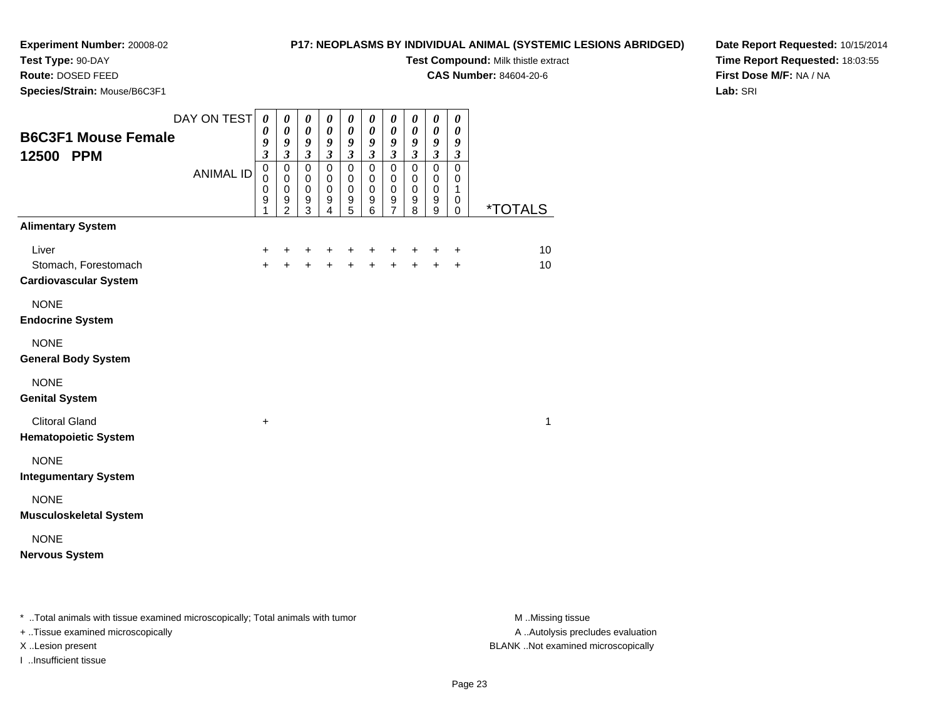#### **Test Type:** 90-DAY

**Route:** DOSED FEED

**Species/Strain:** Mouse/B6C3F1

#### **P17: NEOPLASMS BY INDIVIDUAL ANIMAL (SYSTEMIC LESIONS ABRIDGED)**

**Test Compound:** Milk thistle extract

**CAS Number:** 84604-20-6

**Date Report Requested:** 10/15/2014**Time Report Requested:** 18:03:55**First Dose M/F:** NA / NA**Lab:** SRI

| <b>B6C3F1 Mouse Female</b><br>12500 PPM                       | DAY ON TEST<br><b>ANIMAL ID</b> | $\boldsymbol{\theta}$<br>$\boldsymbol{\theta}$<br>9<br>$\mathfrak{z}$<br>$\pmb{0}$<br>$\Omega$<br>$\mathbf 0$<br>9<br>1 | $\boldsymbol{\theta}$<br>$\pmb{\theta}$<br>$\boldsymbol{9}$<br>$\boldsymbol{\beta}$<br>$\pmb{0}$<br>$\mathbf 0$<br>$\mathsf{O}\xspace$<br>$9\,$<br>$\overline{2}$ | 0<br>$\boldsymbol{\theta}$<br>9<br>$\mathfrak{z}$<br>$\overline{0}$<br>$\mathbf 0$<br>$\pmb{0}$<br>$\boldsymbol{9}$<br>$\overline{3}$ | $\pmb{\theta}$<br>$\boldsymbol{\theta}$<br>$\boldsymbol{g}$<br>$\mathfrak{z}$<br>$\pmb{0}$<br>$\mathbf 0$<br>$\mathbf 0$<br>$\begin{array}{c} 9 \\ 4 \end{array}$ | 0<br>$\pmb{\theta}$<br>9<br>$\boldsymbol{\beta}$<br>$\mathsf 0$<br>$\mathbf 0$<br>$\pmb{0}$<br>9<br>$\overline{5}$ | 0<br>$\pmb{\theta}$<br>9<br>$\boldsymbol{\mathfrak{z}}$<br>$\mathbf 0$<br>$\mathbf 0$<br>$\pmb{0}$<br>$\begin{array}{c} 9 \\ 6 \end{array}$ | 0<br>$\boldsymbol{\theta}$<br>9<br>$\boldsymbol{\beta}$<br>$\mathbf 0$<br>$\mathbf 0$<br>$\mathbf 0$<br>$\frac{9}{7}$ | 0<br>$\boldsymbol{\theta}$<br>9<br>$\mathfrak{z}$<br>$\overline{0}$<br>$\mathbf 0$<br>$\pmb{0}$<br>$\boldsymbol{9}$<br>$\overline{8}$ | 0<br>$\boldsymbol{\theta}$<br>9<br>$\boldsymbol{\beta}$<br>$\overline{0}$<br>$\mathbf 0$<br>$\pmb{0}$<br>$^9_9$ | $\boldsymbol{\theta}$<br>$\pmb{\theta}$<br>9<br>$\boldsymbol{\beta}$<br>$\overline{0}$<br>$\mathbf 0$<br>$\mathbf{1}$<br>$\mathbf 0$<br>$\mathbf 0$ | <i><b>*TOTALS</b></i> |
|---------------------------------------------------------------|---------------------------------|-------------------------------------------------------------------------------------------------------------------------|-------------------------------------------------------------------------------------------------------------------------------------------------------------------|---------------------------------------------------------------------------------------------------------------------------------------|-------------------------------------------------------------------------------------------------------------------------------------------------------------------|--------------------------------------------------------------------------------------------------------------------|---------------------------------------------------------------------------------------------------------------------------------------------|-----------------------------------------------------------------------------------------------------------------------|---------------------------------------------------------------------------------------------------------------------------------------|-----------------------------------------------------------------------------------------------------------------|-----------------------------------------------------------------------------------------------------------------------------------------------------|-----------------------|
| <b>Alimentary System</b>                                      |                                 |                                                                                                                         |                                                                                                                                                                   |                                                                                                                                       |                                                                                                                                                                   |                                                                                                                    |                                                                                                                                             |                                                                                                                       |                                                                                                                                       |                                                                                                                 |                                                                                                                                                     |                       |
| Liver<br>Stomach, Forestomach<br><b>Cardiovascular System</b> |                                 | $\ddot{}$<br>$+$                                                                                                        | +<br>$\ddot{}$                                                                                                                                                    | +<br>$+$                                                                                                                              | $\ddot{}$<br>$+$                                                                                                                                                  | +<br>$\ddot{}$                                                                                                     | +<br>$\ddot{}$                                                                                                                              | +<br>$\ddot{}$                                                                                                        | +<br>$+$                                                                                                                              | +<br>$\ddot{+}$                                                                                                 | $\ddot{}$<br>$+$                                                                                                                                    | 10<br>10              |
| <b>NONE</b><br><b>Endocrine System</b>                        |                                 |                                                                                                                         |                                                                                                                                                                   |                                                                                                                                       |                                                                                                                                                                   |                                                                                                                    |                                                                                                                                             |                                                                                                                       |                                                                                                                                       |                                                                                                                 |                                                                                                                                                     |                       |
| <b>NONE</b><br><b>General Body System</b>                     |                                 |                                                                                                                         |                                                                                                                                                                   |                                                                                                                                       |                                                                                                                                                                   |                                                                                                                    |                                                                                                                                             |                                                                                                                       |                                                                                                                                       |                                                                                                                 |                                                                                                                                                     |                       |
| <b>NONE</b><br><b>Genital System</b>                          |                                 |                                                                                                                         |                                                                                                                                                                   |                                                                                                                                       |                                                                                                                                                                   |                                                                                                                    |                                                                                                                                             |                                                                                                                       |                                                                                                                                       |                                                                                                                 |                                                                                                                                                     |                       |
| <b>Clitoral Gland</b><br><b>Hematopoietic System</b>          |                                 | $\ddot{}$                                                                                                               |                                                                                                                                                                   |                                                                                                                                       |                                                                                                                                                                   |                                                                                                                    |                                                                                                                                             |                                                                                                                       |                                                                                                                                       |                                                                                                                 |                                                                                                                                                     | 1                     |
| <b>NONE</b><br><b>Integumentary System</b>                    |                                 |                                                                                                                         |                                                                                                                                                                   |                                                                                                                                       |                                                                                                                                                                   |                                                                                                                    |                                                                                                                                             |                                                                                                                       |                                                                                                                                       |                                                                                                                 |                                                                                                                                                     |                       |
| <b>NONE</b><br><b>Musculoskeletal System</b>                  |                                 |                                                                                                                         |                                                                                                                                                                   |                                                                                                                                       |                                                                                                                                                                   |                                                                                                                    |                                                                                                                                             |                                                                                                                       |                                                                                                                                       |                                                                                                                 |                                                                                                                                                     |                       |
| <b>NONE</b><br><b>Nervous System</b>                          |                                 |                                                                                                                         |                                                                                                                                                                   |                                                                                                                                       |                                                                                                                                                                   |                                                                                                                    |                                                                                                                                             |                                                                                                                       |                                                                                                                                       |                                                                                                                 |                                                                                                                                                     |                       |

\* ..Total animals with tissue examined microscopically; Total animals with tumor **M** . Missing tissue M ..Missing tissue

+ ..Tissue examined microscopically

I ..Insufficient tissue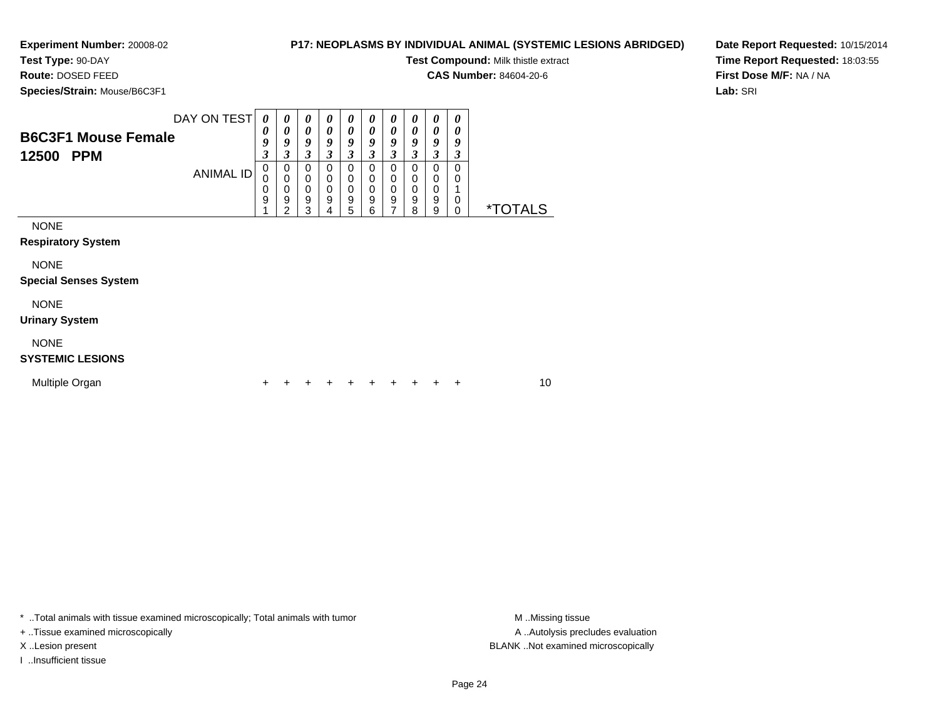#### **P17: NEOPLASMS BY INDIVIDUAL ANIMAL (SYSTEMIC LESIONS ABRIDGED)**

**Test Compound:** Milk thistle extract

**CAS Number:** 84604-20-6

**Species/Strain:** Mouse/B6C3F1

**Route:** DOSED FEED

**Date Report Requested:** 10/15/2014**Time Report Requested:** 18:03:55**First Dose M/F:** NA / NA**Lab:** SRI

| <b>B6C3F1 Mouse Female</b><br>12500<br><b>PPM</b>                                       | DAY ON TEST<br><b>ANIMAL ID</b> | $\boldsymbol{\theta}$<br>$\boldsymbol{\theta}$<br>9<br>3<br>0<br>0<br>0<br>9 | 0<br>0<br>9<br>3<br>0<br>0<br>0<br>9<br>$\mathcal{P}$ | 0<br>0<br>9<br>3<br>0<br>0<br>$\mathbf 0$<br>9 | 0<br>$\boldsymbol{\theta}$<br>9<br>$\boldsymbol{\beta}$<br>$\Omega$<br>$\mathbf 0$<br>$\mathbf 0$<br>9 | 0<br>0<br>9<br>3<br>$\Omega$<br>$\mathbf 0$<br>$\mathbf 0$<br>9 | $\boldsymbol{\theta}$<br>0<br>9<br>3<br>$\Omega$<br>$\mathbf 0$<br>$\mathbf 0$<br>9 | 0<br>0<br>9<br>3<br>0<br>$\mathbf 0$<br>$\mathbf 0$<br>9<br>7 | 0<br>0<br>9<br>3<br>0<br>0<br>$\pmb{0}$<br>$\boldsymbol{9}$<br>8 | $\boldsymbol{\theta}$<br>0<br>9<br>3<br>0<br>$\mathbf 0$<br>$\mathbf 0$<br>9 | 0<br>$\boldsymbol{\theta}$<br>9<br>$\boldsymbol{\beta}$<br>$\Omega$<br>0<br>0 | <i><b>*TOTALS</b></i> |  |
|-----------------------------------------------------------------------------------------|---------------------------------|------------------------------------------------------------------------------|-------------------------------------------------------|------------------------------------------------|--------------------------------------------------------------------------------------------------------|-----------------------------------------------------------------|-------------------------------------------------------------------------------------|---------------------------------------------------------------|------------------------------------------------------------------|------------------------------------------------------------------------------|-------------------------------------------------------------------------------|-----------------------|--|
| <b>NONE</b><br><b>Respiratory System</b><br><b>NONE</b><br><b>Special Senses System</b> |                                 |                                                                              |                                                       | 3                                              | 4                                                                                                      | 5                                                               | 6                                                                                   |                                                               |                                                                  | 9                                                                            | $\mathbf 0$                                                                   |                       |  |
| <b>NONE</b><br><b>Urinary System</b>                                                    |                                 |                                                                              |                                                       |                                                |                                                                                                        |                                                                 |                                                                                     |                                                               |                                                                  |                                                                              |                                                                               |                       |  |
| <b>NONE</b><br><b>SYSTEMIC LESIONS</b>                                                  |                                 |                                                                              |                                                       |                                                |                                                                                                        |                                                                 |                                                                                     |                                                               |                                                                  |                                                                              |                                                                               |                       |  |
| Multiple Organ                                                                          |                                 | +                                                                            |                                                       |                                                |                                                                                                        |                                                                 |                                                                                     | ٠                                                             | ÷                                                                | +                                                                            | ÷                                                                             | 10                    |  |

\* ..Total animals with tissue examined microscopically; Total animals with tumor **M** . Missing tissue M ..Missing tissue

+ ..Tissue examined microscopically

I ..Insufficient tissue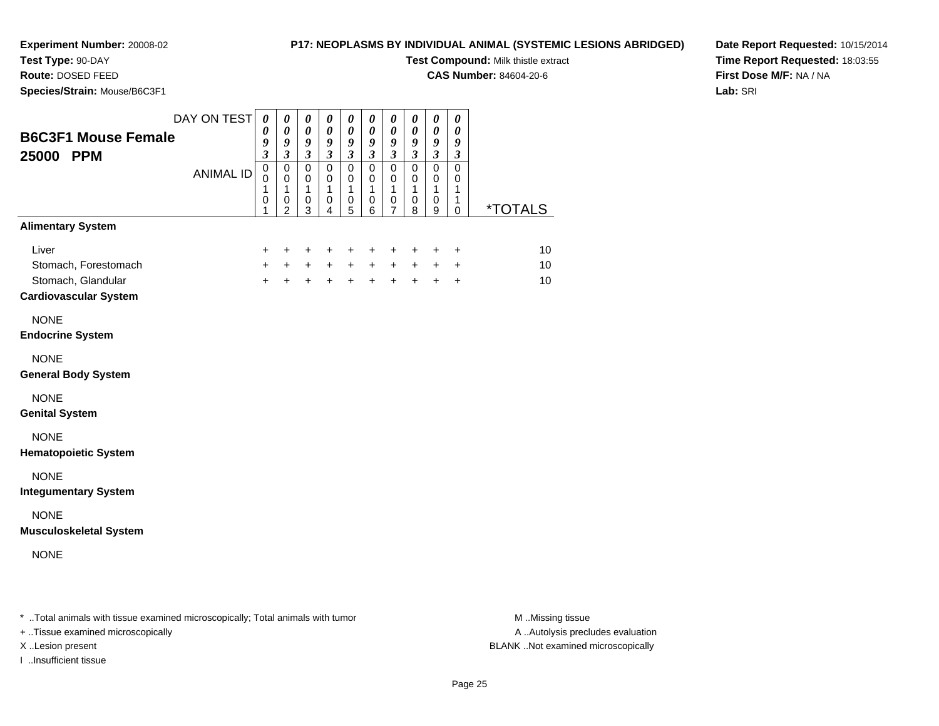**Test Type:** 90-DAY**Route:** DOSED FEED

## **P17: NEOPLASMS BY INDIVIDUAL ANIMAL (SYSTEMIC LESIONS ABRIDGED)**

**Test Compound:** Milk thistle extract

**CAS Number:** 84604-20-6

**Date Report Requested:** 10/15/2014**Time Report Requested:** 18:03:55**First Dose M/F:** NA / NA**Lab:** SRI

| Species/Strain: Mouse/B6C3F1                       |                  |                                                                |                                                                               |                                                                               |                                                              |                                                                |                                                         |                                                                 |                                                               |                                                                        |                                                                             |                       |
|----------------------------------------------------|------------------|----------------------------------------------------------------|-------------------------------------------------------------------------------|-------------------------------------------------------------------------------|--------------------------------------------------------------|----------------------------------------------------------------|---------------------------------------------------------|-----------------------------------------------------------------|---------------------------------------------------------------|------------------------------------------------------------------------|-----------------------------------------------------------------------------|-----------------------|
| <b>B6C3F1 Mouse Female</b><br>25000 PPM            | DAY ON TEST      | $\boldsymbol{\theta}$<br>0<br>9<br>$\boldsymbol{\mathfrak{z}}$ | $\boldsymbol{\theta}$<br>$\pmb{\theta}$<br>$\boldsymbol{g}$<br>$\mathfrak{z}$ | $\boldsymbol{\theta}$<br>$\pmb{\theta}$<br>$\boldsymbol{g}$<br>$\mathfrak{z}$ | $\pmb{\theta}$<br>$\pmb{\theta}$<br>9<br>$\mathfrak{z}$      | $\pmb{\theta}$<br>$\boldsymbol{\theta}$<br>9<br>$\mathfrak{z}$ | $\pmb{\theta}$<br>$\pmb{\theta}$<br>9<br>$\mathfrak{z}$ | $\pmb{\theta}$<br>$\pmb{\theta}$<br>9<br>$\mathfrak{z}$         | $\pmb{\theta}$<br>$\pmb{\theta}$<br>9<br>$\boldsymbol{\beta}$ | $\pmb{\theta}$<br>$\pmb{\theta}$<br>$\boldsymbol{g}$<br>$\mathfrak{z}$ | $\boldsymbol{\theta}$<br>$\boldsymbol{\theta}$<br>9<br>$\boldsymbol{\beta}$ |                       |
|                                                    | <b>ANIMAL ID</b> | $\overline{0}$<br>$\mathbf 0$<br>1<br>$\,0\,$<br>1             | $\mathsf 0$<br>$\mathbf 0$<br>$\mathbf{1}$<br>$\mathbf 0$<br>2                | $\mathsf 0$<br>$\pmb{0}$<br>$\mathbf{1}$<br>$\pmb{0}$<br>3                    | $\mathsf 0$<br>$\mathbf 0$<br>$\mathbf{1}$<br>$\pmb{0}$<br>4 | $\mathsf 0$<br>$\mathbf 0$<br>$\mathbf{1}$<br>$\mathbf 0$<br>5 | $\mathbf 0$<br>0<br>$\mathbf{1}$<br>$\pmb{0}$<br>6      | $\mathbf 0$<br>0<br>$\mathbf{1}$<br>$\pmb{0}$<br>$\overline{7}$ | $\mathsf 0$<br>$\mathbf 0$<br>1<br>$\mathbf 0$<br>8           | $\overline{0}$<br>0<br>$\mathbf{1}$<br>$\mathbf 0$<br>9                | $\mathsf 0$<br>0<br>$\mathbf{1}$<br>$\mathbf{1}$<br>0                       | <i><b>*TOTALS</b></i> |
| <b>Alimentary System</b>                           |                  |                                                                |                                                                               |                                                                               |                                                              |                                                                |                                                         |                                                                 |                                                               |                                                                        |                                                                             |                       |
| Liver                                              |                  | +                                                              | $\ddot{}$                                                                     | +                                                                             | $\ddot{}$                                                    | +                                                              | $\ddot{}$                                               | +                                                               | $\ddot{}$                                                     | +                                                                      | $\ddot{}$                                                                   | 10                    |
| Stomach, Forestomach                               |                  | $+$                                                            | $\ddot{}$                                                                     | $+$                                                                           | $+$                                                          | $+$                                                            | $\ddot{}$                                               | $+$                                                             | $+$                                                           | $\ddot{}$                                                              | $\ddot{}$                                                                   | 10                    |
| Stomach, Glandular<br><b>Cardiovascular System</b> |                  | $\ddot{}$                                                      | $+$                                                                           | $+$                                                                           | $+$                                                          | $+$                                                            | $\ddot{}$                                               | $+$                                                             |                                                               | $+$ $+$                                                                | $\ddot{}$                                                                   | 10                    |
| <b>NONE</b><br><b>Endocrine System</b>             |                  |                                                                |                                                                               |                                                                               |                                                              |                                                                |                                                         |                                                                 |                                                               |                                                                        |                                                                             |                       |
| <b>NONE</b><br><b>General Body System</b>          |                  |                                                                |                                                                               |                                                                               |                                                              |                                                                |                                                         |                                                                 |                                                               |                                                                        |                                                                             |                       |
| <b>NONE</b><br><b>Genital System</b>               |                  |                                                                |                                                                               |                                                                               |                                                              |                                                                |                                                         |                                                                 |                                                               |                                                                        |                                                                             |                       |
| <b>NONE</b><br><b>Hematopoietic System</b>         |                  |                                                                |                                                                               |                                                                               |                                                              |                                                                |                                                         |                                                                 |                                                               |                                                                        |                                                                             |                       |
| <b>NONE</b><br><b>Integumentary System</b>         |                  |                                                                |                                                                               |                                                                               |                                                              |                                                                |                                                         |                                                                 |                                                               |                                                                        |                                                                             |                       |
| <b>NONE</b><br><b>Musculoskeletal System</b>       |                  |                                                                |                                                                               |                                                                               |                                                              |                                                                |                                                         |                                                                 |                                                               |                                                                        |                                                                             |                       |
| <b>NONE</b>                                        |                  |                                                                |                                                                               |                                                                               |                                                              |                                                                |                                                         |                                                                 |                                                               |                                                                        |                                                                             |                       |
|                                                    |                  |                                                                |                                                                               |                                                                               |                                                              |                                                                |                                                         |                                                                 |                                                               |                                                                        |                                                                             |                       |

\* ..Total animals with tissue examined microscopically; Total animals with tumor **M** . Missing tissue M ..Missing tissue

+ ..Tissue examined microscopically

I ..Insufficient tissue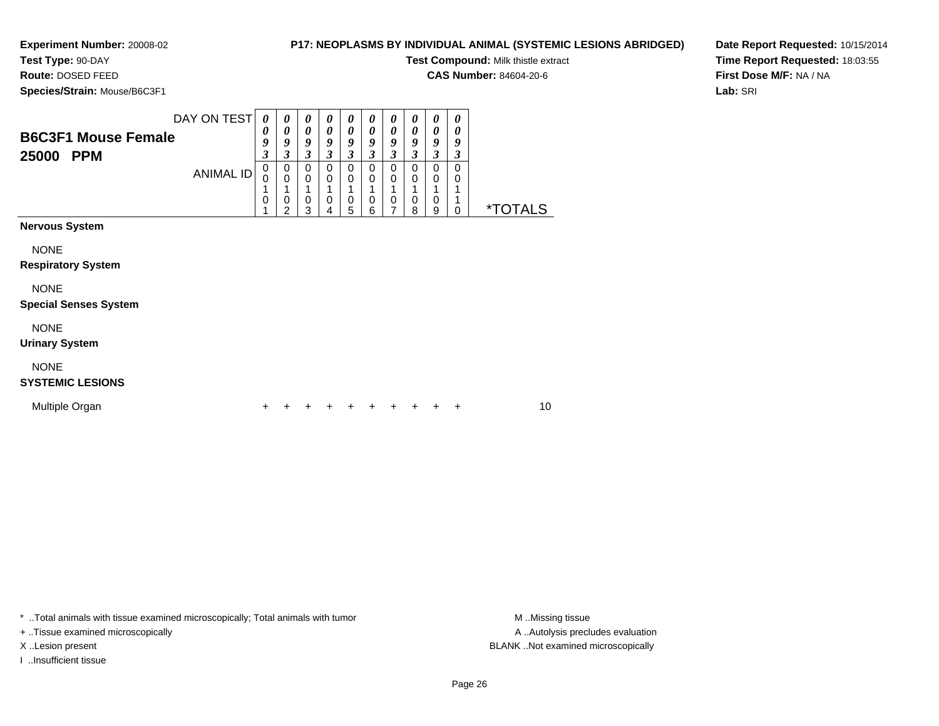#### **P17: NEOPLASMS BY INDIVIDUAL ANIMAL (SYSTEMIC LESIONS ABRIDGED)**

**Test Compound:** Milk thistle extract

**CAS Number:** 84604-20-6

**Species/Strain:** Mouse/B6C3F1

**Route:** DOSED FEED

**Date Report Requested:** 10/15/2014**Time Report Requested:** 18:03:55**First Dose M/F:** NA / NA**Lab:** SRI

| <b>B6C3F1 Mouse Female</b><br>25000<br><b>PPM</b> | DAY ON TEST<br><b>ANIMAL ID</b> | 0<br>0<br>9<br>$\boldsymbol{\mathfrak{z}}$<br>$\pmb{0}$<br>0<br>1<br>0 | 0<br>0<br>9<br>3<br>0<br>$\mathbf 0$<br>1<br>0<br>2 | 0<br>0<br>9<br>3<br>$\mathbf 0$<br>0<br>1<br>0<br>3 | 0<br>0<br>9<br>3<br>$\Omega$<br>$\mathbf 0$<br>0<br>4 | 0<br>0<br>9<br>$\boldsymbol{\beta}$<br>$\Omega$<br>0<br>1<br>$\mathbf 0$<br>5 | 0<br>0<br>9<br>3<br>$\Omega$<br>$\mathbf 0$<br>1<br>$\mathbf 0$<br>6 | $\boldsymbol{\theta}$<br>0<br>9<br>3<br>0<br>0<br>1<br>$\mathbf 0$<br>$\overline{7}$ | $\boldsymbol{\theta}$<br>$\boldsymbol{\theta}$<br>9<br>3<br>0<br>$\mathbf 0$<br>1<br>$\,0\,$<br>8 | $\boldsymbol{\theta}$<br>$\boldsymbol{\theta}$<br>9<br>3<br>0<br>0<br>1<br>0<br>9 | 0<br>$\boldsymbol{\theta}$<br>9<br>3<br>0<br>0<br>1<br>1<br>0 | <i><b>*TOTALS</b></i> |    |
|---------------------------------------------------|---------------------------------|------------------------------------------------------------------------|-----------------------------------------------------|-----------------------------------------------------|-------------------------------------------------------|-------------------------------------------------------------------------------|----------------------------------------------------------------------|--------------------------------------------------------------------------------------|---------------------------------------------------------------------------------------------------|-----------------------------------------------------------------------------------|---------------------------------------------------------------|-----------------------|----|
| <b>Nervous System</b>                             |                                 |                                                                        |                                                     |                                                     |                                                       |                                                                               |                                                                      |                                                                                      |                                                                                                   |                                                                                   |                                                               |                       |    |
| <b>NONE</b><br><b>Respiratory System</b>          |                                 |                                                                        |                                                     |                                                     |                                                       |                                                                               |                                                                      |                                                                                      |                                                                                                   |                                                                                   |                                                               |                       |    |
| <b>NONE</b><br><b>Special Senses System</b>       |                                 |                                                                        |                                                     |                                                     |                                                       |                                                                               |                                                                      |                                                                                      |                                                                                                   |                                                                                   |                                                               |                       |    |
| <b>NONE</b><br><b>Urinary System</b>              |                                 |                                                                        |                                                     |                                                     |                                                       |                                                                               |                                                                      |                                                                                      |                                                                                                   |                                                                                   |                                                               |                       |    |
| <b>NONE</b><br><b>SYSTEMIC LESIONS</b>            |                                 |                                                                        |                                                     |                                                     |                                                       |                                                                               |                                                                      |                                                                                      |                                                                                                   |                                                                                   |                                                               |                       |    |
| Multiple Organ                                    |                                 |                                                                        |                                                     |                                                     |                                                       |                                                                               |                                                                      |                                                                                      |                                                                                                   |                                                                                   | ÷                                                             |                       | 10 |

\* ..Total animals with tissue examined microscopically; Total animals with tumor **M** . Missing tissue M ..Missing tissue

+ ..Tissue examined microscopically

I ..Insufficient tissue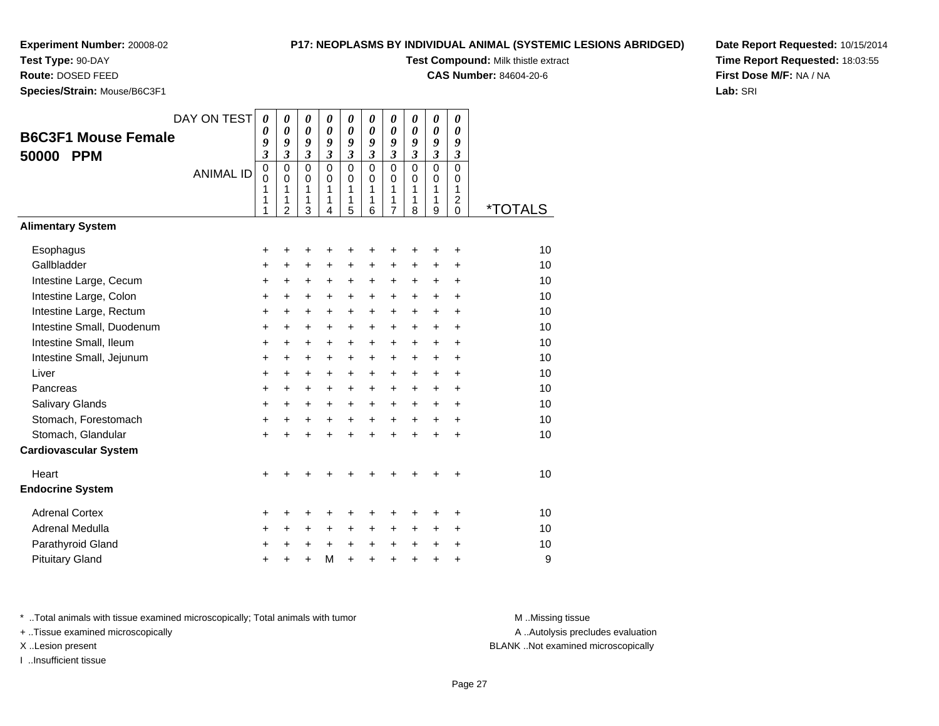#### **Test Type:** 90-DAY

**Route:** DOSED FEED

**Species/Strain:** Mouse/B6C3F1

#### **P17: NEOPLASMS BY INDIVIDUAL ANIMAL (SYSTEMIC LESIONS ABRIDGED)**

**Test Compound:** Milk thistle extract

**CAS Number:** 84604-20-6

**Date Report Requested:** 10/15/2014**Time Report Requested:** 18:03:55**First Dose M/F:** NA / NA**Lab:** SRI

| <b>B6C3F1 Mouse Female</b><br><b>PPM</b><br>50000                                                                                                                                                                                                          | DAY ON TEST<br><b>ANIMAL ID</b> | $\boldsymbol{\theta}$<br>$\boldsymbol{\theta}$<br>9<br>$\overline{\mathbf{3}}$<br>$\overline{0}$<br>$\mathbf 0$<br>1<br>1<br>1 | $\boldsymbol{\theta}$<br>$\boldsymbol{\theta}$<br>9<br>$\overline{\mathbf{3}}$<br>$\mathbf 0$<br>$\mathbf 0$<br>1<br>1<br>$\overline{2}$ | 0<br>0<br>9<br>$\mathfrak{z}$<br>$\mathbf 0$<br>$\mathbf 0$<br>1<br>1<br>3                               | 0<br>$\boldsymbol{\theta}$<br>9<br>$\overline{\mathbf{3}}$<br>$\Omega$<br>$\mathbf 0$<br>$\mathbf{1}$<br>1<br>$\overline{4}$ | 0<br>$\boldsymbol{\theta}$<br>9<br>$\overline{\mathbf{3}}$<br>$\mathbf 0$<br>$\mathbf 0$<br>1<br>1<br>5                          | 0<br>0<br>9<br>$\overline{\mathbf{3}}$<br>$\mathbf 0$<br>$\Omega$<br>1<br>1<br>6                                 | 0<br>$\theta$<br>9<br>$\mathfrak{z}$<br>$\mathbf 0$<br>$\mathsf 0$<br>1<br>1<br>7                        | 0<br>0<br>9<br>$\mathfrak{z}$<br>$\mathbf 0$<br>$\mathbf 0$<br>1<br>1<br>8                                                         | 0<br>0<br>9<br>$\mathfrak{z}$<br>$\overline{0}$<br>$\mathbf 0$<br>1<br>1<br>9                                              | 0<br>0<br>9<br>$\boldsymbol{\mathfrak{z}}$<br>0<br>$\mathbf 0$<br>1<br>$\overline{\mathbf{c}}$<br>0                              | <i><b>*TOTALS</b></i>                                                |
|------------------------------------------------------------------------------------------------------------------------------------------------------------------------------------------------------------------------------------------------------------|---------------------------------|--------------------------------------------------------------------------------------------------------------------------------|------------------------------------------------------------------------------------------------------------------------------------------|----------------------------------------------------------------------------------------------------------|------------------------------------------------------------------------------------------------------------------------------|----------------------------------------------------------------------------------------------------------------------------------|------------------------------------------------------------------------------------------------------------------|----------------------------------------------------------------------------------------------------------|------------------------------------------------------------------------------------------------------------------------------------|----------------------------------------------------------------------------------------------------------------------------|----------------------------------------------------------------------------------------------------------------------------------|----------------------------------------------------------------------|
| <b>Alimentary System</b>                                                                                                                                                                                                                                   |                                 |                                                                                                                                |                                                                                                                                          |                                                                                                          |                                                                                                                              |                                                                                                                                  |                                                                                                                  |                                                                                                          |                                                                                                                                    |                                                                                                                            |                                                                                                                                  |                                                                      |
| Esophagus<br>Gallbladder<br>Intestine Large, Cecum<br>Intestine Large, Colon<br>Intestine Large, Rectum<br>Intestine Small, Duodenum<br>Intestine Small, Ileum<br>Intestine Small, Jejunum<br>Liver<br>Pancreas<br>Salivary Glands<br>Stomach, Forestomach |                                 | +<br>$\ddot{}$<br>+<br>+<br>+<br>+<br>+<br>$\ddot{}$<br>$\ddot{}$<br>$\ddot{}$<br>+<br>+                                       | +<br>$\ddot{}$<br>$\ddot{}$<br>+<br>$\ddot{}$<br>+<br>$\ddot{}$<br>$\ddot{}$<br>$\ddot{}$<br>$\ddot{}$<br>+<br>+                         | +<br>$\ddot{}$<br>+<br>+<br>$\ddot{}$<br>+<br>$\ddot{}$<br>$\ddot{}$<br>$\ddot{}$<br>$\ddot{}$<br>+<br>+ | +<br>$\ddot{}$<br>$\ddot{}$<br>+<br>$\ddot{}$<br>$\ddot{}$<br>$\ddot{}$<br>$+$<br>$\ddot{}$<br>$\ddot{}$<br>+<br>$\ddot{}$   | +<br>$\ddot{}$<br>$\ddot{}$<br>+<br>$\ddot{}$<br>$\ddot{}$<br>$\ddot{}$<br>$\ddot{}$<br>$\ddot{}$<br>$\ddot{}$<br>+<br>$\ddot{}$ | +<br>$\ddot{}$<br>$\ddot{}$<br>+<br>$\ddot{}$<br>+<br>+<br>$\ddot{}$<br>$\ddot{}$<br>$\ddot{}$<br>+<br>$\ddot{}$ | +<br>$\ddot{}$<br>+<br>+<br>+<br>+<br>$\ddot{}$<br>$\ddot{}$<br>$\ddot{}$<br>$\ddot{}$<br>+<br>$\ddot{}$ | ÷<br>$\ddot{}$<br>$\ddot{}$<br>$\ddot{}$<br>$\ddot{}$<br>$\ddot{}$<br>$\ddot{}$<br>$+$<br>$\ddot{}$<br>$\ddot{}$<br>+<br>$\ddot{}$ | +<br>$\ddot{}$<br>$\ddot{}$<br>$\ddot{}$<br>$\ddot{}$<br>$\ddot{}$<br>$\ddot{}$<br>$\ddot{}$<br>$+$<br>$\ddot{}$<br>+<br>+ | $\ddot{}$<br>$\ddot{}$<br>$\ddot{}$<br>+<br>$\ddot{}$<br>$\ddot{}$<br>$\ddot{}$<br>$\ddot{}$<br>$\ddot{}$<br>$\ddot{}$<br>+<br>+ | 10<br>10<br>10<br>10<br>10<br>10<br>10<br>10<br>10<br>10<br>10<br>10 |
| Stomach, Glandular                                                                                                                                                                                                                                         |                                 | +                                                                                                                              |                                                                                                                                          | $\ddot{}$                                                                                                |                                                                                                                              | $\ddot{}$                                                                                                                        | $\ddot{}$                                                                                                        | $\ddot{}$                                                                                                |                                                                                                                                    | $\ddot{}$                                                                                                                  | +                                                                                                                                | 10                                                                   |
| <b>Cardiovascular System</b>                                                                                                                                                                                                                               |                                 |                                                                                                                                |                                                                                                                                          |                                                                                                          |                                                                                                                              |                                                                                                                                  |                                                                                                                  |                                                                                                          |                                                                                                                                    |                                                                                                                            |                                                                                                                                  |                                                                      |
| Heart<br><b>Endocrine System</b>                                                                                                                                                                                                                           |                                 | +                                                                                                                              |                                                                                                                                          |                                                                                                          |                                                                                                                              |                                                                                                                                  |                                                                                                                  |                                                                                                          |                                                                                                                                    |                                                                                                                            | ٠                                                                                                                                | 10                                                                   |
| <b>Adrenal Cortex</b><br>Adrenal Medulla<br>Parathyroid Gland<br><b>Pituitary Gland</b>                                                                                                                                                                    |                                 | +<br>$\ddot{}$<br>+<br>+                                                                                                       | +<br>$\ddot{}$<br>+                                                                                                                      | +<br>$\ddot{}$<br>+<br>÷                                                                                 | +<br>$\ddot{}$<br>$+$<br>M                                                                                                   | +<br>$\ddot{}$<br>$\ddot{}$<br>$\ddot{}$                                                                                         | +<br>$\ddot{}$<br>$\ddot{}$<br>$\ddot{}$                                                                         | +<br>+<br>+<br>$\ddot{}$                                                                                 | ٠<br>$\ddot{}$<br>$\ddot{}$                                                                                                        | ٠<br>$\ddot{}$<br>+<br>÷                                                                                                   | +<br>$\ddot{}$<br>+<br>$\ddot{}$                                                                                                 | 10<br>10<br>10<br>9                                                  |

\* ..Total animals with tissue examined microscopically; Total animals with tumor **M** . Missing tissue M ..Missing tissue

+ ..Tissue examined microscopically

I ..Insufficient tissue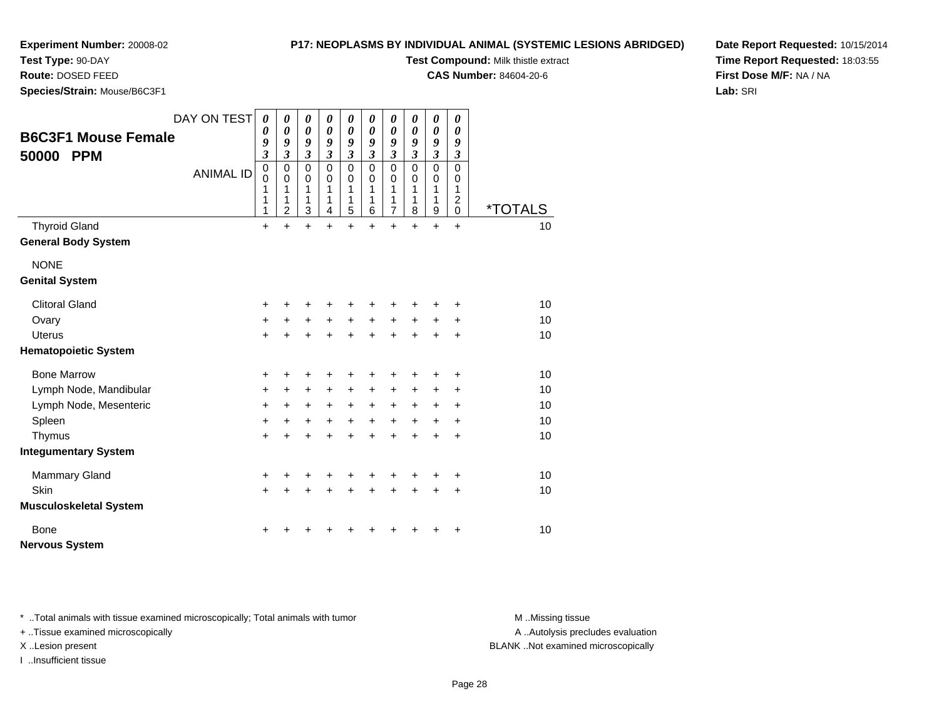## **Test Type:** 90-DAY

**Route:** DOSED FEED

**Species/Strain:** Mouse/B6C3F1

#### **P17: NEOPLASMS BY INDIVIDUAL ANIMAL (SYSTEMIC LESIONS ABRIDGED)**

**Test Compound:** Milk thistle extract

**CAS Number:** 84604-20-6

**Date Report Requested:** 10/15/2014**Time Report Requested:** 18:03:55**First Dose M/F:** NA / NA**Lab:** SRI

|                               | DAY ON TEST      | $\boldsymbol{\theta}$    | 0                          | $\pmb{\theta}$             | 0                          | 0                          | 0                          | 0                          | 0                | 0                          | 0                             |                       |
|-------------------------------|------------------|--------------------------|----------------------------|----------------------------|----------------------------|----------------------------|----------------------------|----------------------------|------------------|----------------------------|-------------------------------|-----------------------|
| <b>B6C3F1 Mouse Female</b>    |                  | 0<br>9                   | 0<br>9                     | 0<br>9                     | $\boldsymbol{\theta}$<br>9 | $\boldsymbol{\theta}$<br>9 | 0<br>9                     | $\boldsymbol{\theta}$<br>9 | 0<br>9           | $\boldsymbol{\theta}$<br>9 | 0<br>9                        |                       |
| 50000<br><b>PPM</b>           |                  | $\mathfrak{z}$           | $\overline{\mathbf{3}}$    | $\mathfrak{z}$             | $\mathfrak{z}$             | $\mathfrak{z}$             | $\mathfrak{z}$             | 3                          | 3                | $\mathfrak{z}$             | $\boldsymbol{\beta}$          |                       |
|                               | <b>ANIMAL ID</b> | $\pmb{0}$<br>$\mathbf 0$ | $\mathbf 0$<br>$\mathbf 0$ | $\mathbf 0$<br>$\mathbf 0$ | $\mathbf 0$<br>$\Omega$    | $\mathbf 0$<br>$\mathbf 0$ | $\mathbf 0$<br>$\mathbf 0$ | 0<br>0                     | $\mathbf 0$<br>0 | $\mathbf 0$<br>$\pmb{0}$   | $\mathbf 0$<br>0              |                       |
|                               |                  | 1                        | 1                          | 1                          | 1                          | 1                          | 1                          | 1                          | 1                | 1                          | 1                             |                       |
|                               |                  | 1<br>1                   | 1<br>$\overline{2}$        | 1<br>3                     | 1<br>4                     | 1<br>5                     | 1<br>6                     | 1<br>7                     | 1<br>8           | 1<br>9                     | $\overline{c}$<br>$\mathbf 0$ | <i><b>*TOTALS</b></i> |
| <b>Thyroid Gland</b>          |                  | $\ddot{}$                | $\ddot{}$                  | $\ddot{}$                  | $\ddot{}$                  | $\ddot{}$                  | $\ddot{}$                  | $\ddot{}$                  | $\ddot{}$        | $+$                        | $+$                           | 10                    |
| <b>General Body System</b>    |                  |                          |                            |                            |                            |                            |                            |                            |                  |                            |                               |                       |
| <b>NONE</b>                   |                  |                          |                            |                            |                            |                            |                            |                            |                  |                            |                               |                       |
| <b>Genital System</b>         |                  |                          |                            |                            |                            |                            |                            |                            |                  |                            |                               |                       |
| <b>Clitoral Gland</b>         |                  | $\ddot{}$                |                            | +                          | +                          | +                          |                            |                            |                  |                            |                               | 10                    |
| Ovary                         |                  | $\ddot{}$                | $\ddot{}$                  | $\ddot{}$                  | $\ddot{}$                  | $\ddot{}$                  | $\ddot{}$                  | $\ddot{}$                  | +                | +                          | +                             | 10                    |
| <b>Uterus</b>                 |                  | $+$                      |                            | $\ddot{}$                  | $\ddot{}$                  | $\ddot{}$                  | $\ddot{}$                  | $\ddot{}$                  | $\ddot{}$        | $\ddot{}$                  | $\ddot{}$                     | 10                    |
| <b>Hematopoietic System</b>   |                  |                          |                            |                            |                            |                            |                            |                            |                  |                            |                               |                       |
| <b>Bone Marrow</b>            |                  | +                        | +                          | +                          | +                          | +                          |                            | +                          | +                | +                          | +                             | 10                    |
| Lymph Node, Mandibular        |                  | $\ddot{}$                | +                          | +                          | +                          | +                          | +                          | +                          | +                | +                          | ÷                             | 10                    |
| Lymph Node, Mesenteric        |                  | $\ddot{}$                | $\ddot{}$                  | $\ddot{}$                  | $\ddot{}$                  | $\ddot{}$                  | $\ddot{}$                  | $\ddot{}$                  | $+$              | $\ddot{}$                  | $\ddot{}$                     | 10                    |
| Spleen                        |                  | $\ddot{}$                | +                          | $\ddot{}$                  | $\ddot{}$                  | $\ddot{}$                  | $+$                        | $+$                        | $+$              | $\ddot{}$                  | +                             | 10                    |
| Thymus                        |                  | $\ddot{}$                | +                          | +                          | +                          | $\ddot{}$                  | +                          | $\pm$                      | +                | $\ddot{}$                  | $\ddot{}$                     | 10                    |
| <b>Integumentary System</b>   |                  |                          |                            |                            |                            |                            |                            |                            |                  |                            |                               |                       |
| <b>Mammary Gland</b>          |                  | +                        | ٠                          | +                          | ٠                          | +                          |                            | +                          |                  |                            | +                             | 10                    |
| Skin                          |                  | $+$                      | $+$                        | $+$                        | $\ddot{}$                  | $\ddot{}$                  | $\ddot{}$                  | $\ddot{}$                  | $\ddot{}$        | $\ddot{}$                  | $\ddot{}$                     | 10                    |
| <b>Musculoskeletal System</b> |                  |                          |                            |                            |                            |                            |                            |                            |                  |                            |                               |                       |
| <b>Bone</b>                   |                  |                          |                            |                            |                            |                            |                            |                            |                  |                            | +                             | 10                    |
| <b>Nervous System</b>         |                  |                          |                            |                            |                            |                            |                            |                            |                  |                            |                               |                       |

\* ..Total animals with tissue examined microscopically; Total animals with tumor **M** . Missing tissue M ..Missing tissue

+ ..Tissue examined microscopically

I ..Insufficient tissue

A ..Autolysis precludes evaluation

X ..Lesion present BLANK ..Not examined microscopically